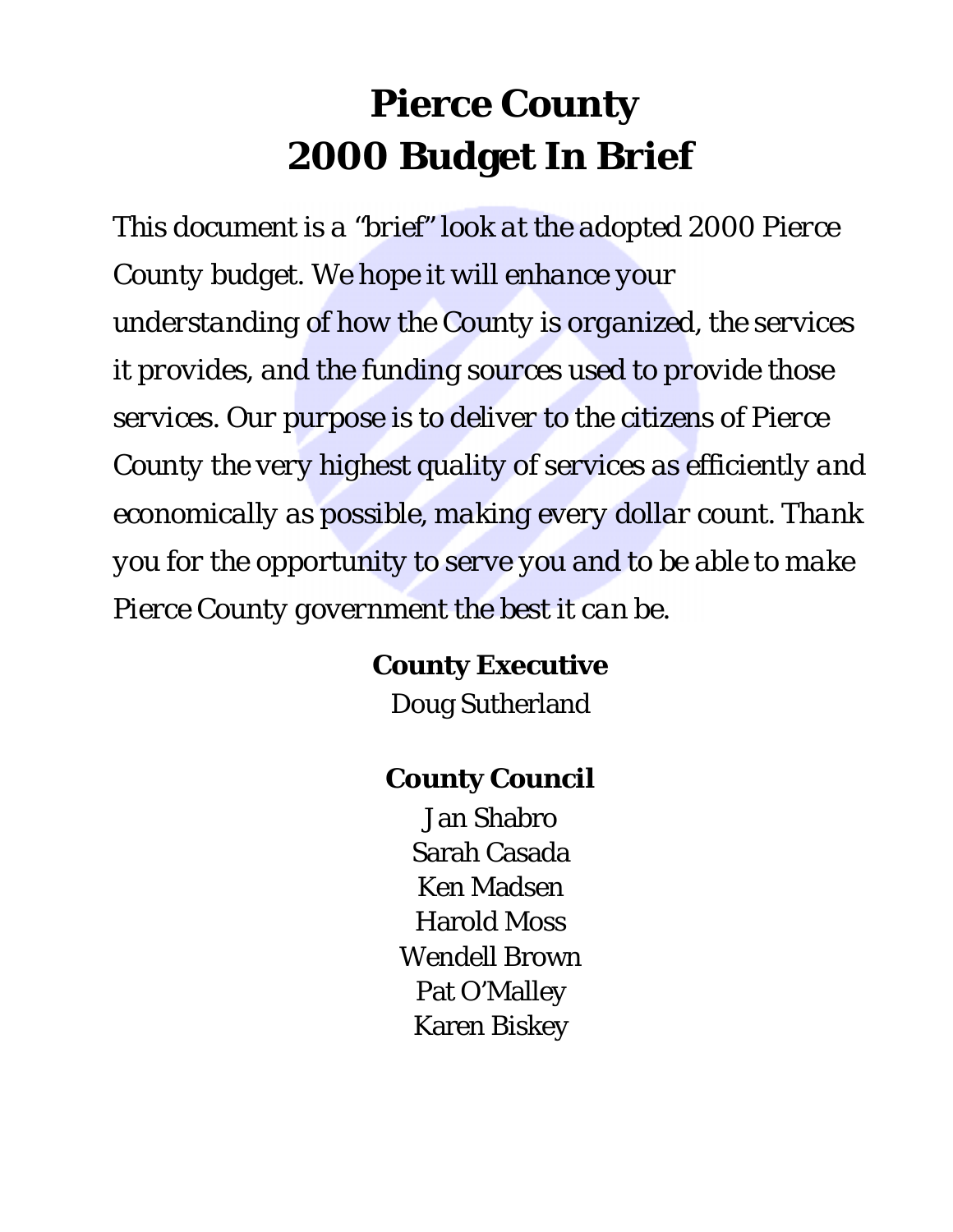# **Pierce County 2000 Budget In Brief**

*This document is a "brief" look at the adopted 2000 Pierce County budget. We hope it will enhance your understanding of how the County is organized, the services it provides, and the funding sources used to provide those services. Our purpose is to deliver to the citizens of Pierce County the very highest quality of services as efficiently and economically as possible, making every dollar count. Thank you for the opportunity to serve you and to be able to make Pierce County government the best it can be.*

### **County Executive**

Doug Sutherland

### **County Council**

Jan Shabro Sarah Casada Ken Madsen Harold Moss Wendell Brown Pat O'Malley Karen Biskey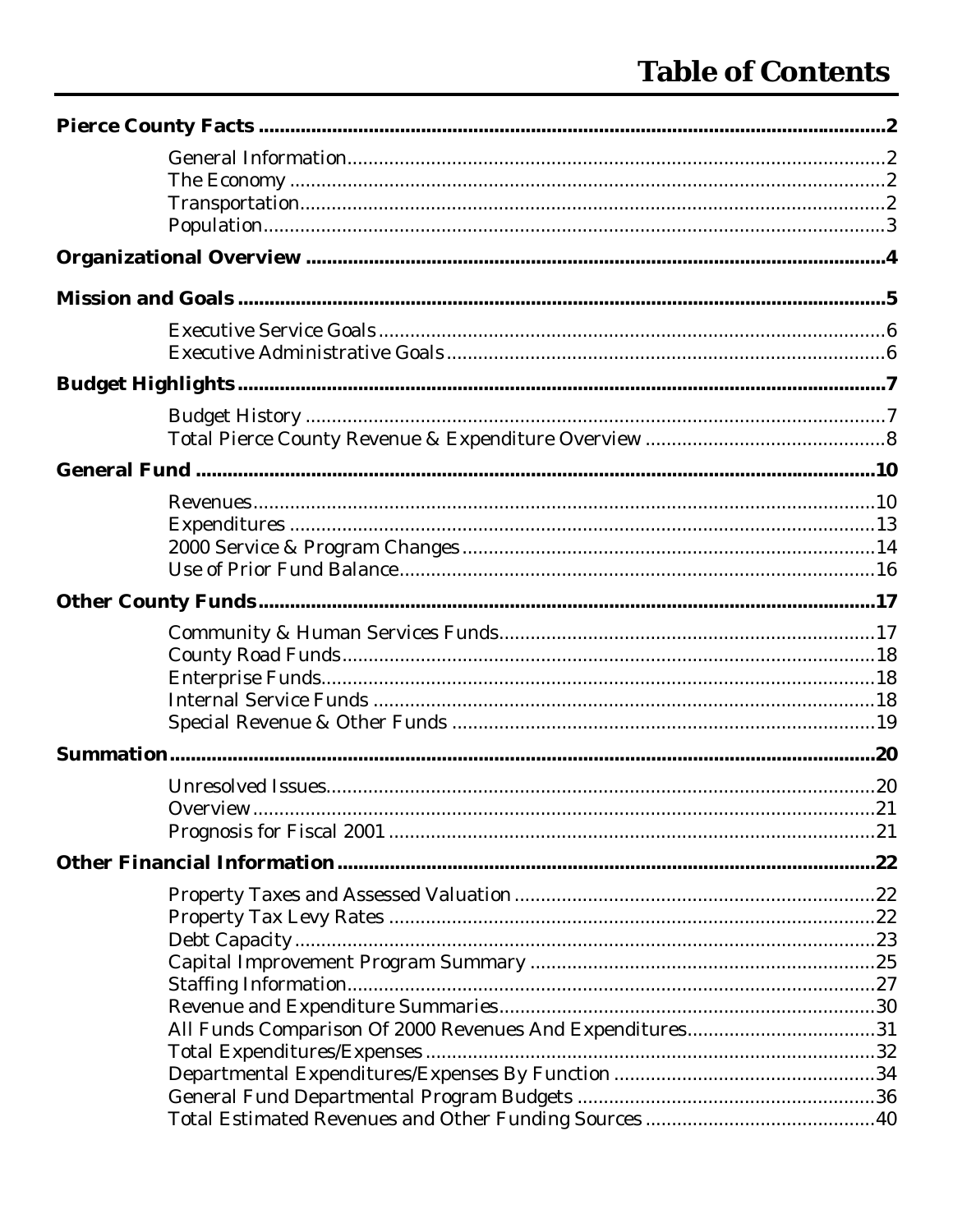| All Funds Comparison Of 2000 Revenues And Expenditures31 |  |
|----------------------------------------------------------|--|
|                                                          |  |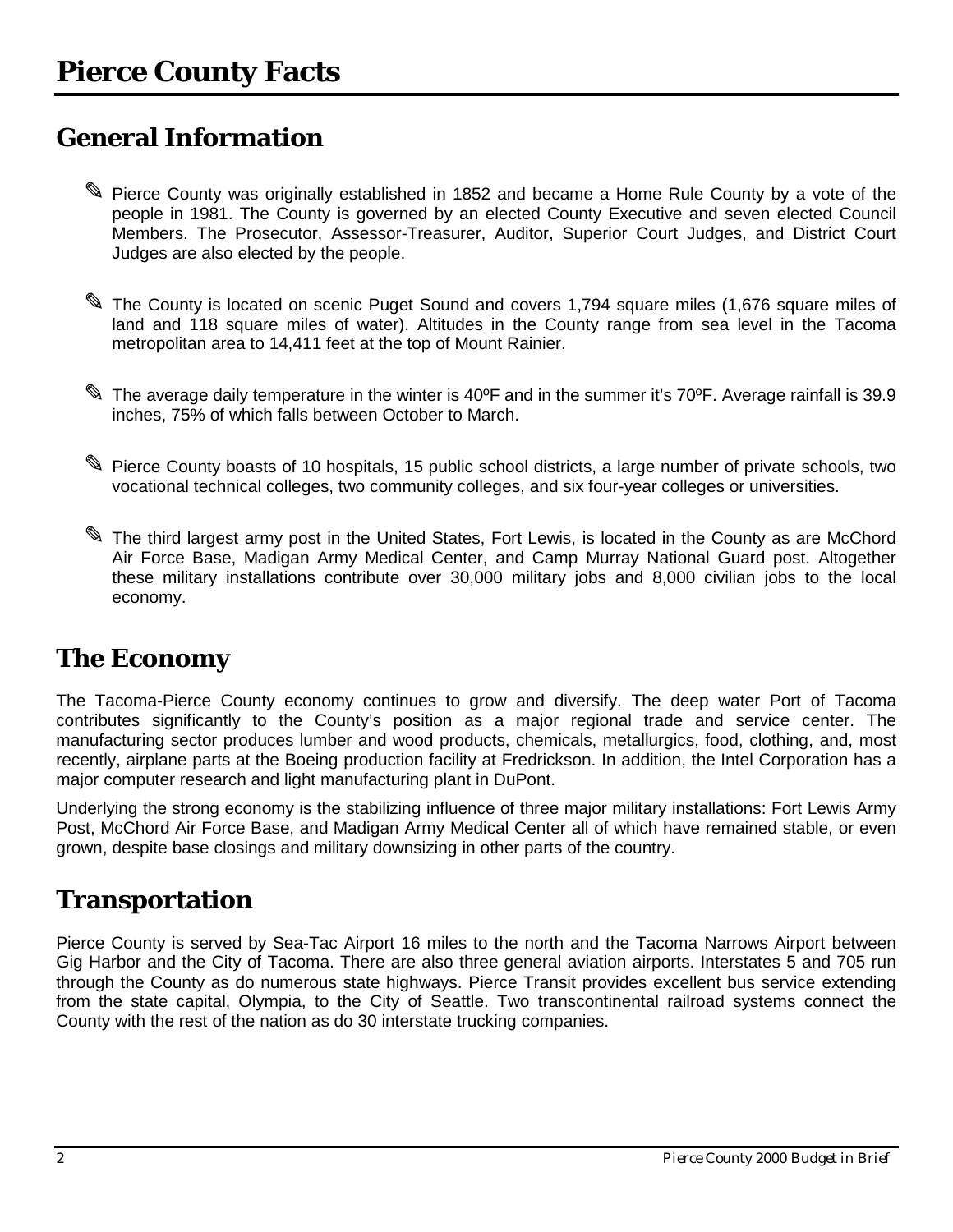### <span id="page-3-0"></span>**General Information**

- ✎ Pierce County was originally established in 1852 and became a Home Rule County by a vote of the people in 1981. The County is governed by an elected County Executive and seven elected Council Members. The Prosecutor, Assessor-Treasurer, Auditor, Superior Court Judges, and District Court Judges are also elected by the people.
- ✎ The County is located on scenic Puget Sound and covers 1,794 square miles (1,676 square miles of land and 118 square miles of water). Altitudes in the County range from sea level in the Tacoma metropolitan area to 14,411 feet at the top of Mount Rainier.
- ✎ The average daily temperature in the winter is 40ºF and in the summer it's 70ºF. Average rainfall is 39.9 inches, 75% of which falls between October to March.
- ✎ Pierce County boasts of 10 hospitals, 15 public school districts, a large number of private schools, two vocational technical colleges, two community colleges, and six four-year colleges or universities.
- ✎ The third largest army post in the United States, Fort Lewis, is located in the County as are McChord Air Force Base, Madigan Army Medical Center, and Camp Murray National Guard post. Altogether these military installations contribute over 30,000 military jobs and 8,000 civilian jobs to the local economy.

### **The Economy**

The Tacoma-Pierce County economy continues to grow and diversify. The deep water Port of Tacoma contributes significantly to the County's position as a major regional trade and service center. The manufacturing sector produces lumber and wood products, chemicals, metallurgics, food, clothing, and, most recently, airplane parts at the Boeing production facility at Fredrickson. In addition, the Intel Corporation has a major computer research and light manufacturing plant in DuPont.

Underlying the strong economy is the stabilizing influence of three major military installations: Fort Lewis Army Post, McChord Air Force Base, and Madigan Army Medical Center all of which have remained stable, or even grown, despite base closings and military downsizing in other parts of the country.

### **Transportation**

Pierce County is served by Sea-Tac Airport 16 miles to the north and the Tacoma Narrows Airport between Gig Harbor and the City of Tacoma. There are also three general aviation airports. Interstates 5 and 705 run through the County as do numerous state highways. Pierce Transit provides excellent bus service extending from the state capital, Olympia, to the City of Seattle. Two transcontinental railroad systems connect the County with the rest of the nation as do 30 interstate trucking companies.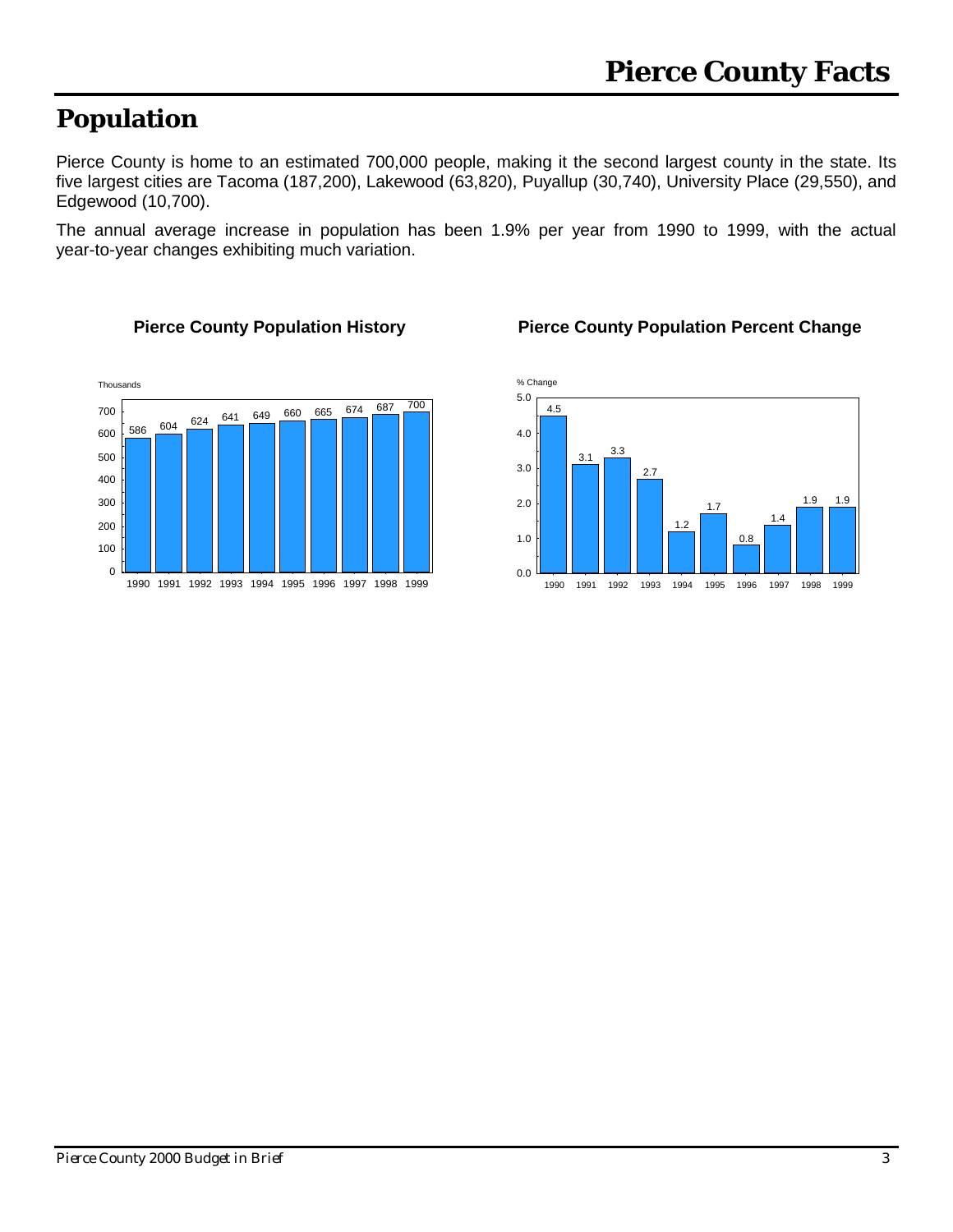# <span id="page-4-0"></span>**Population**

Pierce County is home to an estimated 700,000 people, making it the second largest county in the state. Its five largest cities are Tacoma (187,200), Lakewood (63,820), Puyallup (30,740), University Place (29,550), and Edgewood (10,700).

The annual average increase in population has been 1.9% per year from 1990 to 1999, with the actual year-to-year changes exhibiting much variation.





#### **Pierce County Population History Pierce County Population Percent Change**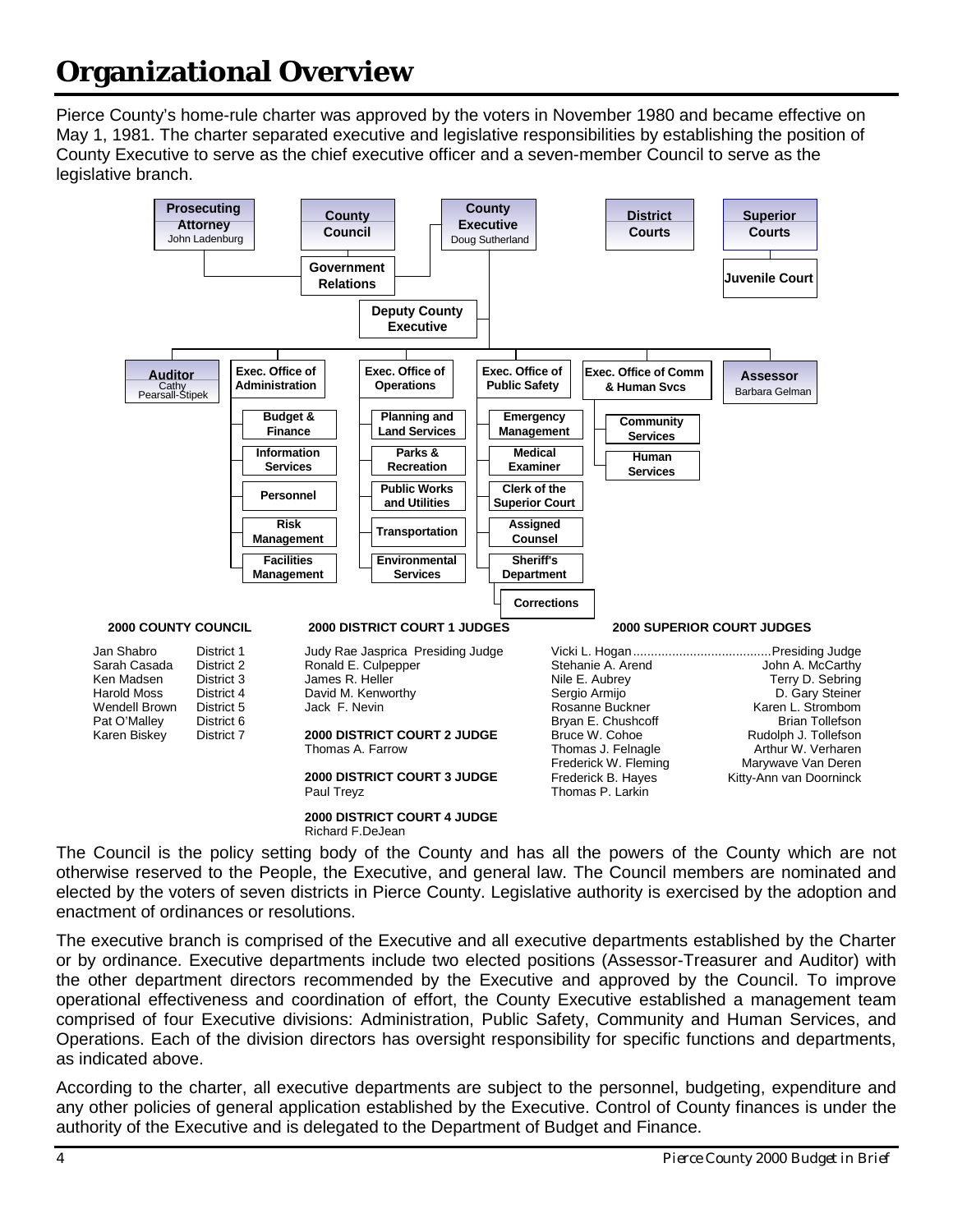# <span id="page-5-0"></span>**Organizational Overview**

Pierce County's home-rule charter was approved by the voters in November 1980 and became effective on May 1, 1981. The charter separated executive and legislative responsibilities by establishing the position of County Executive to serve as the chief executive officer and a seven-member Council to serve as the legislative branch.



The Council is the policy setting body of the County and has all the powers of the County which are not otherwise reserved to the People, the Executive, and general law. The Council members are nominated and elected by the voters of seven districts in Pierce County. Legislative authority is exercised by the adoption and enactment of ordinances or resolutions.

The executive branch is comprised of the Executive and all executive departments established by the Charter or by ordinance. Executive departments include two elected positions (Assessor-Treasurer and Auditor) with the other department directors recommended by the Executive and approved by the Council. To improve operational effectiveness and coordination of effort, the County Executive established a management team comprised of four Executive divisions: Administration, Public Safety, Community and Human Services, and Operations. Each of the division directors has oversight responsibility for specific functions and departments, as indicated above.

According to the charter, all executive departments are subject to the personnel, budgeting, expenditure and any other policies of general application established by the Executive. Control of County finances is under the authority of the Executive and is delegated to the Department of Budget and Finance.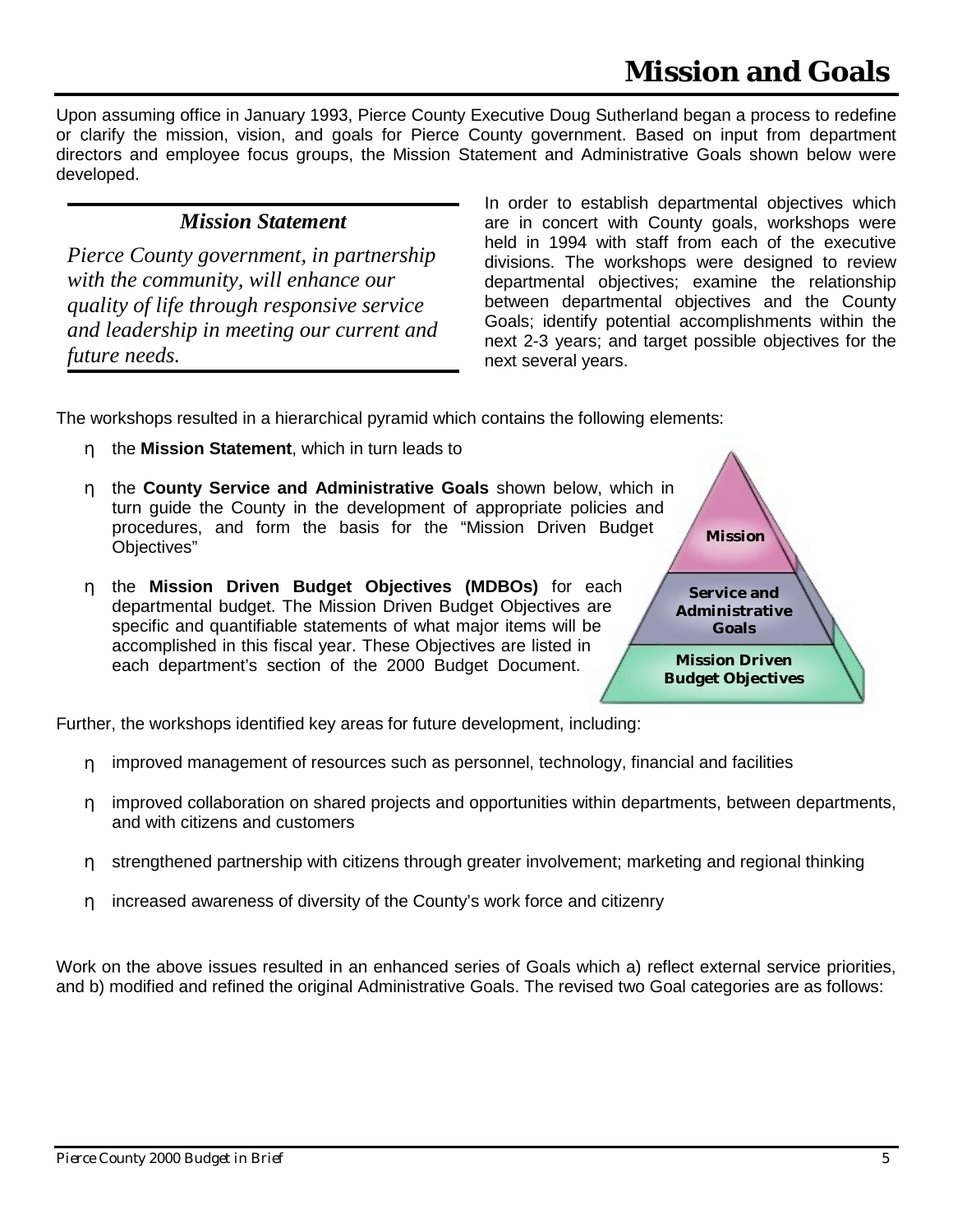# **Mission and Goals**

<span id="page-6-0"></span>Upon assuming office in January 1993, Pierce County Executive Doug Sutherland began a process to redefine or clarify the mission, vision, and goals for Pierce County government. Based on input from department directors and employee focus groups, the Mission Statement and Administrative Goals shown below were developed.

#### *Mission Statement*

*Pierce County government, in partnership with the community, will enhance our quality of life through responsive service and leadership in meeting our current and future needs.*

In order to establish departmental objectives which are in concert with County goals, workshops were held in 1994 with staff from each of the executive divisions. The workshops were designed to review departmental objectives; examine the relationship between departmental objectives and the County Goals; identify potential accomplishments within the next 2-3 years; and target possible objectives for the next several years.

**Mission**

**Service and Administrative Goals**

**Mission Driven Budget Objectives**

The workshops resulted in a hierarchical pyramid which contains the following elements:

- η the **Mission Statement**, which in turn leads to
- η the **County Service and Administrative Goals** shown below, which in turn guide the County in the development of appropriate policies and procedures, and form the basis for the "Mission Driven Budget Objectives"
- η the **Mission Driven Budget Objectives (MDBOs)** for each departmental budget. The Mission Driven Budget Objectives are specific and quantifiable statements of what major items will be accomplished in this fiscal year. These Objectives are listed in each department's section of the 2000 Budget Document.

Further, the workshops identified key areas for future development, including:

- η improved management of resources such as personnel, technology, financial and facilities
- η improved collaboration on shared projects and opportunities within departments, between departments, and with citizens and customers
- η strengthened partnership with citizens through greater involvement; marketing and regional thinking
- η increased awareness of diversity of the County's work force and citizenry

Work on the above issues resulted in an enhanced series of Goals which a) reflect external service priorities, and b) modified and refined the original Administrative Goals. The revised two Goal categories are as follows:

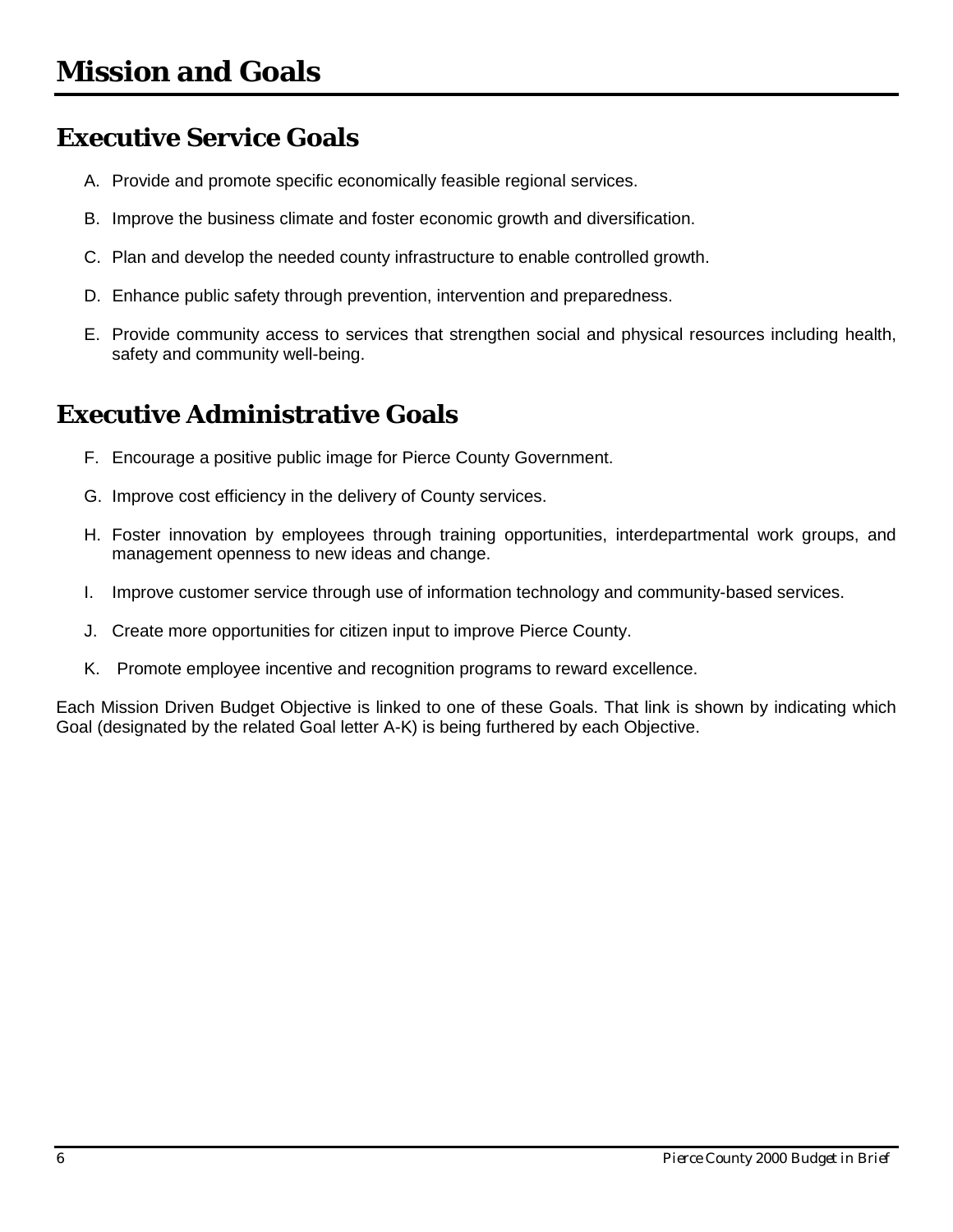### <span id="page-7-0"></span>**Executive Service Goals**

- A. Provide and promote specific economically feasible regional services.
- B. Improve the business climate and foster economic growth and diversification.
- C. Plan and develop the needed county infrastructure to enable controlled growth.
- D. Enhance public safety through prevention, intervention and preparedness.
- E. Provide community access to services that strengthen social and physical resources including health, safety and community well-being.

### **Executive Administrative Goals**

- F. Encourage a positive public image for Pierce County Government.
- G. Improve cost efficiency in the delivery of County services.
- H. Foster innovation by employees through training opportunities, interdepartmental work groups, and management openness to new ideas and change.
- I. Improve customer service through use of information technology and community-based services.
- J. Create more opportunities for citizen input to improve Pierce County.
- K. Promote employee incentive and recognition programs to reward excellence.

Each Mission Driven Budget Objective is linked to one of these Goals. That link is shown by indicating which Goal (designated by the related Goal letter A-K) is being furthered by each Objective.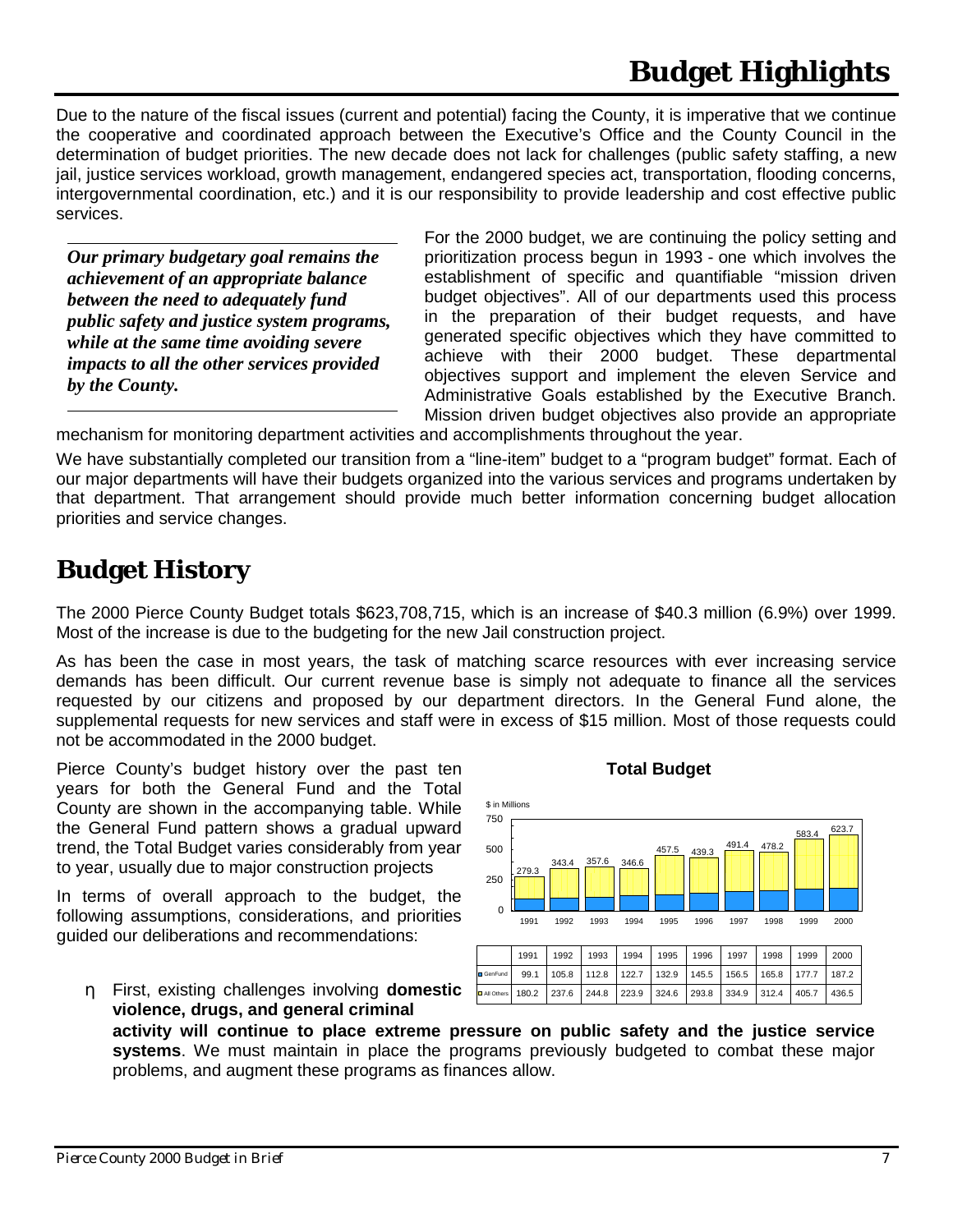<span id="page-8-0"></span>Due to the nature of the fiscal issues (current and potential) facing the County, it is imperative that we continue the cooperative and coordinated approach between the Executive's Office and the County Council in the determination of budget priorities. The new decade does not lack for challenges (public safety staffing, a new jail, justice services workload, growth management, endangered species act, transportation, flooding concerns, intergovernmental coordination, etc.) and it is our responsibility to provide leadership and cost effective public services.

*Our primary budgetary goal remains the achievement of an appropriate balance between the need to adequately fund public safety and justice system programs, while at the same time avoiding severe impacts to all the other services provided by the County.*

For the 2000 budget, we are continuing the policy setting and prioritization process begun in 1993 - one which involves the establishment of specific and quantifiable "mission driven budget objectives". All of our departments used this process in the preparation of their budget requests, and have generated specific objectives which they have committed to achieve with their 2000 budget. These departmental objectives support and implement the eleven Service and Administrative Goals established by the Executive Branch. Mission driven budget objectives also provide an appropriate

mechanism for monitoring department activities and accomplishments throughout the year.

We have substantially completed our transition from a "line-item" budget to a "program budget" format. Each of our major departments will have their budgets organized into the various services and programs undertaken by that department. That arrangement should provide much better information concerning budget allocation priorities and service changes.

### **Budget History**

The 2000 Pierce County Budget totals \$623,708,715, which is an increase of \$40.3 million (6.9%) over 1999. Most of the increase is due to the budgeting for the new Jail construction project.

As has been the case in most years, the task of matching scarce resources with ever increasing service demands has been difficult. Our current revenue base is simply not adequate to finance all the services requested by our citizens and proposed by our department directors. In the General Fund alone, the supplemental requests for new services and staff were in excess of \$15 million. Most of those requests could not be accommodated in the 2000 budget.

Pierce County's budget history over the past ten **Total Budget** years for both the General Fund and the Total County are shown in the accompanying table. While the General Fund pattern shows a gradual upward trend, the Total Budget varies considerably from year to year, usually due to major construction projects

In terms of overall approach to the budget, the following assumptions, considerations, and priorities guided our deliberations and recommendations:

η First, existing challenges involving **domestic violence, drugs, and general criminal**



180.2 237.6 244.8 223.9 324.6 293.8 334.9 312.4 405.7 436.5

**activity will continue to place extreme pressure on public safety and the justice service systems**. We must maintain in place the programs previously budgeted to combat these major problems, and augment these programs as finances allow.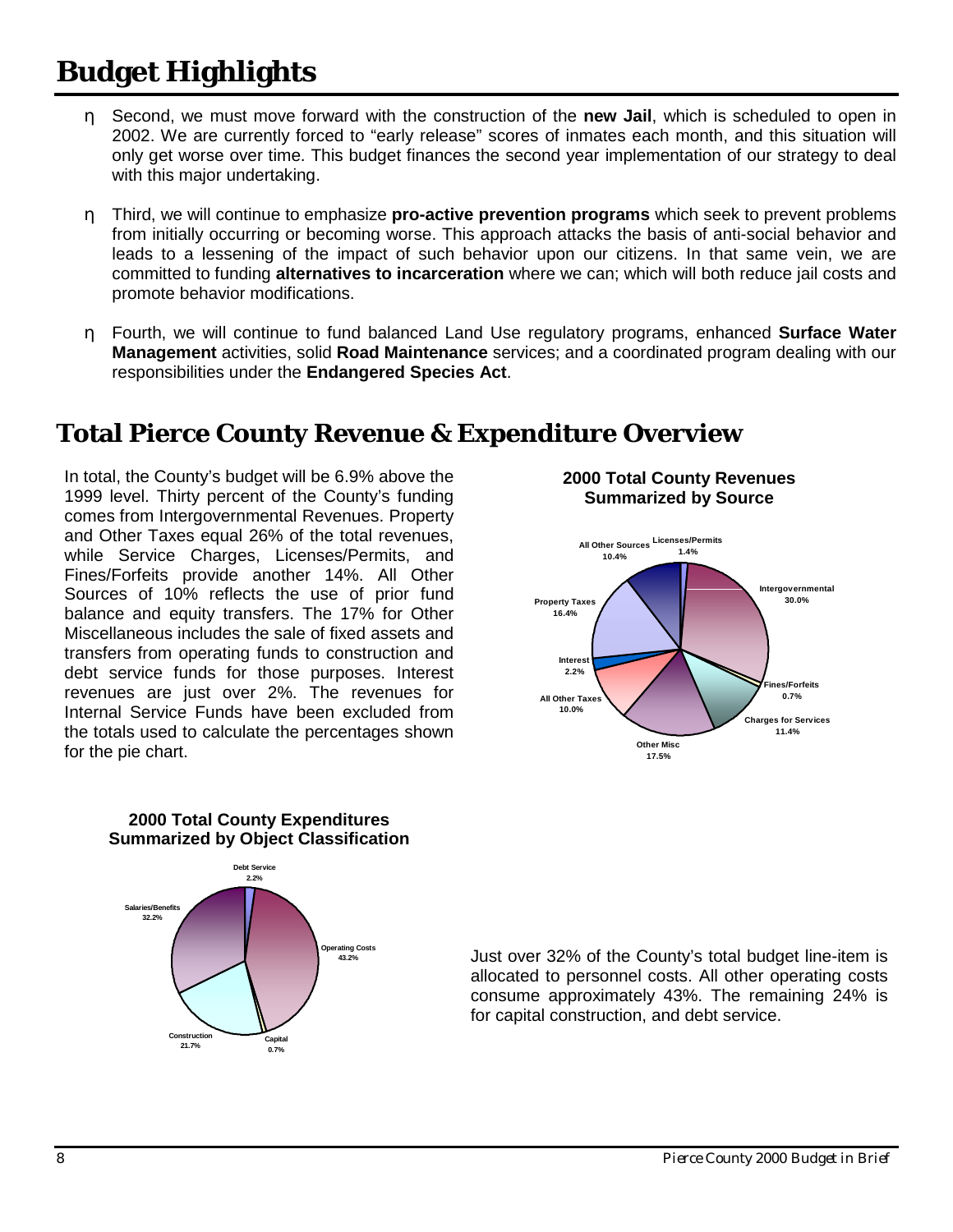# <span id="page-9-0"></span>**Budget Highlights**

- η Second, we must move forward with the construction of the **new Jail**, which is scheduled to open in 2002. We are currently forced to "early release" scores of inmates each month, and this situation will only get worse over time. This budget finances the second year implementation of our strategy to deal with this major undertaking.
- η Third, we will continue to emphasize **pro-active prevention programs** which seek to prevent problems from initially occurring or becoming worse. This approach attacks the basis of anti-social behavior and leads to a lessening of the impact of such behavior upon our citizens. In that same vein, we are committed to funding **alternatives to incarceration** where we can; which will both reduce jail costs and promote behavior modifications.
- η Fourth, we will continue to fund balanced Land Use regulatory programs, enhanced **Surface Water Management** activities, solid **Road Maintenance** services; and a coordinated program dealing with our responsibilities under the **Endangered Species Act**.

### **Total Pierce County Revenue & Expenditure Overview**

In total, the County's budget will be 6.9% above the 1999 level. Thirty percent of the County's funding comes from Intergovernmental Revenues. Property and Other Taxes equal 26% of the total revenues, while Service Charges, Licenses/Permits, and Fines/Forfeits provide another 14%. All Other Sources of 10% reflects the use of prior fund balance and equity transfers. The 17% for Other Miscellaneous includes the sale of fixed assets and transfers from operating funds to construction and debt service funds for those purposes. Interest revenues are just over 2%. The revenues for Internal Service Funds have been excluded from the totals used to calculate the percentages shown for the pie chart.



**2000 Total County Revenues**





Just over 32% of the County's total budget line-item is allocated to personnel costs. All other operating costs consume approximately 43%. The remaining 24% is for capital construction, and debt service.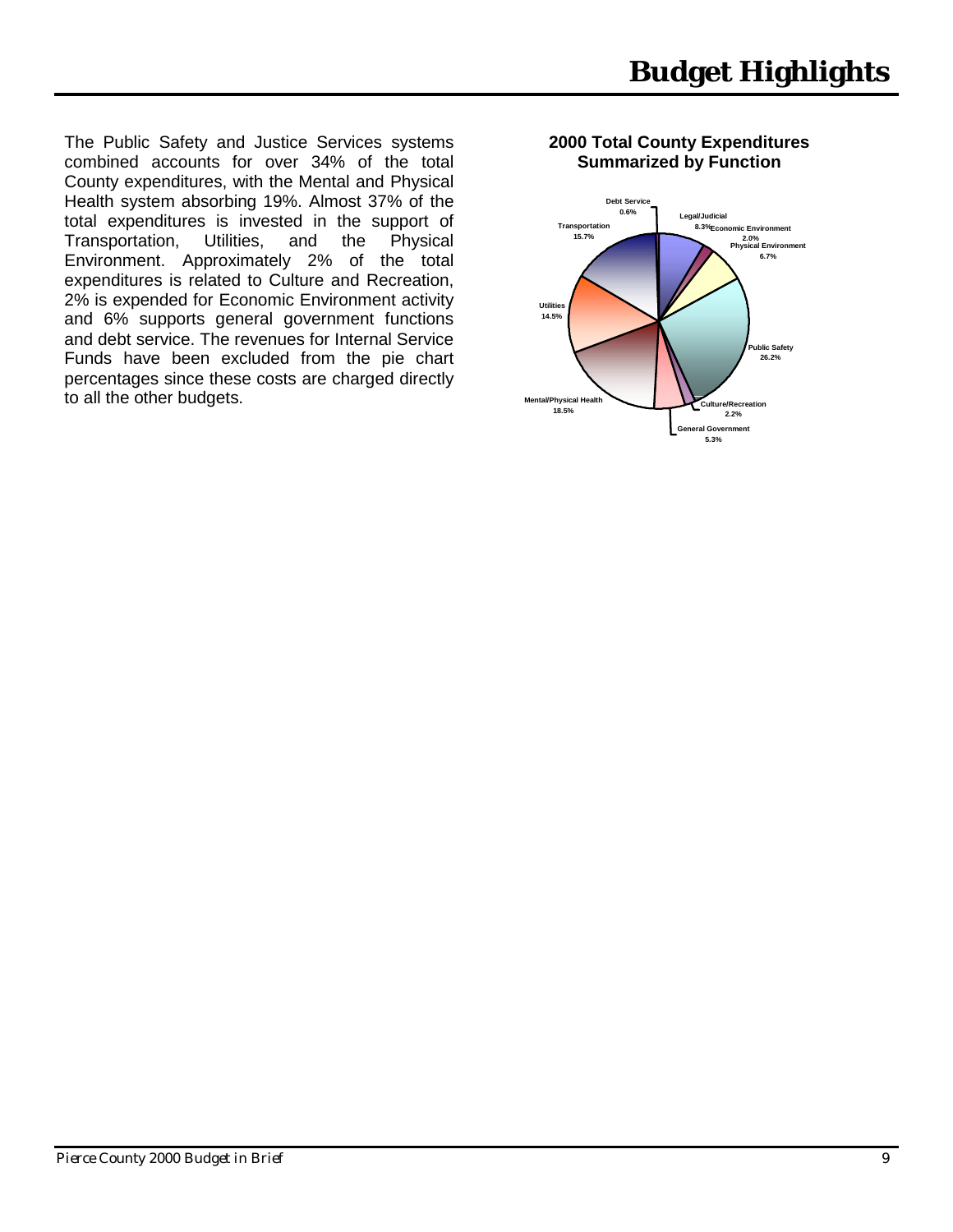The Public Safety and Justice Services systems combined accounts for over 34% of the total County expenditures, with the Mental and Physical Health system absorbing 19%. Almost 37% of the total expenditures is invested in the support of Transportation, Utilities, and the Physical Environment. Approximately 2% of the total expenditures is related to Culture and Recreation, 2% is expended for Economic Environment activity and 6% supports general government functions and debt service. The revenues for Internal Service Funds have been excluded from the pie chart percentages since these costs are charged directly to all the other budgets.

#### **2000 Total County Expenditures Summarized by Function**

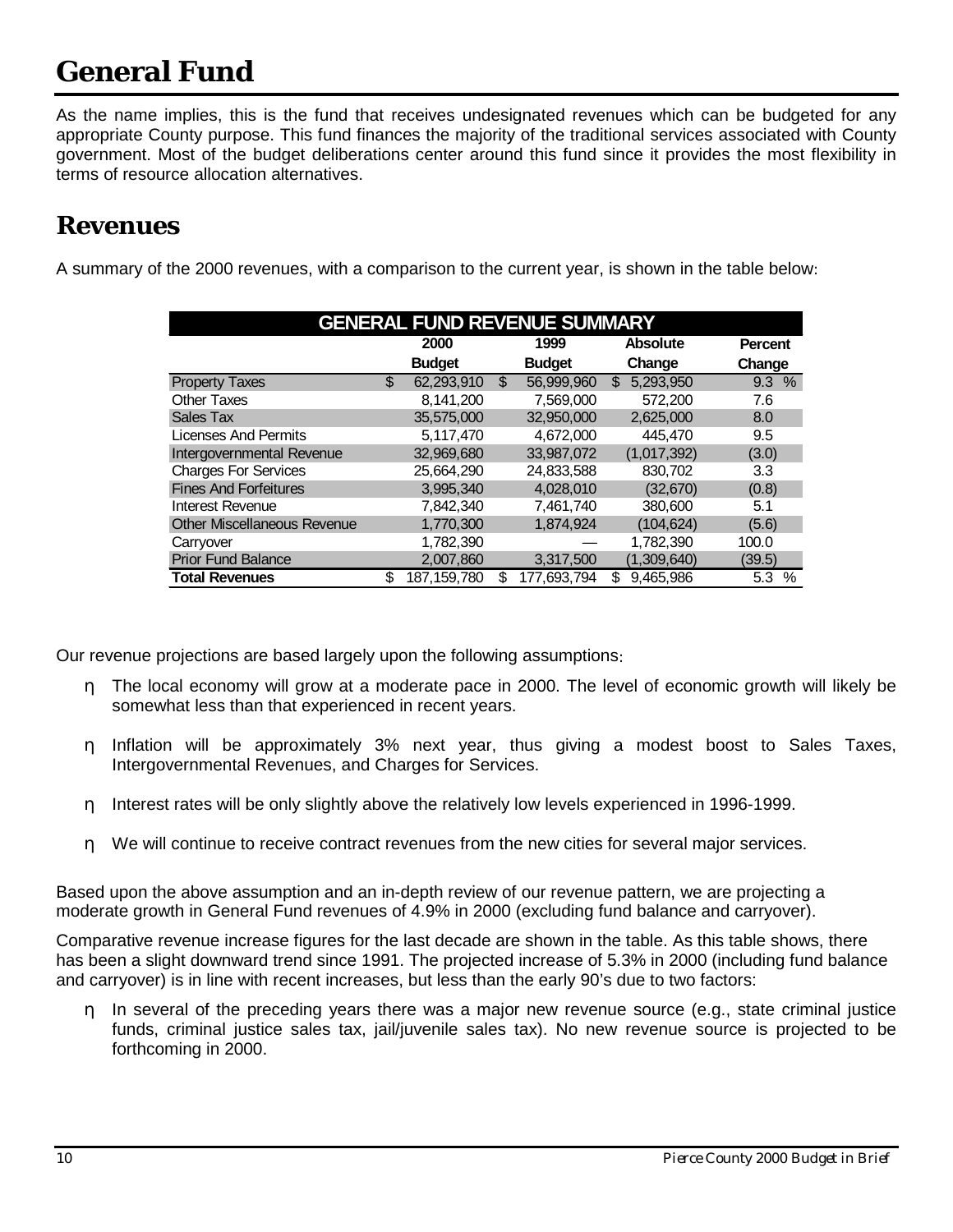<span id="page-11-0"></span>As the name implies, this is the fund that receives undesignated revenues which can be budgeted for any appropriate County purpose. This fund finances the majority of the traditional services associated with County government. Most of the budget deliberations center around this fund since it provides the most flexibility in terms of resource allocation alternatives.

### **Revenues**

A summary of the 2000 revenues, with a comparison to the current year, is shown in the table below:

| <b>GENERAL FUND REVENUE SUMMARY</b> |    |               |    |               |                  |                |  |  |  |
|-------------------------------------|----|---------------|----|---------------|------------------|----------------|--|--|--|
|                                     |    | 2000          |    | 1999          | <b>Absolute</b>  | <b>Percent</b> |  |  |  |
|                                     |    | <b>Budget</b> |    | <b>Budget</b> | Change           | Change         |  |  |  |
| <b>Property Taxes</b>               | \$ | 62.293.910    | \$ | 56.999.960    | 5.293.950<br>\$. | 9.3%           |  |  |  |
| <b>Other Taxes</b>                  |    | 8,141,200     |    | 7,569,000     | 572.200          | 7.6            |  |  |  |
| Sales Tax                           |    | 35,575,000    |    | 32.950.000    | 2,625,000        | 8.0            |  |  |  |
| <b>Licenses And Permits</b>         |    | 5,117,470     |    | 4,672,000     | 445.470          | 9.5            |  |  |  |
| Intergovernmental Revenue           |    | 32,969,680    |    | 33,987,072    | (1,017,392)      | (3.0)          |  |  |  |
| <b>Charges For Services</b>         |    | 25,664,290    |    | 24,833,588    | 830,702          | 3.3            |  |  |  |
| <b>Fines And Forfeitures</b>        |    | 3,995,340     |    | 4,028,010     | (32, 670)        | (0.8)          |  |  |  |
| Interest Revenue                    |    | 7,842,340     |    | 7,461,740     | 380,600          | 5.1            |  |  |  |
| <b>Other Miscellaneous Revenue</b>  |    | 1,770,300     |    | 1,874,924     | (104, 624)       | (5.6)          |  |  |  |
| Carryover                           |    | 1,782,390     |    |               | 1,782,390        | 100.0          |  |  |  |
| <b>Prior Fund Balance</b>           |    | 2,007,860     |    | 3,317,500     | (1,309,640)      | (39.5)         |  |  |  |
| <b>Total Revenues</b>               | \$ | 187, 159, 780 | \$ | 177,693,794   | 9,465,986<br>\$. | 5.3<br>$\%$    |  |  |  |

Our revenue projections are based largely upon the following assumptions:

- η The local economy will grow at a moderate pace in 2000. The level of economic growth will likely be somewhat less than that experienced in recent years.
- η Inflation will be approximately 3% next year, thus giving a modest boost to Sales Taxes, Intergovernmental Revenues, and Charges for Services.
- η Interest rates will be only slightly above the relatively low levels experienced in 1996-1999.
- η We will continue to receive contract revenues from the new cities for several major services.

Based upon the above assumption and an in-depth review of our revenue pattern, we are projecting a moderate growth in General Fund revenues of 4.9% in 2000 (excluding fund balance and carryover).

Comparative revenue increase figures for the last decade are shown in the table. As this table shows, there has been a slight downward trend since 1991. The projected increase of 5.3% in 2000 (including fund balance and carryover) is in line with recent increases, but less than the early 90's due to two factors:

η In several of the preceding years there was a major new revenue source (e.g., state criminal justice funds, criminal justice sales tax, jail/juvenile sales tax). No new revenue source is projected to be forthcoming in 2000.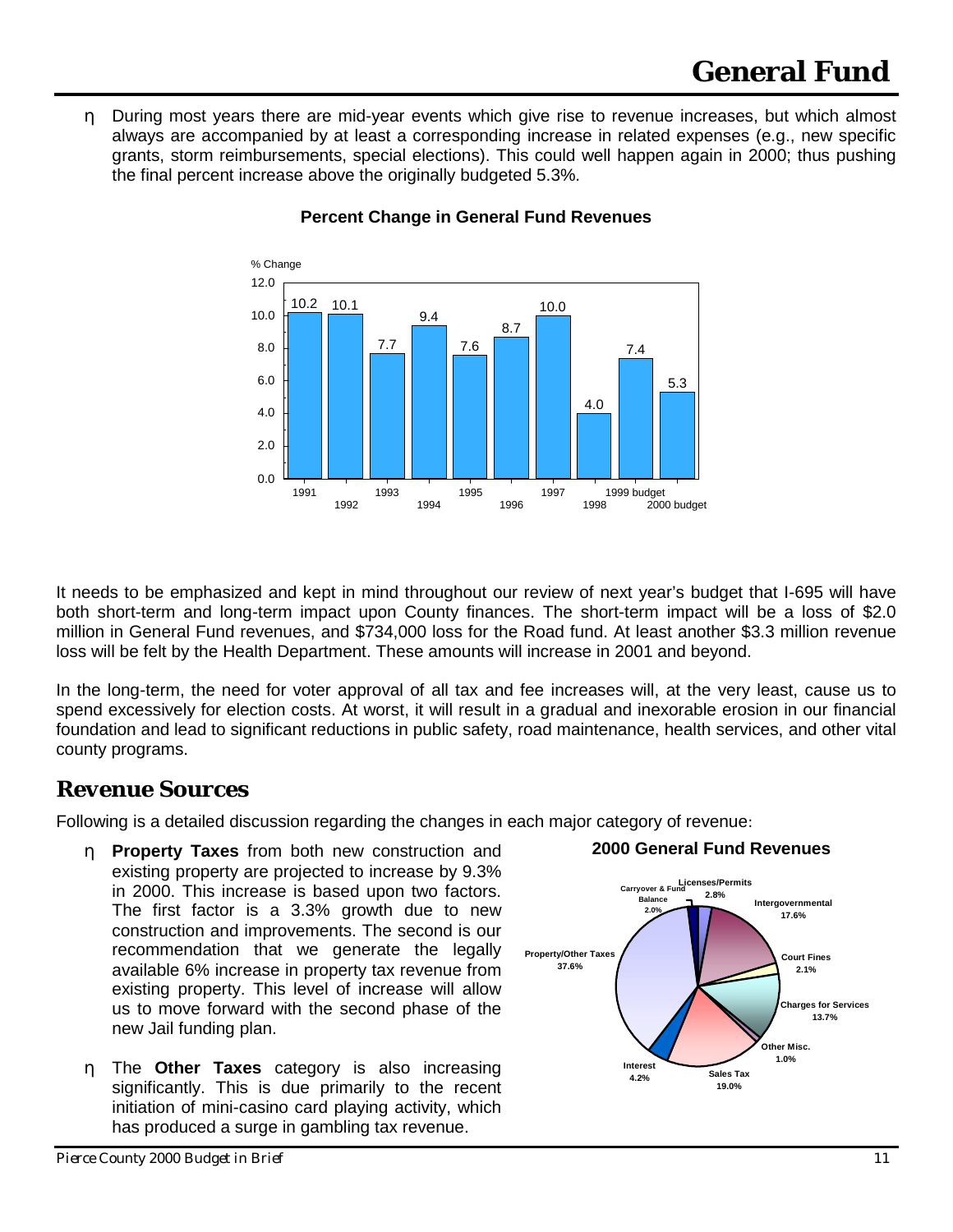<span id="page-12-0"></span>η During most years there are mid-year events which give rise to revenue increases, but which almost always are accompanied by at least a corresponding increase in related expenses (e.g., new specific grants, storm reimbursements, special elections). This could well happen again in 2000; thus pushing the final percent increase above the originally budgeted 5.3%.



#### **Percent Change in General Fund Revenues**

It needs to be emphasized and kept in mind throughout our review of next year's budget that I-695 will have both short-term and long-term impact upon County finances. The short-term impact will be a loss of \$2.0 million in General Fund revenues, and \$734,000 loss for the Road fund. At least another \$3.3 million revenue loss will be felt by the Health Department. These amounts will increase in 2001 and beyond.

In the long-term, the need for voter approval of all tax and fee increases will, at the very least, cause us to spend excessively for election costs. At worst, it will result in a gradual and inexorable erosion in our financial foundation and lead to significant reductions in public safety, road maintenance, health services, and other vital county programs.

### *Revenue Sources*

Following is a detailed discussion regarding the changes in each major category of revenue:

- η **Property Taxes** from both new construction and existing property are projected to increase by 9.3% in 2000. This increase is based upon two factors. The first factor is a 3.3% growth due to new construction and improvements. The second is our recommendation that we generate the legally available 6% increase in property tax revenue from existing property. This level of increase will allow us to move forward with the second phase of the new Jail funding plan.
- η The **Other Taxes** category is also increasing significantly. This is due primarily to the recent initiation of mini-casino card playing activity, which has produced a surge in gambling tax revenue.



### **2000 General Fund Revenues**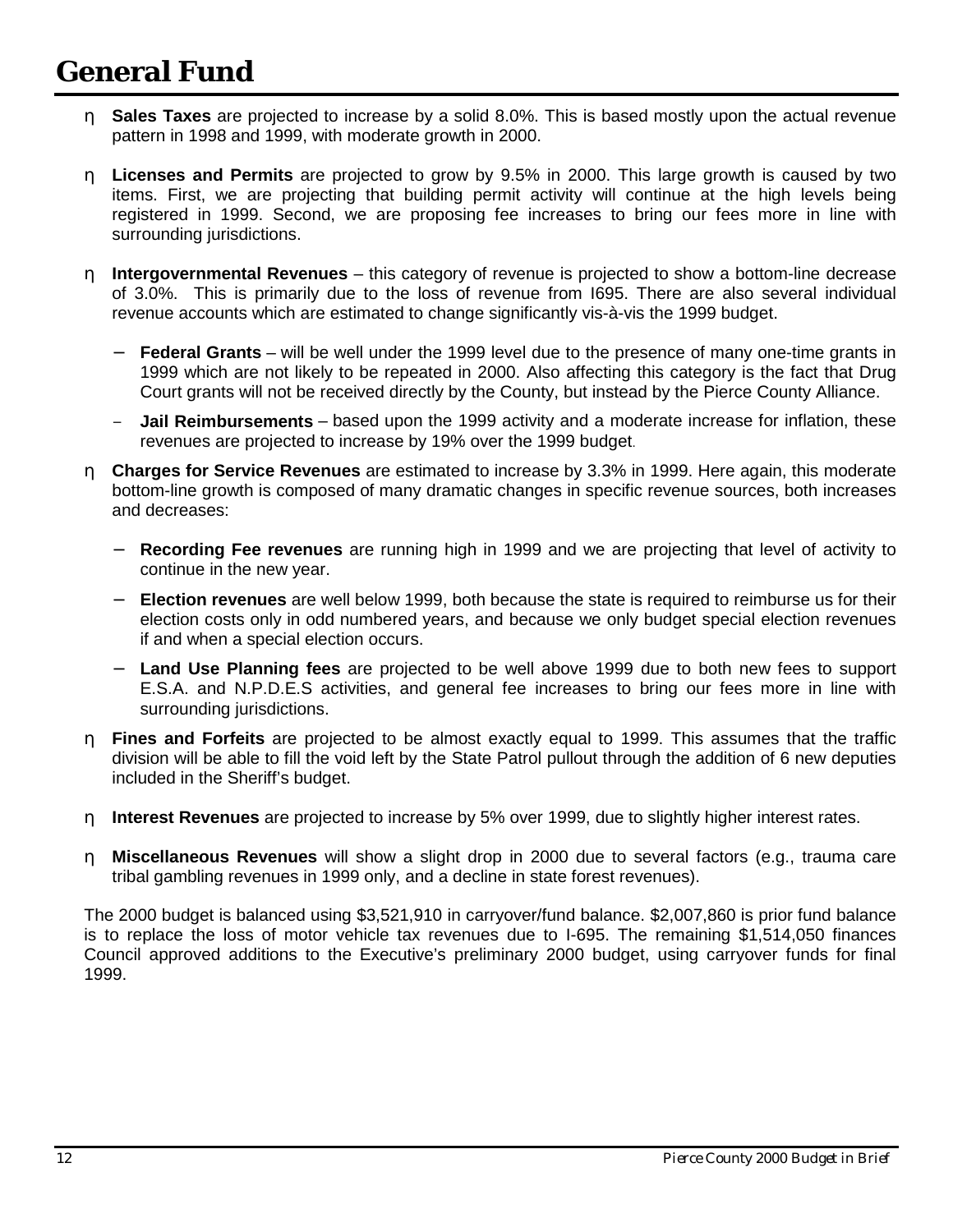- η **Sales Taxes** are projected to increase by a solid 8.0%. This is based mostly upon the actual revenue pattern in 1998 and 1999, with moderate growth in 2000.
- η **Licenses and Permits** are projected to grow by 9.5% in 2000. This large growth is caused by two items. First, we are projecting that building permit activity will continue at the high levels being registered in 1999. Second, we are proposing fee increases to bring our fees more in line with surrounding jurisdictions.
- η **Intergovernmental Revenues** this category of revenue is projected to show a bottom-line decrease of 3.0%. This is primarily due to the loss of revenue from I695. There are also several individual revenue accounts which are estimated to change significantly vis-à-vis the 1999 budget.
	- − **Federal Grants** will be well under the 1999 level due to the presence of many one-time grants in 1999 which are not likely to be repeated in 2000. Also affecting this category is the fact that Drug Court grants will not be received directly by the County, but instead by the Pierce County Alliance.
	- − **Jail Reimbursements** based upon the 1999 activity and a moderate increase for inflation, these revenues are projected to increase by 19% over the 1999 budget.
- η **Charges for Service Revenues** are estimated to increase by 3.3% in 1999. Here again, this moderate bottom-line growth is composed of many dramatic changes in specific revenue sources, both increases and decreases:
	- − **Recording Fee revenues** are running high in 1999 and we are projecting that level of activity to continue in the new year.
	- − **Election revenues** are well below 1999, both because the state is required to reimburse us for their election costs only in odd numbered years, and because we only budget special election revenues if and when a special election occurs.
	- − **Land Use Planning fees** are projected to be well above 1999 due to both new fees to support E.S.A. and N.P.D.E.S activities, and general fee increases to bring our fees more in line with surrounding jurisdictions.
- η **Fines and Forfeits** are projected to be almost exactly equal to 1999. This assumes that the traffic division will be able to fill the void left by the State Patrol pullout through the addition of 6 new deputies included in the Sheriff's budget.
- η **Interest Revenues** are projected to increase by 5% over 1999, due to slightly higher interest rates.
- η **Miscellaneous Revenues** will show a slight drop in 2000 due to several factors (e.g., trauma care tribal gambling revenues in 1999 only, and a decline in state forest revenues).

The 2000 budget is balanced using \$3,521,910 in carryover/fund balance. \$2,007,860 is prior fund balance is to replace the loss of motor vehicle tax revenues due to I-695. The remaining \$1,514,050 finances Council approved additions to the Executive's preliminary 2000 budget, using carryover funds for final 1999.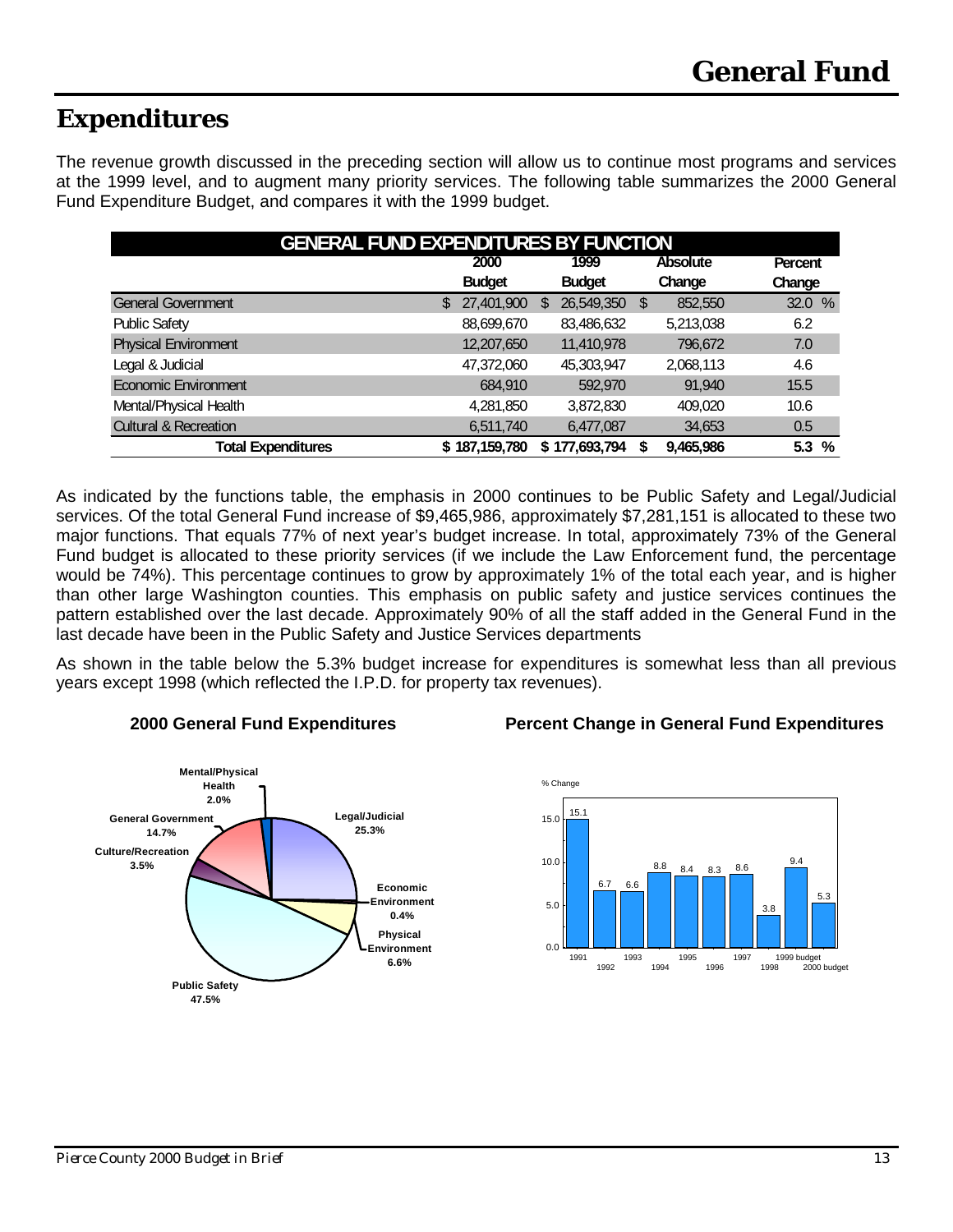### **Expenditures**

The revenue growth discussed in the preceding section will allow us to continue most programs and services at the 1999 level, and to augment many priority services. The following table summarizes the 2000 General Fund Expenditure Budget, and compares it with the 1999 budget.

| <b>GENERAL FUND EXPENDITURES BY FUNCTION</b> |    |               |   |               |      |           |         |  |
|----------------------------------------------|----|---------------|---|---------------|------|-----------|---------|--|
|                                              |    | 2000          |   | 1999          |      | Absolute  | Percent |  |
|                                              |    | <b>Budget</b> |   | <b>Budget</b> |      | Change    | Change  |  |
| <b>General Government</b>                    | \$ | 27,401,900    | S | 26,549,350    | - \$ | 852,550   | 32.0%   |  |
| <b>Public Safety</b>                         |    | 88,699,670    |   | 83,486,632    |      | 5,213,038 | 6.2     |  |
| <b>Physical Environment</b>                  |    | 12,207,650    |   | 11,410,978    |      | 796,672   | 7.0     |  |
| Legal & Judicial                             |    | 47,372,060    |   | 45,303,947    |      | 2,068,113 | 4.6     |  |
| <b>Economic Environment</b>                  |    | 684,910       |   | 592,970       |      | 91,940    | 15.5    |  |
| Mental/Physical Health                       |    | 4,281,850     |   | 3,872,830     |      | 409.020   | 10.6    |  |
| <b>Cultural &amp; Recreation</b>             |    | 6,511,740     |   | 6,477,087     |      | 34,653    | 0.5     |  |
| <b>Total Expenditures</b>                    |    | \$187,159,780 | S | 177,693,794   |      | 9,465,986 | 5.3%    |  |

As indicated by the functions table, the emphasis in 2000 continues to be Public Safety and Legal/Judicial services. Of the total General Fund increase of \$9,465,986, approximately \$7,281,151 is allocated to these two major functions. That equals 77% of next year's budget increase. In total, approximately 73% of the General Fund budget is allocated to these priority services (if we include the Law Enforcement fund, the percentage would be 74%). This percentage continues to grow by approximately 1% of the total each year, and is higher than other large Washington counties. This emphasis on public safety and justice services continues the pattern established over the last decade. Approximately 90% of all the staff added in the General Fund in the last decade have been in the Public Safety and Justice Services departments

As shown in the table below the 5.3% budget increase for expenditures is somewhat less than all previous years except 1998 (which reflected the I.P.D. for property tax revenues).



#### **2000 General Fund Expenditures Percent Change in General Fund Expenditures**

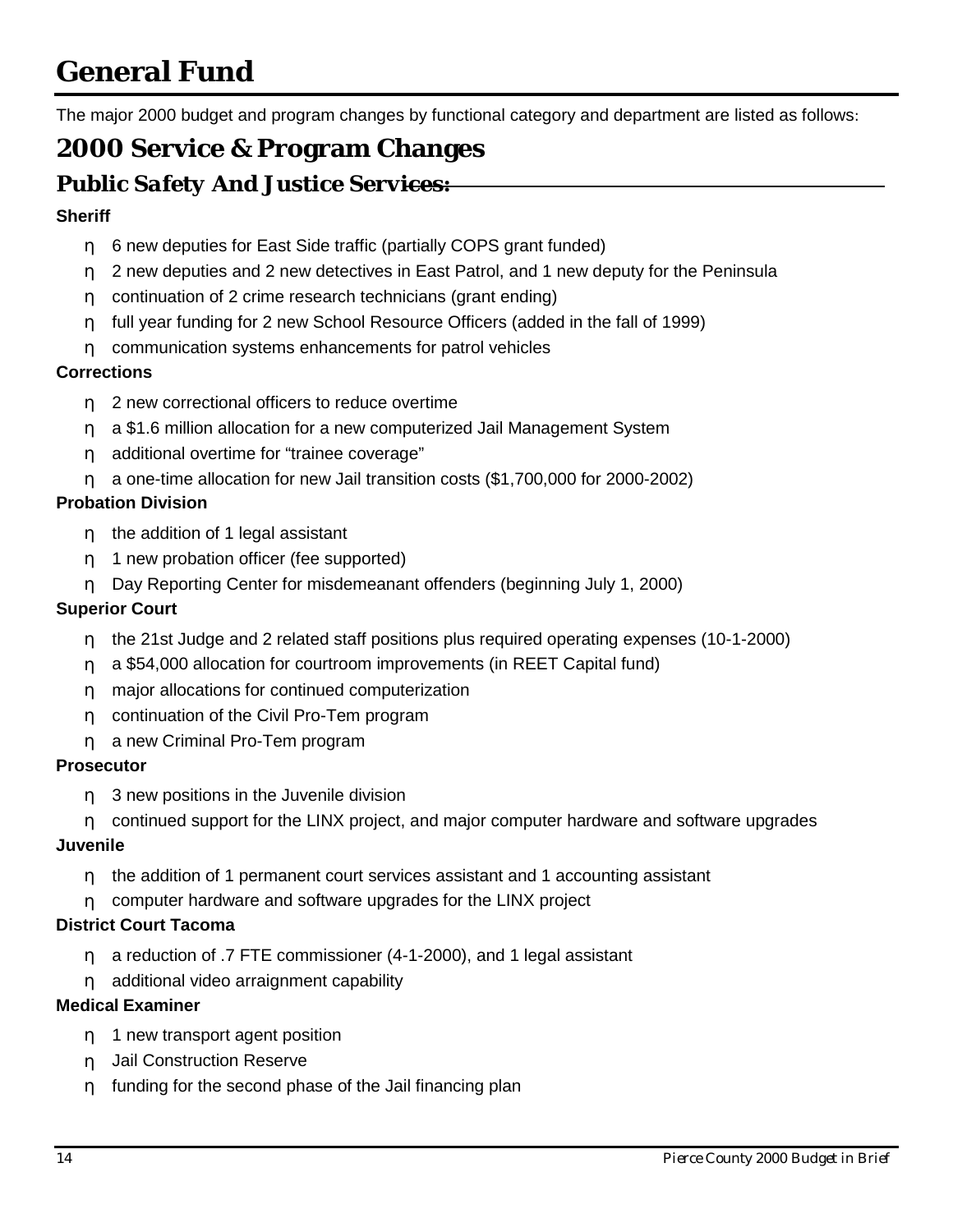<span id="page-15-0"></span>The major 2000 budget and program changes by functional category and department are listed as follows:

### **2000 Service & Program Changes**

### *Public Safety And Justice Services:*

#### **Sheriff**

- η 6 new deputies for East Side traffic (partially COPS grant funded)
- η 2 new deputies and 2 new detectives in East Patrol, and 1 new deputy for the Peninsula
- η continuation of 2 crime research technicians (grant ending)
- η full year funding for 2 new School Resource Officers (added in the fall of 1999)
- η communication systems enhancements for patrol vehicles

#### **Corrections**

- n 2 new correctional officers to reduce overtime
- η a \$1.6 million allocation for a new computerized Jail Management System
- η additional overtime for "trainee coverage"
- η a one-time allocation for new Jail transition costs (\$1,700,000 for 2000-2002)

#### **Probation Division**

- η the addition of 1 legal assistant
- η 1 new probation officer (fee supported)
- η Day Reporting Center for misdemeanant offenders (beginning July 1, 2000)

#### **Superior Court**

- η the 21st Judge and 2 related staff positions plus required operating expenses (10-1-2000)
- η a \$54,000 allocation for courtroom improvements (in REET Capital fund)
- η major allocations for continued computerization
- η continuation of the Civil Pro-Tem program
- η a new Criminal Pro-Tem program

#### **Prosecutor**

- η 3 new positions in the Juvenile division
- η continued support for the LINX project, and major computer hardware and software upgrades

#### **Juvenile**

- η the addition of 1 permanent court services assistant and 1 accounting assistant
- η computer hardware and software upgrades for the LINX project

#### **District Court Tacoma**

- η a reduction of .7 FTE commissioner (4-1-2000), and 1 legal assistant
- η additional video arraignment capability

#### **Medical Examiner**

- η 1 new transport agent position
- η Jail Construction Reserve
- η funding for the second phase of the Jail financing plan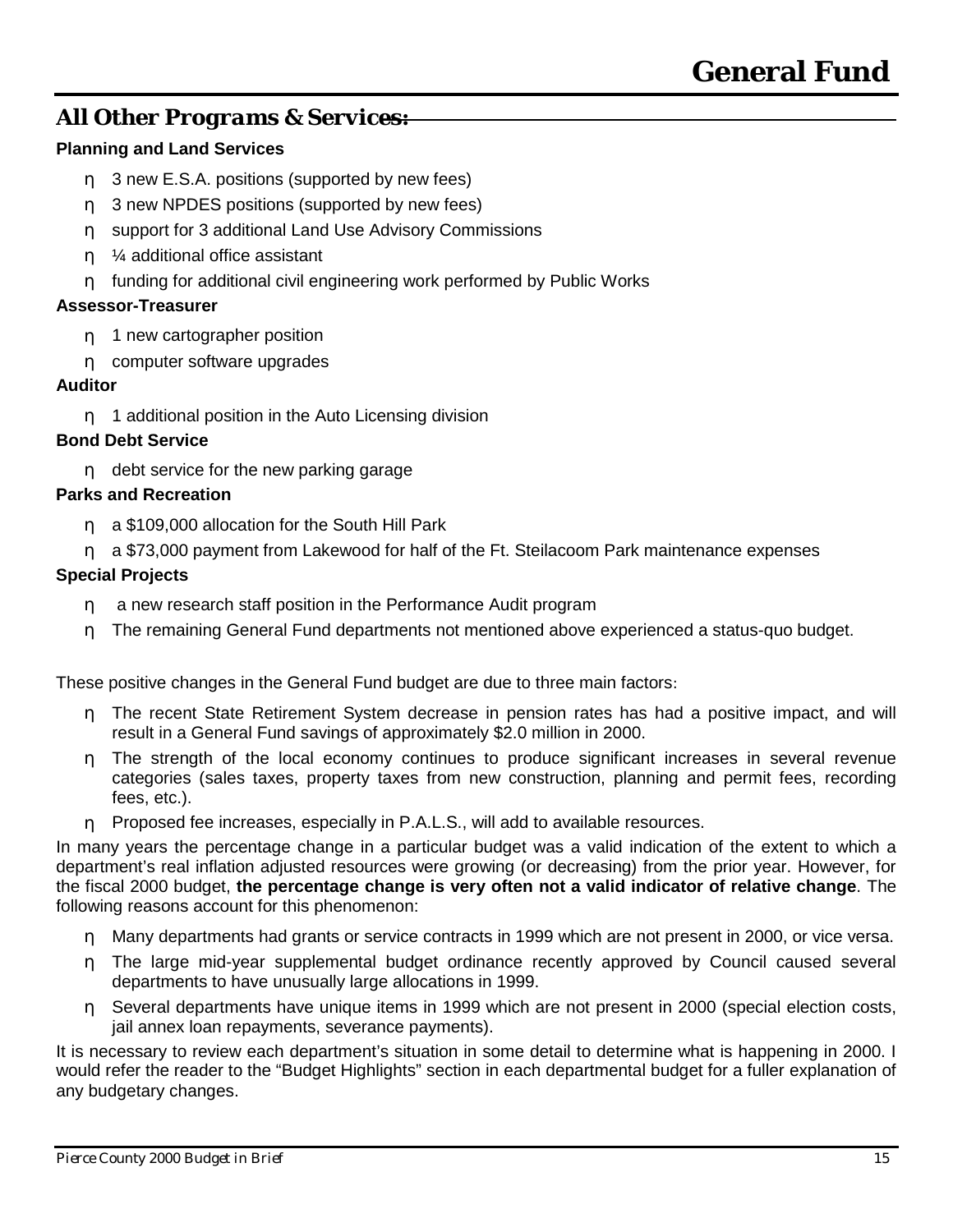### *All Other Programs & Services:*

#### **Planning and Land Services**

- η 3 new E.S.A. positions (supported by new fees)
- η 3 new NPDES positions (supported by new fees)
- η support for 3 additional Land Use Advisory Commissions
- η ¼ additional office assistant
- η funding for additional civil engineering work performed by Public Works

#### **Assessor-Treasurer**

- η 1 new cartographer position
- η computer software upgrades

#### **Auditor**

η 1 additional position in the Auto Licensing division

#### **Bond Debt Service**

η debt service for the new parking garage

#### **Parks and Recreation**

- n a \$109,000 allocation for the South Hill Park
- η a \$73,000 payment from Lakewood for half of the Ft. Steilacoom Park maintenance expenses

#### **Special Projects**

- η a new research staff position in the Performance Audit program
- η The remaining General Fund departments not mentioned above experienced a status-quo budget.

These positive changes in the General Fund budget are due to three main factors:

- η The recent State Retirement System decrease in pension rates has had a positive impact, and will result in a General Fund savings of approximately \$2.0 million in 2000.
- η The strength of the local economy continues to produce significant increases in several revenue categories (sales taxes, property taxes from new construction, planning and permit fees, recording fees, etc.).
- η Proposed fee increases, especially in P.A.L.S., will add to available resources.

In many years the percentage change in a particular budget was a valid indication of the extent to which a department's real inflation adjusted resources were growing (or decreasing) from the prior year. However, for the fiscal 2000 budget, **the percentage change is very often not a valid indicator of relative change**. The following reasons account for this phenomenon:

- η Many departments had grants or service contracts in 1999 which are not present in 2000, or vice versa.
- η The large mid-year supplemental budget ordinance recently approved by Council caused several departments to have unusually large allocations in 1999.
- η Several departments have unique items in 1999 which are not present in 2000 (special election costs, jail annex loan repayments, severance payments).

It is necessary to review each department's situation in some detail to determine what is happening in 2000. I would refer the reader to the "Budget Highlights" section in each departmental budget for a fuller explanation of any budgetary changes.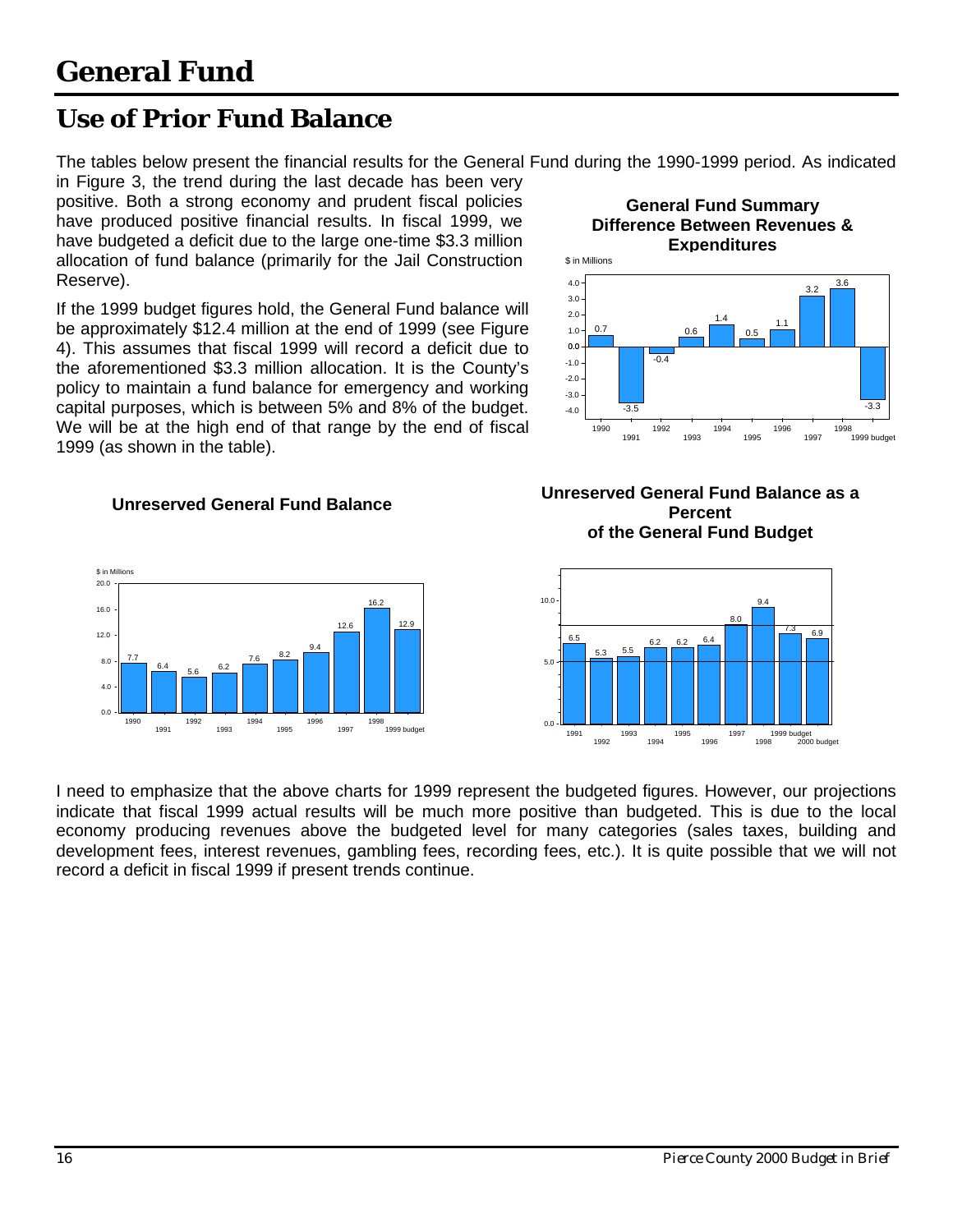7.7

1990

0.0 4.0 8.0 12.0 16.0 20.0 \$ in Millions

1991

 $\frac{6.4}{5.6}$  6.2

1992 1993

### <span id="page-17-0"></span>**Use of Prior Fund Balance**

The tables below present the financial results for the General Fund during the 1990-1999 period. As indicated

in Figure 3, the trend during the last decade has been very positive. Both a strong economy and prudent fiscal policies have produced positive financial results. In fiscal 1999, we have budgeted a deficit due to the large one-time \$3.3 million allocation of fund balance (primarily for the Jail Construction Reserve).

If the 1999 budget figures hold, the General Fund balance will be approximately \$12.4 million at the end of 1999 (see Figure 4). This assumes that fiscal 1999 will record a deficit due to the aforementioned \$3.3 million allocation. It is the County's policy to maintain a fund balance for emergency and working capital purposes, which is between 5% and 8% of the budget. We will be at the high end of that range by the end of fiscal 1999 (as shown in the table).

7.6  $\frac{8.2}{ }$  9.4

1996 1997

1994 1995 12.6

16.2

1998 1999 budget

 $12.9c$ 





#### **Unreserved General Fund Balance as a Percent of the General Fund Budget**



I need to emphasize that the above charts for 1999 represent the budgeted figures. However, our projections indicate that fiscal 1999 actual results will be much more positive than budgeted. This is due to the local economy producing revenues above the budgeted level for many categories (sales taxes, building and development fees, interest revenues, gambling fees, recording fees, etc.). It is quite possible that we will not record a deficit in fiscal 1999 if present trends continue.

#### **Unreserved General Fund Balance**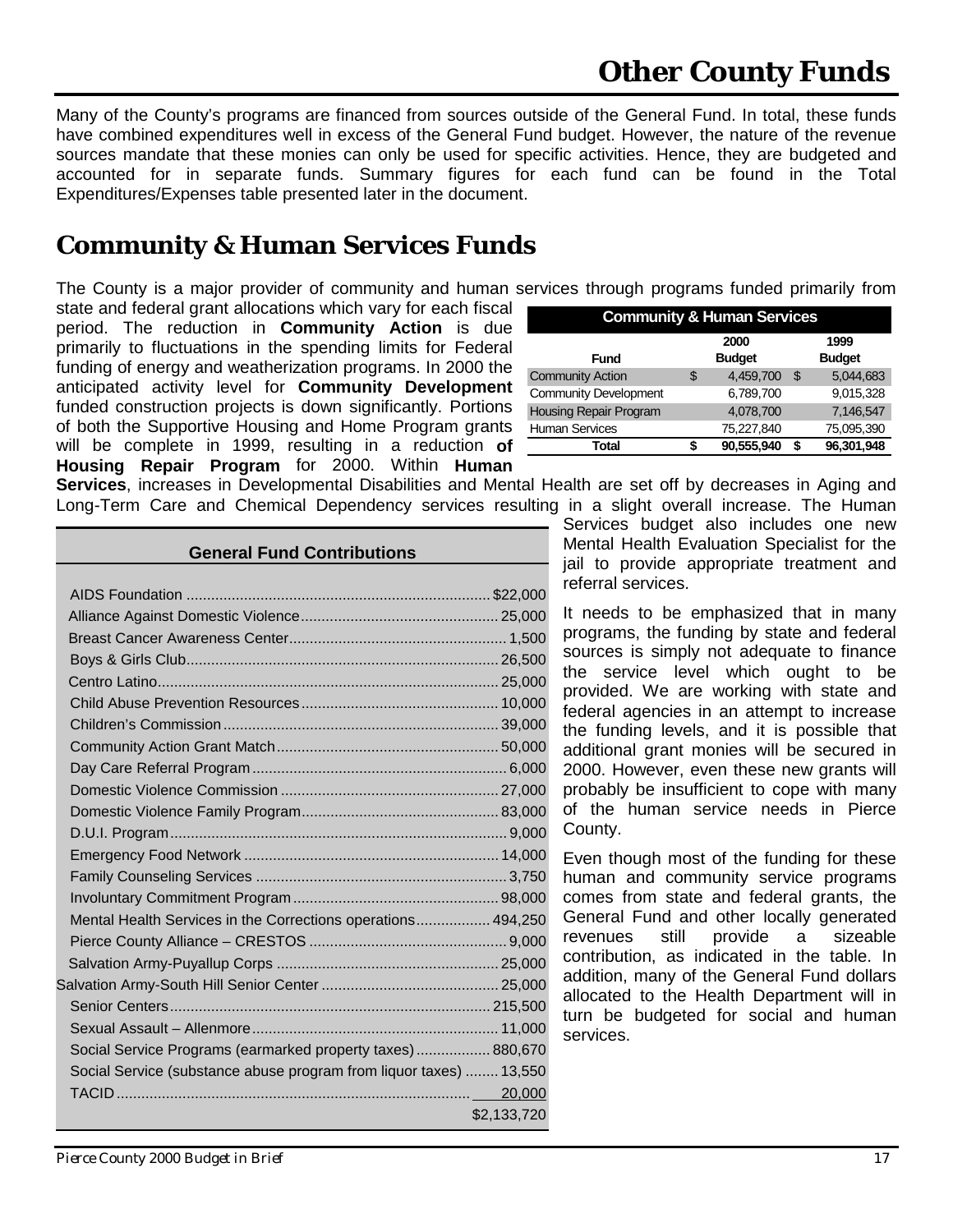<span id="page-18-0"></span>Many of the County's programs are financed from sources outside of the General Fund. In total, these funds have combined expenditures well in excess of the General Fund budget. However, the nature of the revenue sources mandate that these monies can only be used for specific activities. Hence, they are budgeted and accounted for in separate funds. Summary figures for each fund can be found in the Total Expenditures/Expenses table presented later in the document.

### **Community & Human Services Funds**

The County is a major provider of community and human services through programs funded primarily from

state and federal grant allocations which vary for each fiscal period. The reduction in **Community Action** is due primarily to fluctuations in the spending limits for Federal funding of energy and weatherization programs. In 2000 the anticipated activity level for **Community Development** funded construction projects is down significantly. Portions of both the Supportive Housing and Home Program grants will be complete in 1999, resulting in a reduction **of Housing Repair Program** for 2000. Within **Human**

| <b>Community &amp; Human Services</b> |    |               |                |               |  |  |  |
|---------------------------------------|----|---------------|----------------|---------------|--|--|--|
|                                       |    | 2000          |                | 1999          |  |  |  |
| Fund                                  |    | <b>Budget</b> |                | <b>Budget</b> |  |  |  |
| <b>Community Action</b>               | \$ | 4.459.700     | $\mathfrak{L}$ | 5.044.683     |  |  |  |
| <b>Community Development</b>          |    | 6,789,700     |                | 9,015,328     |  |  |  |
| Housing Repair Program                |    | 4,078,700     |                | 7,146,547     |  |  |  |
| <b>Human Services</b>                 |    | 75,227,840    |                | 75,095,390    |  |  |  |
| Total                                 |    | 90,555,940    |                | 96,301,948    |  |  |  |

**Services**, increases in Developmental Disabilities and Mental Health are set off by decreases in Aging and Long-Term Care and Chemical Dependency services resulting in a slight overall increase. The Human

| <b>General Fund Contributions</b>                                  |             |  |  |  |  |  |
|--------------------------------------------------------------------|-------------|--|--|--|--|--|
|                                                                    |             |  |  |  |  |  |
|                                                                    |             |  |  |  |  |  |
|                                                                    |             |  |  |  |  |  |
|                                                                    |             |  |  |  |  |  |
|                                                                    |             |  |  |  |  |  |
|                                                                    |             |  |  |  |  |  |
|                                                                    |             |  |  |  |  |  |
|                                                                    |             |  |  |  |  |  |
|                                                                    |             |  |  |  |  |  |
|                                                                    |             |  |  |  |  |  |
|                                                                    |             |  |  |  |  |  |
|                                                                    |             |  |  |  |  |  |
|                                                                    |             |  |  |  |  |  |
|                                                                    |             |  |  |  |  |  |
|                                                                    |             |  |  |  |  |  |
|                                                                    |             |  |  |  |  |  |
| Mental Health Services in the Corrections operations 494,250       |             |  |  |  |  |  |
|                                                                    |             |  |  |  |  |  |
|                                                                    |             |  |  |  |  |  |
|                                                                    |             |  |  |  |  |  |
|                                                                    |             |  |  |  |  |  |
|                                                                    |             |  |  |  |  |  |
| Social Service Programs (earmarked property taxes)  880,670        |             |  |  |  |  |  |
| Social Service (substance abuse program from liquor taxes)  13,550 |             |  |  |  |  |  |
|                                                                    | 20,000      |  |  |  |  |  |
|                                                                    | \$2,133,720 |  |  |  |  |  |

Services budget also includes one new Mental Health Evaluation Specialist for the jail to provide appropriate treatment and referral services.

It needs to be emphasized that in many programs, the funding by state and federal sources is simply not adequate to finance the service level which ought to be provided. We are working with state and federal agencies in an attempt to increase the funding levels, and it is possible that additional grant monies will be secured in 2000. However, even these new grants will probably be insufficient to cope with many of the human service needs in Pierce County.

Even though most of the funding for these human and community service programs comes from state and federal grants, the General Fund and other locally generated revenues still provide a sizeable contribution, as indicated in the table. In addition, many of the General Fund dollars allocated to the Health Department will in turn be budgeted for social and human services.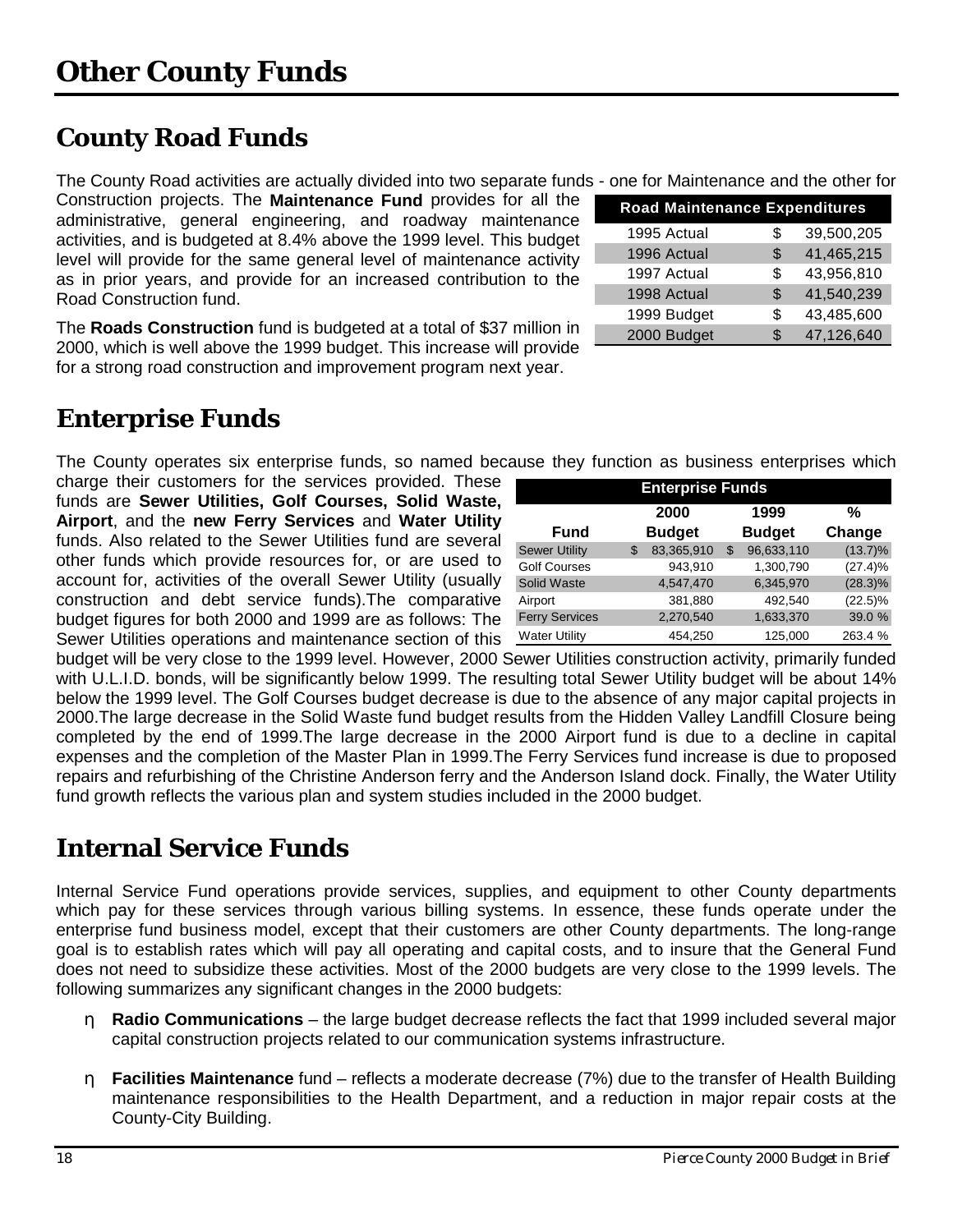# <span id="page-19-0"></span>**County Road Funds**

The County Road activities are actually divided into two separate funds

Construction projects. The **Maintenance Fund** provides for all the administrative, general engineering, and roadway maintenance activities, and is budgeted at 8.4% above the 1999 level. This budget level will provide for the same general level of maintenance activity as in prior years, and provide for an increased contribution to the Road Construction fund.

The **Roads Construction** fund is budgeted at a total of \$37 million in 2000, which is well above the 1999 budget. This increase will provide for a strong road construction and improvement program next year.

# **Enterprise Funds**

The County operates six enterprise funds, so named because they function as business enterprises which

charge their customers for the services provided. These funds are **Sewer Utilities, Golf Courses, Solid Waste, Airport**, and the **new Ferry Services** and **Water Utility** funds. Also related to the Sewer Utilities fund are several other funds which provide resources for, or are used to account for, activities of the overall Sewer Utility (usually construction and debt service funds).The comparative budget figures for both 2000 and 1999 are as follows: The Sewer Utilities operations and maintenance section of this

| <b>Enterprise Funds</b> |    |               |    |               |            |  |  |  |
|-------------------------|----|---------------|----|---------------|------------|--|--|--|
|                         |    | 2000          |    | 1999          | %          |  |  |  |
| <b>Fund</b>             |    | <b>Budget</b> |    | <b>Budget</b> | Change     |  |  |  |
| <b>Sewer Utility</b>    | \$ | 83,365,910    | \$ | 96,633,110    | $(13.7)\%$ |  |  |  |
| <b>Golf Courses</b>     |    | 943,910       |    | 1,300,790     | (27.4)%    |  |  |  |
| Solid Waste             |    | 4,547,470     |    | 6,345,970     | $(28.3)\%$ |  |  |  |
| Airport                 |    | 381,880       |    | 492,540       | $(22.5)\%$ |  |  |  |
| <b>Ferry Services</b>   |    | 2,270,540     |    | 1,633,370     | 39.0 %     |  |  |  |
| <b>Water Utility</b>    |    | 454,250       |    | 125,000       | 263.4 %    |  |  |  |

budget will be very close to the 1999 level. However, 2000 Sewer Utilities construction activity, primarily funded with U.L.I.D. bonds, will be significantly below 1999. The resulting total Sewer Utility budget will be about 14% below the 1999 level. The Golf Courses budget decrease is due to the absence of any major capital projects in 2000.The large decrease in the Solid Waste fund budget results from the Hidden Valley Landfill Closure being completed by the end of 1999.The large decrease in the 2000 Airport fund is due to a decline in capital expenses and the completion of the Master Plan in 1999.The Ferry Services fund increase is due to proposed repairs and refurbishing of the Christine Anderson ferry and the Anderson Island dock. Finally, the Water Utility fund growth reflects the various plan and system studies included in the 2000 budget.

# **Internal Service Funds**

Internal Service Fund operations provide services, supplies, and equipment to other County departments which pay for these services through various billing systems. In essence, these funds operate under the enterprise fund business model, except that their customers are other County departments. The long-range goal is to establish rates which will pay all operating and capital costs, and to insure that the General Fund does not need to subsidize these activities. Most of the 2000 budgets are very close to the 1999 levels. The following summarizes any significant changes in the 2000 budgets:

- η **Radio Communications** the large budget decrease reflects the fact that 1999 included several major capital construction projects related to our communication systems infrastructure.
- η **Facilities Maintenance** fund reflects a moderate decrease (7%) due to the transfer of Health Building maintenance responsibilities to the Health Department, and a reduction in major repair costs at the County-City Building.

|  |  |  |  |  | s - one for Maintenance and the other for |  |
|--|--|--|--|--|-------------------------------------------|--|
|  |  |  |  |  |                                           |  |

| <b>Road Maintenance Expenditures</b> |     |            |  |  |  |  |  |  |  |
|--------------------------------------|-----|------------|--|--|--|--|--|--|--|
| 1995 Actual                          | S   | 39,500,205 |  |  |  |  |  |  |  |
| 1996 Actual                          | S   | 41,465,215 |  |  |  |  |  |  |  |
| 1997 Actual                          | \$  | 43,956,810 |  |  |  |  |  |  |  |
| 1998 Actual                          | \$  | 41,540,239 |  |  |  |  |  |  |  |
| 1999 Budget                          | S   | 43,485,600 |  |  |  |  |  |  |  |
| 2000 Budget                          | \$. | 47,126,640 |  |  |  |  |  |  |  |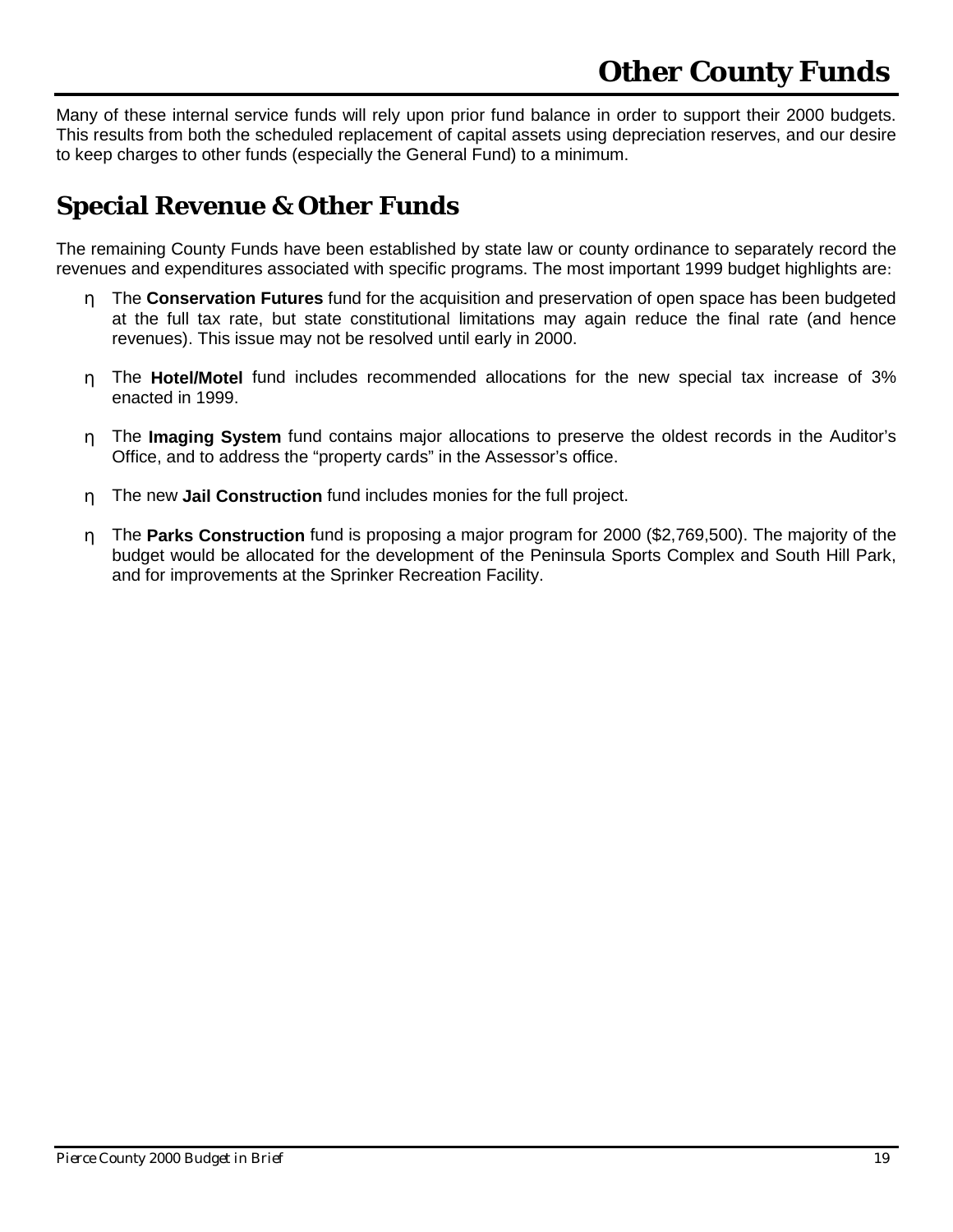<span id="page-20-0"></span>Many of these internal service funds will rely upon prior fund balance in order to support their 2000 budgets. This results from both the scheduled replacement of capital assets using depreciation reserves, and our desire to keep charges to other funds (especially the General Fund) to a minimum.

## **Special Revenue & Other Funds**

The remaining County Funds have been established by state law or county ordinance to separately record the revenues and expenditures associated with specific programs. The most important 1999 budget highlights are:

- η The **Conservation Futures** fund for the acquisition and preservation of open space has been budgeted at the full tax rate, but state constitutional limitations may again reduce the final rate (and hence revenues). This issue may not be resolved until early in 2000.
- η The **Hotel/Motel** fund includes recommended allocations for the new special tax increase of 3% enacted in 1999.
- η The **Imaging System** fund contains major allocations to preserve the oldest records in the Auditor's Office, and to address the "property cards" in the Assessor's office.
- η The new **Jail Construction** fund includes monies for the full project.
- η The **Parks Construction** fund is proposing a major program for 2000 (\$2,769,500). The majority of the budget would be allocated for the development of the Peninsula Sports Complex and South Hill Park, and for improvements at the Sprinker Recreation Facility.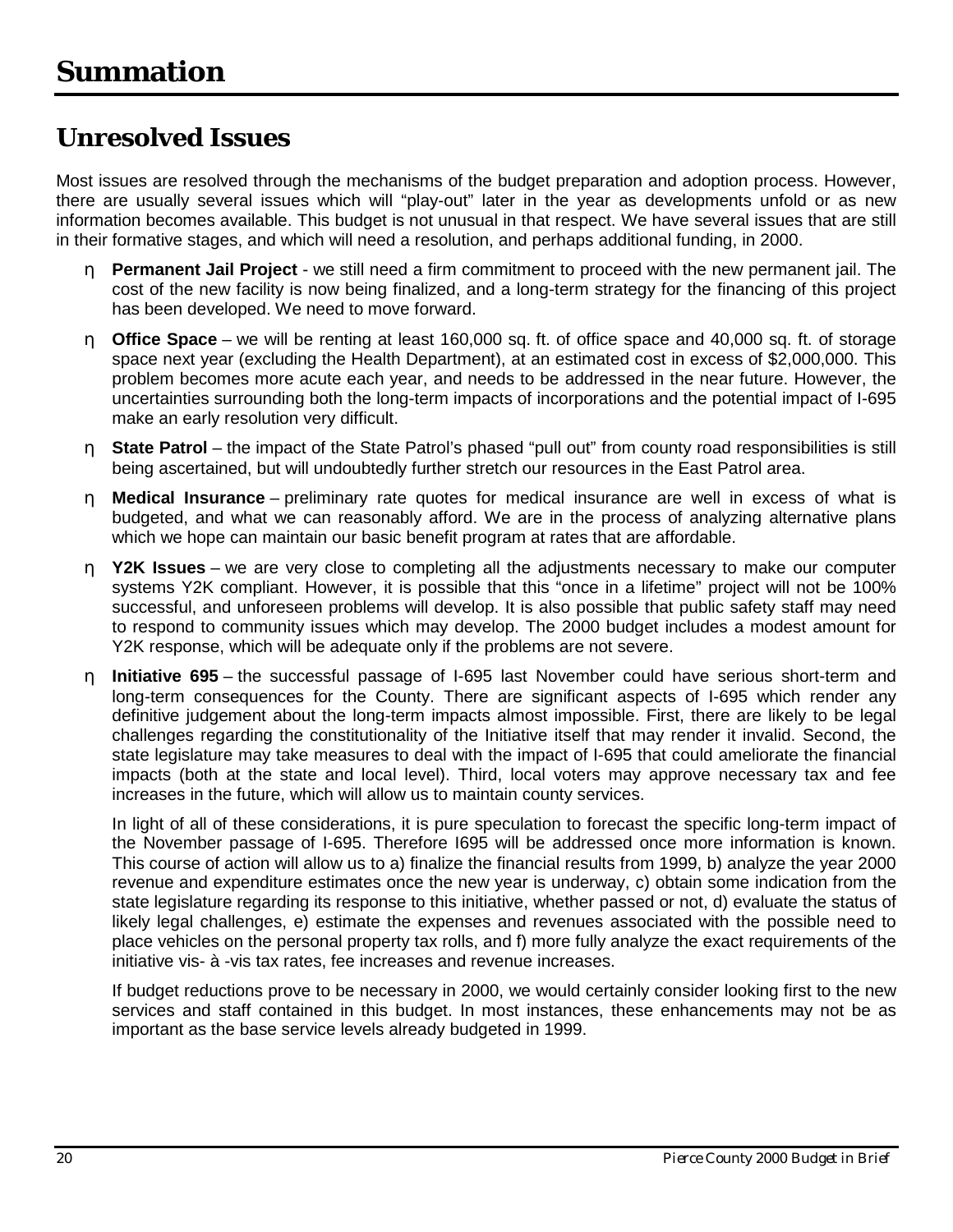### <span id="page-21-0"></span>**Unresolved Issues**

Most issues are resolved through the mechanisms of the budget preparation and adoption process. However, there are usually several issues which will "play-out" later in the year as developments unfold or as new information becomes available. This budget is not unusual in that respect. We have several issues that are still in their formative stages, and which will need a resolution, and perhaps additional funding, in 2000.

- η **Permanent Jail Project** we still need a firm commitment to proceed with the new permanent jail. The cost of the new facility is now being finalized, and a long-term strategy for the financing of this project has been developed. We need to move forward.
- η **Office Space** we will be renting at least 160,000 sq. ft. of office space and 40,000 sq. ft. of storage space next year (excluding the Health Department), at an estimated cost in excess of \$2,000,000. This problem becomes more acute each year, and needs to be addressed in the near future. However, the uncertainties surrounding both the long-term impacts of incorporations and the potential impact of I-695 make an early resolution very difficult.
- η **State Patrol** the impact of the State Patrol's phased "pull out" from county road responsibilities is still being ascertained, but will undoubtedly further stretch our resources in the East Patrol area.
- η **Medical Insurance** preliminary rate quotes for medical insurance are well in excess of what is budgeted, and what we can reasonably afford. We are in the process of analyzing alternative plans which we hope can maintain our basic benefit program at rates that are affordable.
- η **Y2K Issues** we are very close to completing all the adjustments necessary to make our computer systems Y2K compliant. However, it is possible that this "once in a lifetime" project will not be 100% successful, and unforeseen problems will develop. It is also possible that public safety staff may need to respond to community issues which may develop. The 2000 budget includes a modest amount for Y2K response, which will be adequate only if the problems are not severe.
- η **Initiative 695** the successful passage of I-695 last November could have serious short-term and long-term consequences for the County. There are significant aspects of I-695 which render any definitive judgement about the long-term impacts almost impossible. First, there are likely to be legal challenges regarding the constitutionality of the Initiative itself that may render it invalid. Second, the state legislature may take measures to deal with the impact of I-695 that could ameliorate the financial impacts (both at the state and local level). Third, local voters may approve necessary tax and fee increases in the future, which will allow us to maintain county services.

In light of all of these considerations, it is pure speculation to forecast the specific long-term impact of the November passage of I-695. Therefore I695 will be addressed once more information is known. This course of action will allow us to a) finalize the financial results from 1999, b) analyze the year 2000 revenue and expenditure estimates once the new year is underway, c) obtain some indication from the state legislature regarding its response to this initiative, whether passed or not, d) evaluate the status of likely legal challenges, e) estimate the expenses and revenues associated with the possible need to place vehicles on the personal property tax rolls, and f) more fully analyze the exact requirements of the initiative vis- à -vis tax rates, fee increases and revenue increases.

If budget reductions prove to be necessary in 2000, we would certainly consider looking first to the new services and staff contained in this budget. In most instances, these enhancements may not be as important as the base service levels already budgeted in 1999.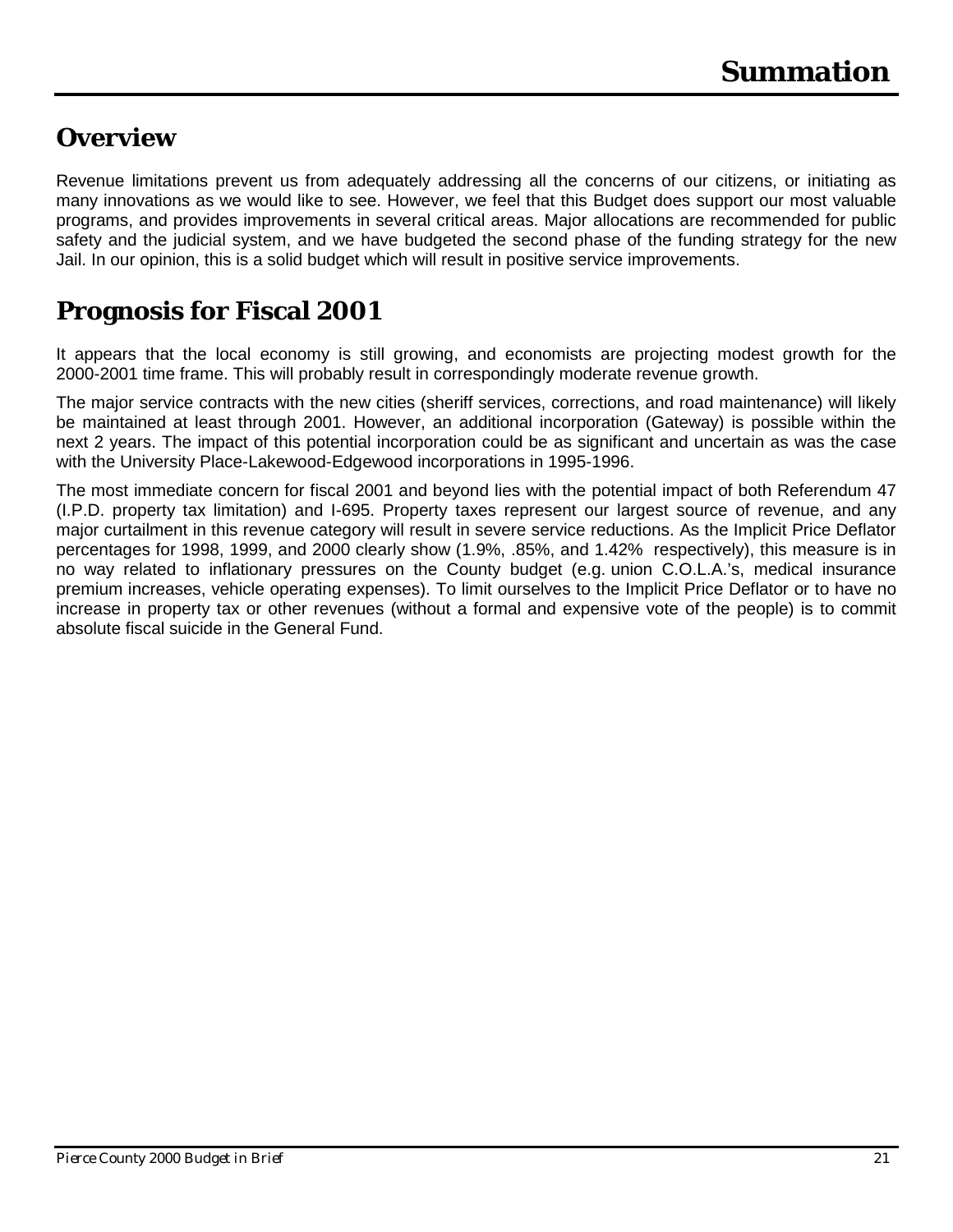### <span id="page-22-0"></span>**Overview**

Revenue limitations prevent us from adequately addressing all the concerns of our citizens, or initiating as many innovations as we would like to see. However, we feel that this Budget does support our most valuable programs, and provides improvements in several critical areas. Major allocations are recommended for public safety and the judicial system, and we have budgeted the second phase of the funding strategy for the new Jail. In our opinion, this is a solid budget which will result in positive service improvements.

## **Prognosis for Fiscal 2001**

It appears that the local economy is still growing, and economists are projecting modest growth for the 2000-2001 time frame. This will probably result in correspondingly moderate revenue growth.

The major service contracts with the new cities (sheriff services, corrections, and road maintenance) will likely be maintained at least through 2001. However, an additional incorporation (Gateway) is possible within the next 2 years. The impact of this potential incorporation could be as significant and uncertain as was the case with the University Place-Lakewood-Edgewood incorporations in 1995-1996.

The most immediate concern for fiscal 2001 and beyond lies with the potential impact of both Referendum 47 (I.P.D. property tax limitation) and I-695. Property taxes represent our largest source of revenue, and any major curtailment in this revenue category will result in severe service reductions. As the Implicit Price Deflator percentages for 1998, 1999, and 2000 clearly show (1.9%, .85%, and 1.42% respectively), this measure is in no way related to inflationary pressures on the County budget (e.g. union C.O.L.A.'s, medical insurance premium increases, vehicle operating expenses). To limit ourselves to the Implicit Price Deflator or to have no increase in property tax or other revenues (without a formal and expensive vote of the people) is to commit absolute fiscal suicide in the General Fund.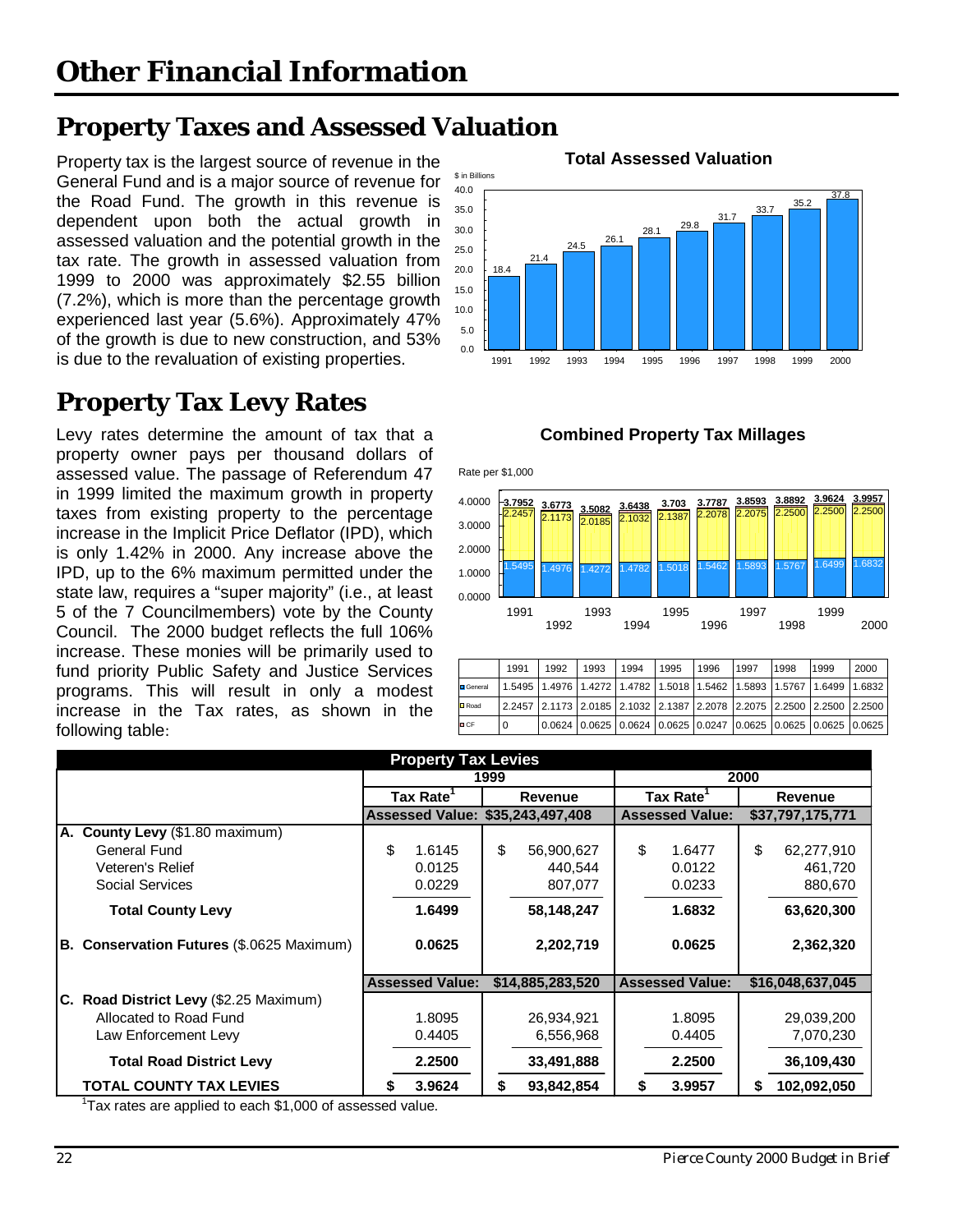# <span id="page-23-0"></span>**Property Taxes and Assessed Valuation**

Property tax is the largest source of revenue in the **Total Assessed Valuation** General Fund and is a major source of revenue for the Road Fund. The growth in this revenue is dependent upon both the actual growth in assessed valuation and the potential growth in the tax rate. The growth in assessed valuation from 1999 to 2000 was approximately \$2.55 billion (7.2%), which is more than the percentage growth experienced last year (5.6%). Approximately 47% of the growth is due to new construction, and 53% is due to the revaluation of existing properties.

# **Property Tax Levy Rates**

Levy rates determine the amount of tax that a **Combined Property Tax Millages** property owner pays per thousand dollars of assessed value. The passage of Referendum 47 in 1999 limited the maximum growth in property taxes from existing property to the percentage increase in the Implicit Price Deflator (IPD), which is only 1.42% in 2000. Any increase above the IPD, up to the 6% maximum permitted under the state law, requires a "super majority" (i.e., at least 5 of the 7 Councilmembers) vote by the County Council. The 2000 budget reflects the full 106% increase. These monies will be primarily used to fund priority Public Safety and Justice Services programs. This will result in only a modest increase in the Tax rates, as shown in the following table:





|                  | 1991 | 1992 | 1993 | 1994 | 1995 | 1996 | 1997 | 1998 | 1999                                                                                    | 2000 |
|------------------|------|------|------|------|------|------|------|------|-----------------------------------------------------------------------------------------|------|
| <b>D</b> General |      |      |      |      |      |      |      |      | 1.5495   1.4976   1.4272   1.4782   1.5018   1.5462   1.5893   1.5767   1.6499   1.6832 |      |
| <b>D</b> Road    |      |      |      |      |      |      |      |      | 2.2457 2.1173 2.0185 2.1032 2.1387 2.2078 2.2075 2.2500 2.2500 2.2500                   |      |
| <b>D</b> CF      | 0    |      |      |      |      |      |      |      | $0.0624$ $0.0625$ $0.0624$ $0.0625$ $0.0247$ $0.0625$ $0.0625$ $0.0625$ $0.0625$        |      |

| <b>Property Tax Levies</b>                       |                                  |                  |                        |                  |  |  |  |  |
|--------------------------------------------------|----------------------------------|------------------|------------------------|------------------|--|--|--|--|
|                                                  |                                  | 1999             | 2000                   |                  |  |  |  |  |
|                                                  | Tax Rate                         | <b>Revenue</b>   | Tax Rate <sup>1</sup>  | Revenue          |  |  |  |  |
|                                                  | Assessed Value: \$35,243,497,408 |                  | <b>Assessed Value:</b> | \$37,797,175,771 |  |  |  |  |
| A. County Levy (\$1.80 maximum)                  |                                  |                  |                        |                  |  |  |  |  |
| General Fund                                     | \$<br>1.6145                     | \$<br>56,900,627 | \$<br>1.6477           | \$<br>62,277,910 |  |  |  |  |
| Veteren's Relief                                 | 0.0125                           | 440,544          | 0.0122                 | 461,720          |  |  |  |  |
| Social Services                                  | 0.0229                           | 807,077          | 0.0233                 | 880,670          |  |  |  |  |
| <b>Total County Levy</b>                         | 1.6499                           | 58,148,247       | 1.6832                 | 63,620,300       |  |  |  |  |
| <b>B. Conservation Futures (\$.0625 Maximum)</b> | 0.0625                           | 2,202,719        | 0.0625                 | 2,362,320        |  |  |  |  |
|                                                  | <b>Assessed Value:</b>           | \$14,885,283,520 | <b>Assessed Value:</b> | \$16,048,637,045 |  |  |  |  |
| C. Road District Levy (\$2.25 Maximum)           |                                  |                  |                        |                  |  |  |  |  |
| Allocated to Road Fund                           | 1.8095                           | 26,934,921       | 1.8095                 | 29,039,200       |  |  |  |  |
| Law Enforcement Levy                             | 0.4405                           | 6,556,968        | 0.4405                 | 7,070,230        |  |  |  |  |
| <b>Total Road District Levy</b>                  | 2.2500                           | 33,491,888       | 2.2500                 | 36,109,430       |  |  |  |  |
| <b>TOTAL COUNTY TAX LEVIES</b>                   | 3.9624<br>S                      | 93,842,854<br>S  | 3.9957                 | 102,092,050<br>S |  |  |  |  |

 $1$ Tax rates are applied to each \$1,000 of assessed value.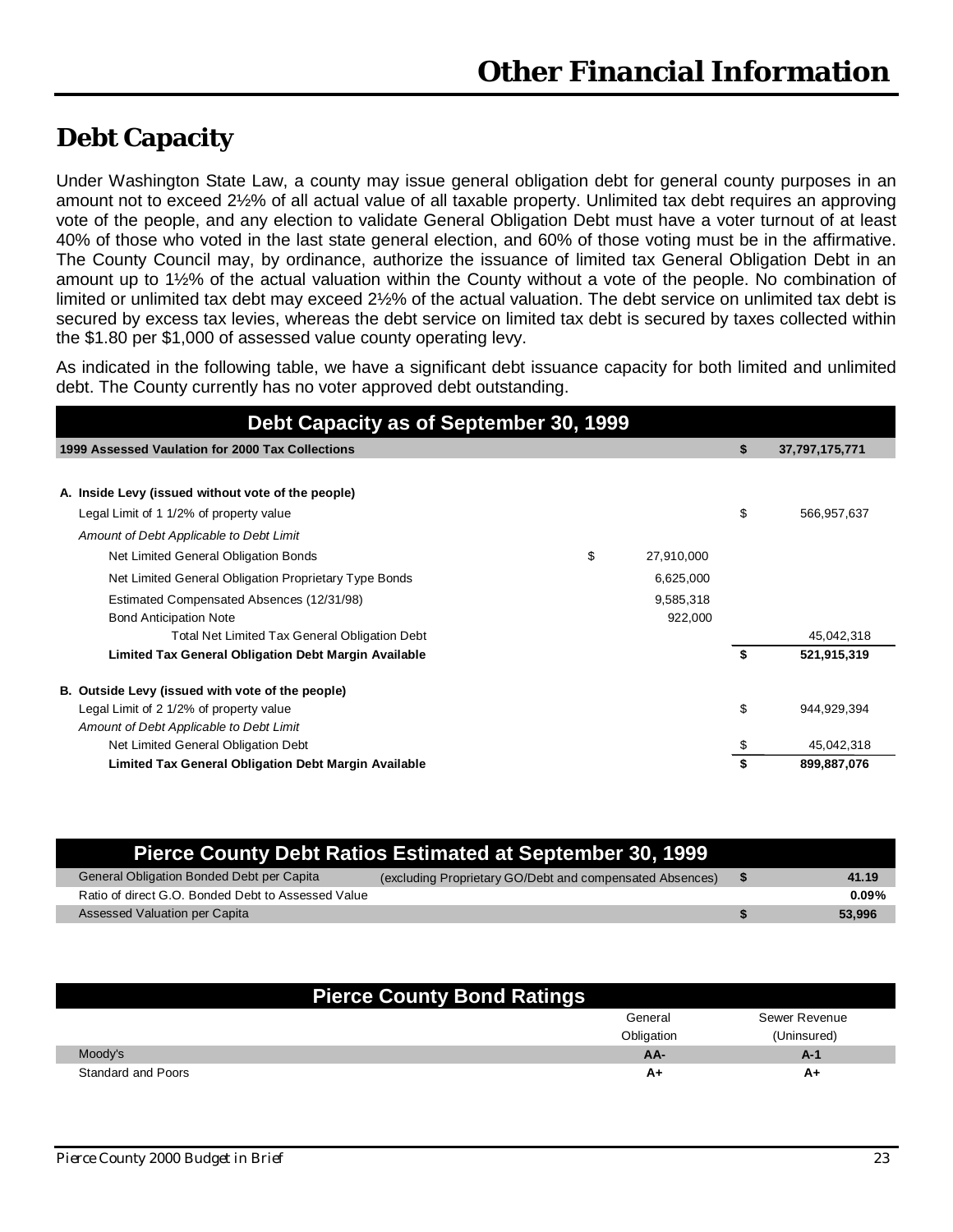### <span id="page-24-0"></span>**Debt Capacity**

Under Washington State Law, a county may issue general obligation debt for general county purposes in an amount not to exceed 2½% of all actual value of all taxable property. Unlimited tax debt requires an approving vote of the people, and any election to validate General Obligation Debt must have a voter turnout of at least 40% of those who voted in the last state general election, and 60% of those voting must be in the affirmative. The County Council may, by ordinance, authorize the issuance of limited tax General Obligation Debt in an amount up to 1½% of the actual valuation within the County without a vote of the people. No combination of limited or unlimited tax debt may exceed 2½% of the actual valuation. The debt service on unlimited tax debt is secured by excess tax levies, whereas the debt service on limited tax debt is secured by taxes collected within the \$1.80 per \$1,000 of assessed value county operating levy.

As indicated in the following table, we have a significant debt issuance capacity for both limited and unlimited debt. The County currently has no voter approved debt outstanding.

| Debt Capacity as of September 30, 1999                             |    |                |  |  |  |  |  |  |
|--------------------------------------------------------------------|----|----------------|--|--|--|--|--|--|
| 1999 Assessed Vaulation for 2000 Tax Collections                   | \$ | 37,797,175,771 |  |  |  |  |  |  |
|                                                                    |    |                |  |  |  |  |  |  |
| A. Inside Levy (issued without vote of the people)                 |    |                |  |  |  |  |  |  |
| Legal Limit of 1 1/2% of property value                            | \$ | 566,957,637    |  |  |  |  |  |  |
| Amount of Debt Applicable to Debt Limit                            |    |                |  |  |  |  |  |  |
| \$<br>Net Limited General Obligation Bonds<br>27,910,000           |    |                |  |  |  |  |  |  |
| Net Limited General Obligation Proprietary Type Bonds<br>6,625,000 |    |                |  |  |  |  |  |  |
| Estimated Compensated Absences (12/31/98)<br>9,585,318             |    |                |  |  |  |  |  |  |
| 922,000<br><b>Bond Anticipation Note</b>                           |    |                |  |  |  |  |  |  |
| Total Net Limited Tax General Obligation Debt                      |    | 45,042,318     |  |  |  |  |  |  |
| Limited Tax General Obligation Debt Margin Available               | \$ | 521,915,319    |  |  |  |  |  |  |
| B. Outside Levy (issued with vote of the people)                   |    |                |  |  |  |  |  |  |
| Legal Limit of 2 1/2% of property value                            | \$ | 944,929,394    |  |  |  |  |  |  |
| Amount of Debt Applicable to Debt Limit                            |    |                |  |  |  |  |  |  |
| Net Limited General Obligation Debt                                | \$ | 45,042,318     |  |  |  |  |  |  |
| Limited Tax General Obligation Debt Margin Available               |    | 899,887,076    |  |  |  |  |  |  |

| Pierce County Debt Ratios Estimated at September 30, 1999 |                                                          |  |          |  |  |  |
|-----------------------------------------------------------|----------------------------------------------------------|--|----------|--|--|--|
| General Obligation Bonded Debt per Capita                 | (excluding Proprietary GO/Debt and compensated Absences) |  | 41.19    |  |  |  |
| Ratio of direct G.O. Bonded Debt to Assessed Value        |                                                          |  | $0.09\%$ |  |  |  |
| Assessed Valuation per Capita                             |                                                          |  | 53,996   |  |  |  |

| <b>Pierce County Bond Ratings</b> |            |               |
|-----------------------------------|------------|---------------|
|                                   | General    | Sewer Revenue |
|                                   | Obligation | (Uninsured)   |
| Moody's                           | AA-        | A-1           |
| <b>Standard and Poors</b>         | A+         | A+            |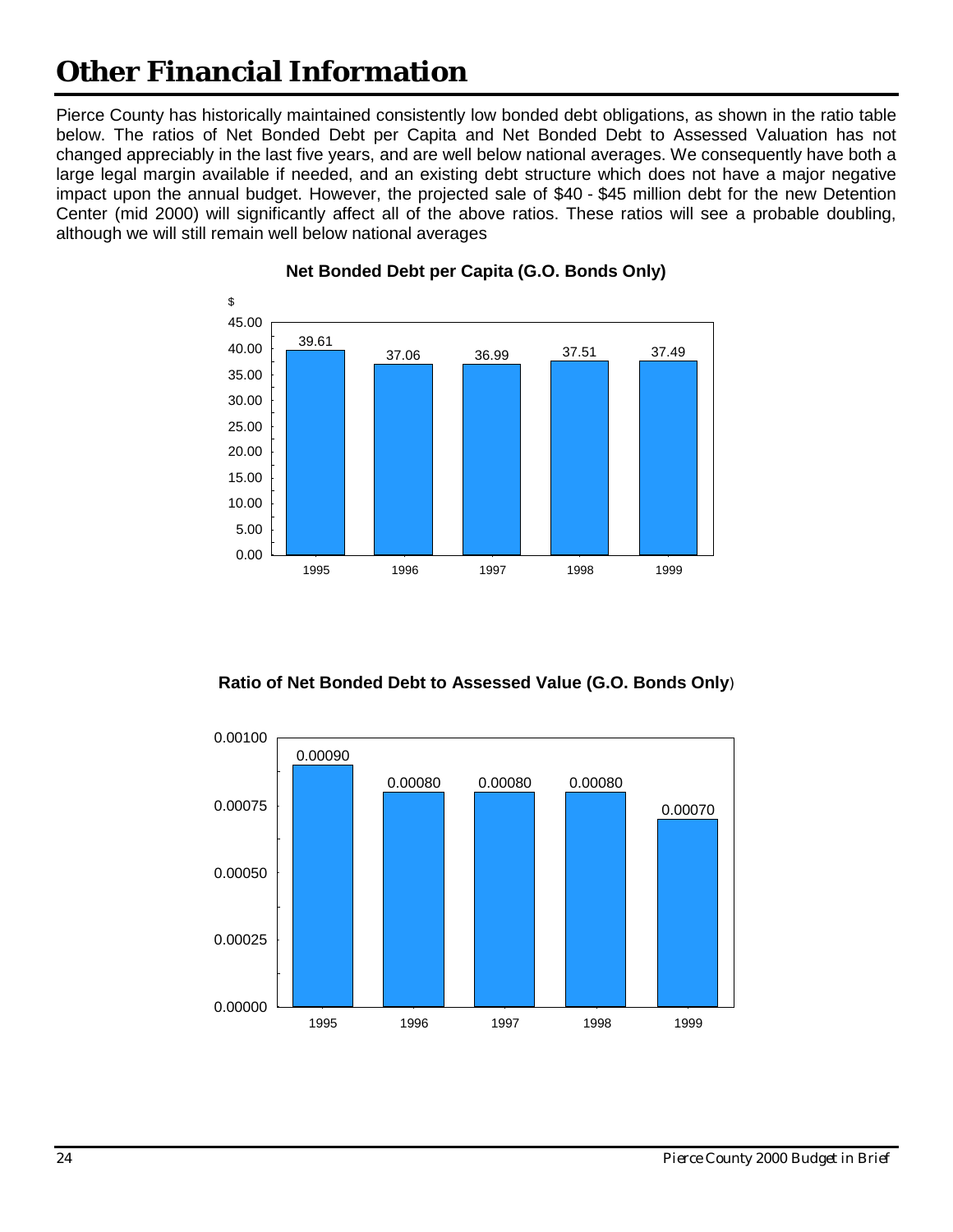Pierce County has historically maintained consistently low bonded debt obligations, as shown in the ratio table below. The ratios of Net Bonded Debt per Capita and Net Bonded Debt to Assessed Valuation has not changed appreciably in the last five years, and are well below national averages. We consequently have both a large legal margin available if needed, and an existing debt structure which does not have a major negative impact upon the annual budget. However, the projected sale of \$40 - \$45 million debt for the new Detention Center (mid 2000) will significantly affect all of the above ratios. These ratios will see a probable doubling, although we will still remain well below national averages



#### **Net Bonded Debt per Capita (G.O. Bonds Only)**



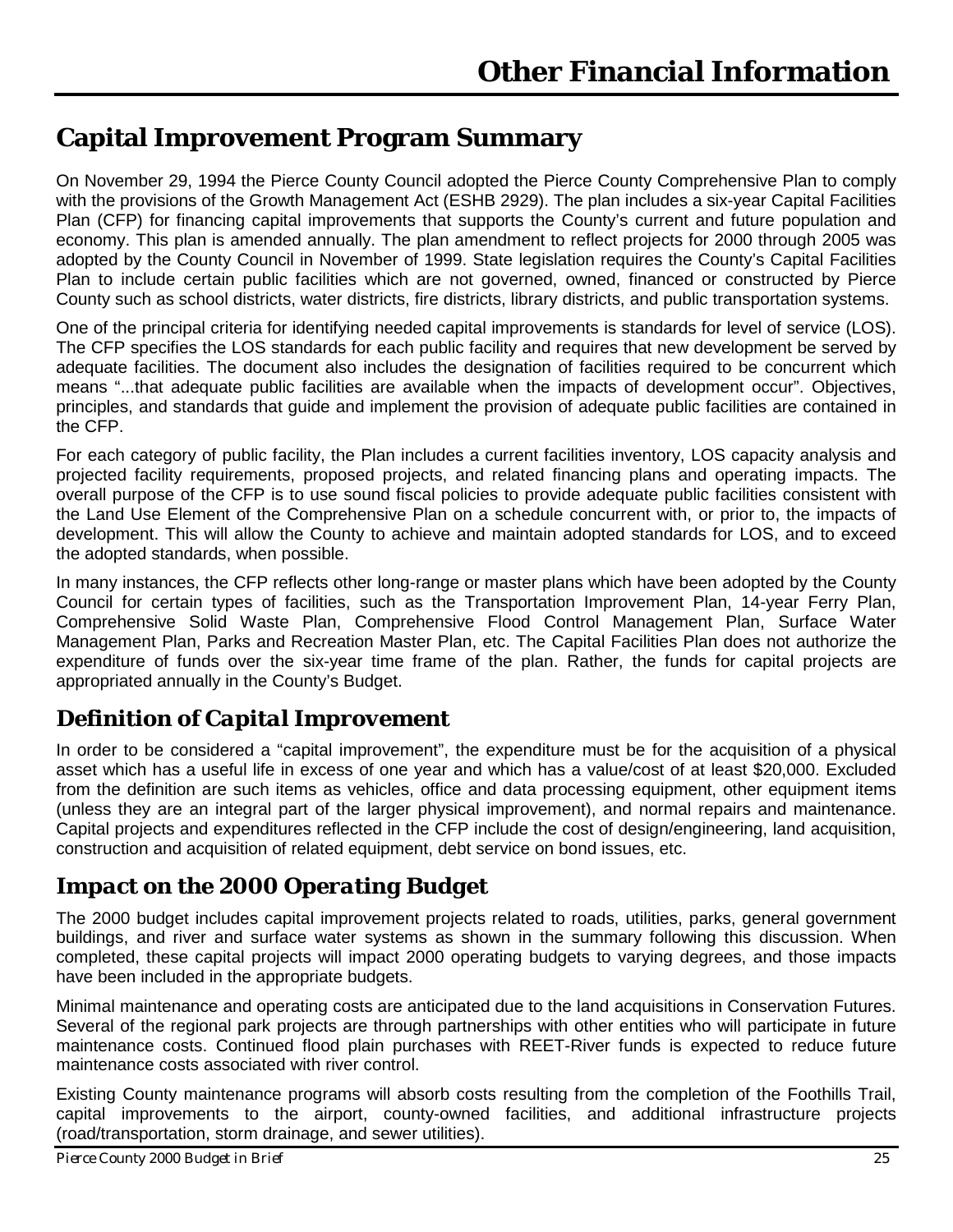### <span id="page-26-0"></span>**Capital Improvement Program Summary**

On November 29, 1994 the Pierce County Council adopted the Pierce County Comprehensive Plan to comply with the provisions of the Growth Management Act (ESHB 2929). The plan includes a six-year Capital Facilities Plan (CFP) for financing capital improvements that supports the County's current and future population and economy. This plan is amended annually. The plan amendment to reflect projects for 2000 through 2005 was adopted by the County Council in November of 1999. State legislation requires the County's Capital Facilities Plan to include certain public facilities which are not governed, owned, financed or constructed by Pierce County such as school districts, water districts, fire districts, library districts, and public transportation systems.

One of the principal criteria for identifying needed capital improvements is standards for level of service (LOS). The CFP specifies the LOS standards for each public facility and requires that new development be served by adequate facilities. The document also includes the designation of facilities required to be concurrent which means "...that adequate public facilities are available when the impacts of development occur". Objectives, principles, and standards that guide and implement the provision of adequate public facilities are contained in the CFP.

For each category of public facility, the Plan includes a current facilities inventory, LOS capacity analysis and projected facility requirements, proposed projects, and related financing plans and operating impacts. The overall purpose of the CFP is to use sound fiscal policies to provide adequate public facilities consistent with the Land Use Element of the Comprehensive Plan on a schedule concurrent with, or prior to, the impacts of development. This will allow the County to achieve and maintain adopted standards for LOS, and to exceed the adopted standards, when possible.

In many instances, the CFP reflects other long-range or master plans which have been adopted by the County Council for certain types of facilities, such as the Transportation Improvement Plan, 14-year Ferry Plan, Comprehensive Solid Waste Plan, Comprehensive Flood Control Management Plan, Surface Water Management Plan, Parks and Recreation Master Plan, etc. The Capital Facilities Plan does not authorize the expenditure of funds over the six-year time frame of the plan. Rather, the funds for capital projects are appropriated annually in the County's Budget.

### *Definition of Capital Improvement*

In order to be considered a "capital improvement", the expenditure must be for the acquisition of a physical asset which has a useful life in excess of one year and which has a value/cost of at least \$20,000. Excluded from the definition are such items as vehicles, office and data processing equipment, other equipment items (unless they are an integral part of the larger physical improvement), and normal repairs and maintenance. Capital projects and expenditures reflected in the CFP include the cost of design/engineering, land acquisition, construction and acquisition of related equipment, debt service on bond issues, etc.

### *Impact on the 2000 Operating Budget*

The 2000 budget includes capital improvement projects related to roads, utilities, parks, general government buildings, and river and surface water systems as shown in the summary following this discussion. When completed, these capital projects will impact 2000 operating budgets to varying degrees, and those impacts have been included in the appropriate budgets.

Minimal maintenance and operating costs are anticipated due to the land acquisitions in Conservation Futures. Several of the regional park projects are through partnerships with other entities who will participate in future maintenance costs. Continued flood plain purchases with REET-River funds is expected to reduce future maintenance costs associated with river control.

Existing County maintenance programs will absorb costs resulting from the completion of the Foothills Trail, capital improvements to the airport, county-owned facilities, and additional infrastructure projects (road/transportation, storm drainage, and sewer utilities).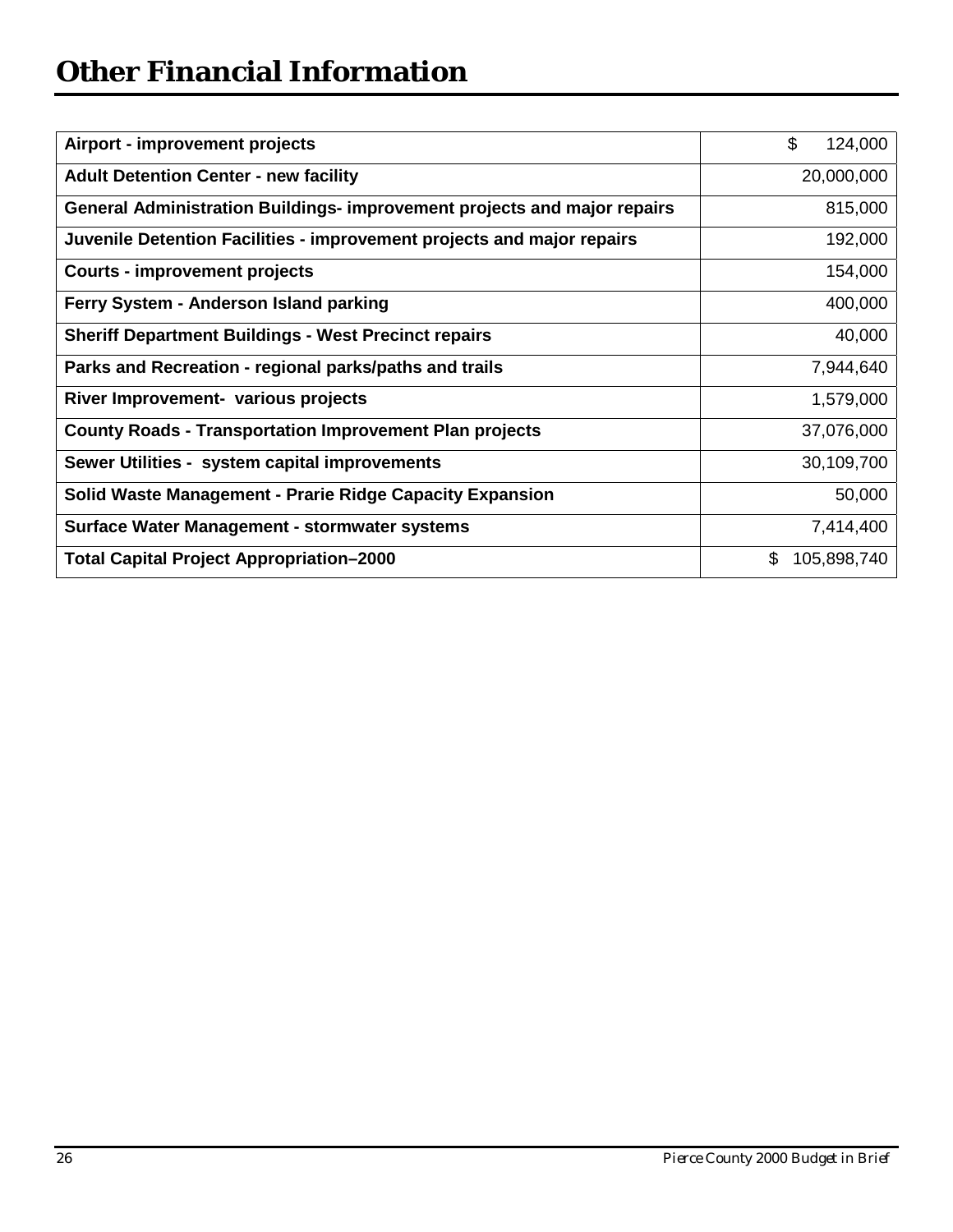| Airport - improvement projects                                           | \$<br>124,000     |
|--------------------------------------------------------------------------|-------------------|
| <b>Adult Detention Center - new facility</b>                             | 20,000,000        |
| General Administration Buildings- improvement projects and major repairs | 815,000           |
| Juvenile Detention Facilities - improvement projects and major repairs   | 192,000           |
| <b>Courts - improvement projects</b>                                     | 154,000           |
| Ferry System - Anderson Island parking                                   | 400,000           |
| <b>Sheriff Department Buildings - West Precinct repairs</b>              | 40,000            |
| Parks and Recreation - regional parks/paths and trails                   | 7,944,640         |
| River Improvement- various projects                                      | 1,579,000         |
| <b>County Roads - Transportation Improvement Plan projects</b>           | 37,076,000        |
| Sewer Utilities - system capital improvements                            | 30,109,700        |
| Solid Waste Management - Prarie Ridge Capacity Expansion                 | 50,000            |
| Surface Water Management - stormwater systems                            | 7,414,400         |
| <b>Total Capital Project Appropriation-2000</b>                          | \$<br>105,898,740 |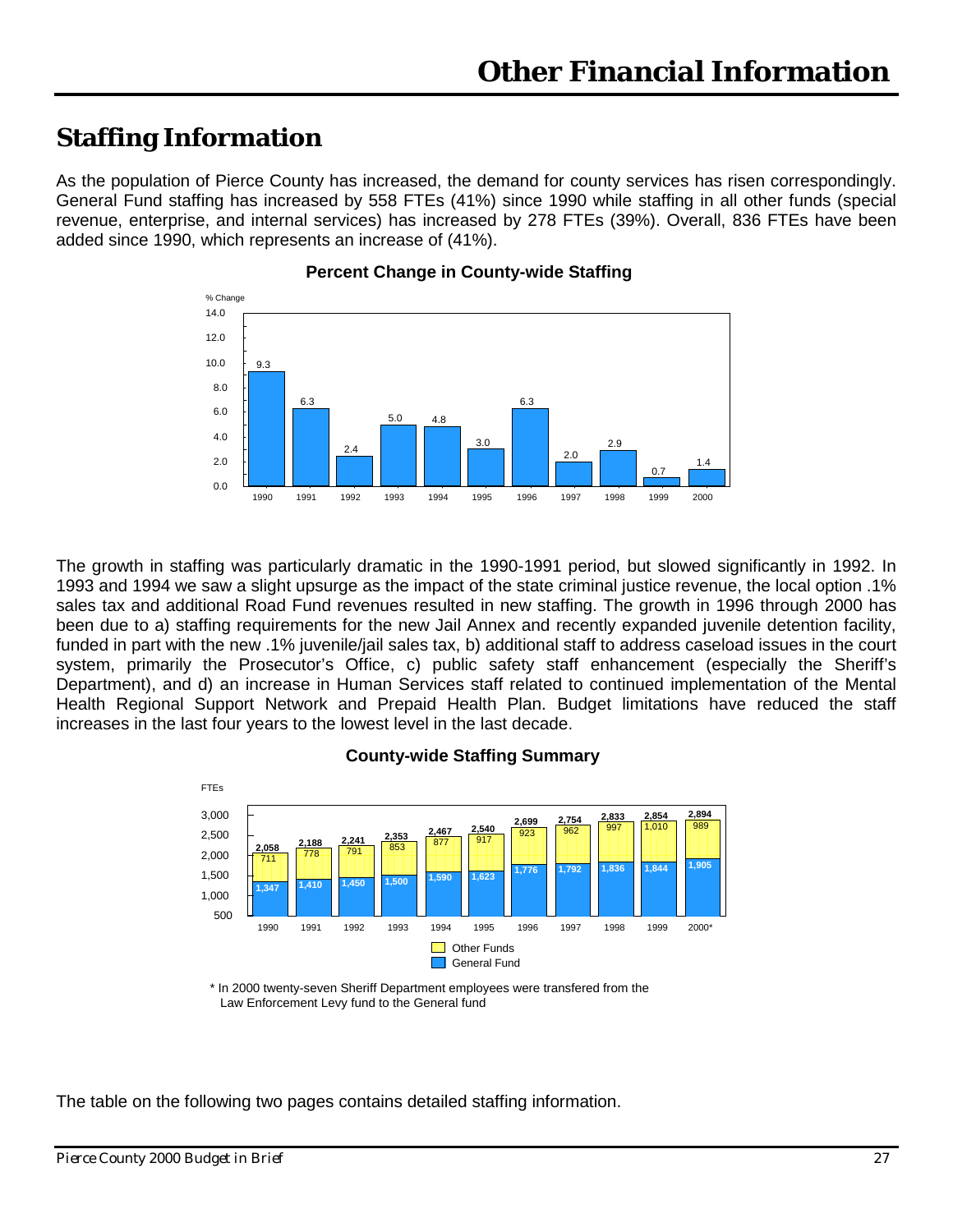### <span id="page-28-0"></span>**Staffing Information**

As the population of Pierce County has increased, the demand for county services has risen correspondingly. General Fund staffing has increased by 558 FTEs (41%) since 1990 while staffing in all other funds (special revenue, enterprise, and internal services) has increased by 278 FTEs (39%). Overall, 836 FTEs have been added since 1990, which represents an increase of (41%).



#### **Percent Change in County-wide Staffing**

The growth in staffing was particularly dramatic in the 1990-1991 period, but slowed significantly in 1992. In 1993 and 1994 we saw a slight upsurge as the impact of the state criminal justice revenue, the local option .1% sales tax and additional Road Fund revenues resulted in new staffing. The growth in 1996 through 2000 has been due to a) staffing requirements for the new Jail Annex and recently expanded juvenile detention facility, funded in part with the new .1% juvenile/jail sales tax, b) additional staff to address caseload issues in the court system, primarily the Prosecutor's Office, c) public safety staff enhancement (especially the Sheriff's Department), and d) an increase in Human Services staff related to continued implementation of the Mental Health Regional Support Network and Prepaid Health Plan. Budget limitations have reduced the staff increases in the last four years to the lowest level in the last decade.



#### **County-wide Staffing Summary**

\* In 2000 twenty-seven Sheriff Department employees were transfered from the Law Enforcement Levy fund to the General fund

The table on the following two pages contains detailed staffing information.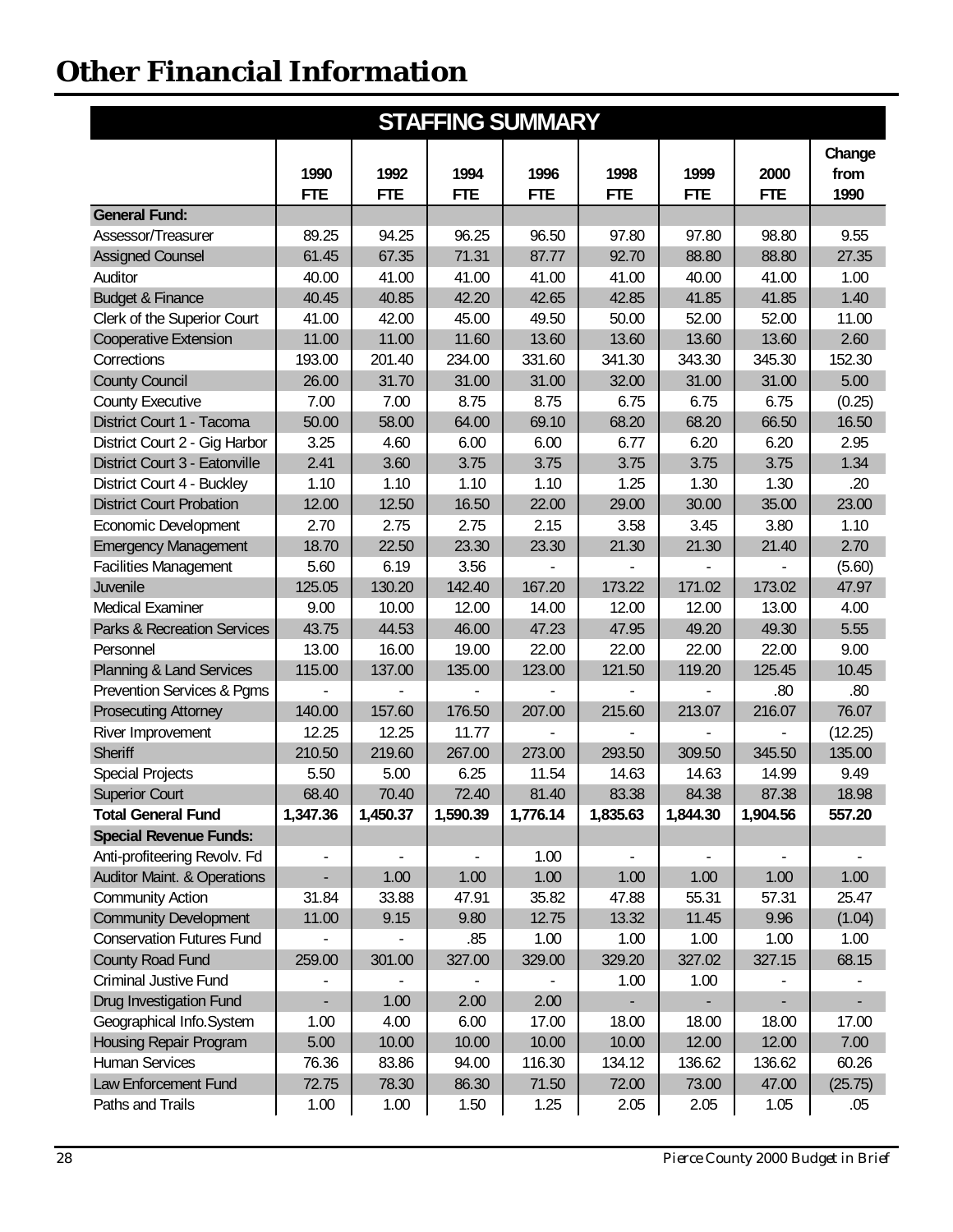| <b>STAFFING SUMMARY</b>                |            |            |            |            |            |            |            |         |
|----------------------------------------|------------|------------|------------|------------|------------|------------|------------|---------|
|                                        |            |            |            |            |            |            |            | Change  |
|                                        | 1990       | 1992       | 1994       | 1996       | 1998       | 1999       | 2000       | from    |
|                                        | <b>FTE</b> | <b>FTE</b> | <b>FTE</b> | <b>FTE</b> | <b>FTE</b> | <b>FTE</b> | <b>FTE</b> | 1990    |
| <b>General Fund:</b>                   |            |            |            |            |            |            |            |         |
| Assessor/Treasurer                     | 89.25      | 94.25      | 96.25      | 96.50      | 97.80      | 97.80      | 98.80      | 9.55    |
| <b>Assigned Counsel</b>                | 61.45      | 67.35      | 71.31      | 87.77      | 92.70      | 88.80      | 88.80      | 27.35   |
| Auditor                                | 40.00      | 41.00      | 41.00      | 41.00      | 41.00      | 40.00      | 41.00      | 1.00    |
| <b>Budget &amp; Finance</b>            | 40.45      | 40.85      | 42.20      | 42.65      | 42.85      | 41.85      | 41.85      | 1.40    |
| Clerk of the Superior Court            | 41.00      | 42.00      | 45.00      | 49.50      | 50.00      | 52.00      | 52.00      | 11.00   |
| <b>Cooperative Extension</b>           | 11.00      | 11.00      | 11.60      | 13.60      | 13.60      | 13.60      | 13.60      | 2.60    |
| Corrections                            | 193.00     | 201.40     | 234.00     | 331.60     | 341.30     | 343.30     | 345.30     | 152.30  |
| <b>County Council</b>                  | 26.00      | 31.70      | 31.00      | 31.00      | 32.00      | 31.00      | 31.00      | 5.00    |
| <b>County Executive</b>                | 7.00       | 7.00       | 8.75       | 8.75       | 6.75       | 6.75       | 6.75       | (0.25)  |
| District Court 1 - Tacoma              | 50.00      | 58.00      | 64.00      | 69.10      | 68.20      | 68.20      | 66.50      | 16.50   |
| District Court 2 - Gig Harbor          | 3.25       | 4.60       | 6.00       | 6.00       | 6.77       | 6.20       | 6.20       | 2.95    |
| District Court 3 - Eatonville          | 2.41       | 3.60       | 3.75       | 3.75       | 3.75       | 3.75       | 3.75       | 1.34    |
| District Court 4 - Buckley             | 1.10       | 1.10       | 1.10       | 1.10       | 1.25       | 1.30       | 1.30       | .20     |
| <b>District Court Probation</b>        | 12.00      | 12.50      | 16.50      | 22.00      | 29.00      | 30.00      | 35.00      | 23.00   |
| Economic Development                   | 2.70       | 2.75       | 2.75       | 2.15       | 3.58       | 3.45       | 3.80       | 1.10    |
| <b>Emergency Management</b>            | 18.70      | 22.50      | 23.30      | 23.30      | 21.30      | 21.30      | 21.40      | 2.70    |
| <b>Facilities Management</b>           | 5.60       | 6.19       | 3.56       |            |            |            |            | (5.60)  |
| Juvenile                               | 125.05     | 130.20     | 142.40     | 167.20     | 173.22     | 171.02     | 173.02     | 47.97   |
| <b>Medical Examiner</b>                | 9.00       | 10.00      | 12.00      | 14.00      | 12.00      | 12.00      | 13.00      | 4.00    |
| <b>Parks &amp; Recreation Services</b> | 43.75      | 44.53      | 46.00      | 47.23      | 47.95      | 49.20      | 49.30      | 5.55    |
| Personnel                              | 13.00      | 16.00      | 19.00      | 22.00      | 22.00      | 22.00      | 22.00      | 9.00    |
| <b>Planning &amp; Land Services</b>    | 115.00     | 137.00     | 135.00     | 123.00     | 121.50     | 119.20     | 125.45     | 10.45   |
| Prevention Services & Pgms             |            |            |            |            |            |            | .80        | .80     |
| <b>Prosecuting Attorney</b>            | 140.00     | 157.60     | 176.50     | 207.00     | 215.60     | 213.07     | 216.07     | 76.07   |
| River Improvement                      | 12.25      | 12.25      | 11.77      |            |            |            |            | (12.25) |
| <b>Sheriff</b>                         | 210.50     | 219.60     | 267.00     | 273.00     | 293.50     | 309.50     | 345.50     | 135.00  |
| Special Projects                       | 5.50       | 5.00       | 6.25       | 11.54      | 14.63      | 14.63      | 14.99      | 9.49    |
| <b>Superior Court</b>                  | 68.40      | 70.40      | 72.40      | 81.40      | 83.38      | 84.38      | 87.38      | 18.98   |
| <b>Total General Fund</b>              | 1,347.36   | 1,450.37   | 1,590.39   | 1,776.14   | 1,835.63   | 1,844.30   | 1,904.56   | 557.20  |
| <b>Special Revenue Funds:</b>          |            |            |            |            |            |            |            |         |
| Anti-profiteering Revolv. Fd           | ۰          |            |            | 1.00       |            |            |            |         |
| <b>Auditor Maint. &amp; Operations</b> |            | 1.00       | 1.00       | 1.00       | 1.00       | 1.00       | 1.00       | 1.00    |
| <b>Community Action</b>                | 31.84      | 33.88      | 47.91      | 35.82      | 47.88      | 55.31      | 57.31      | 25.47   |
| <b>Community Development</b>           | 11.00      | 9.15       | 9.80       | 12.75      | 13.32      | 11.45      | 9.96       | (1.04)  |
| <b>Conservation Futures Fund</b>       |            |            | .85        | 1.00       | 1.00       | 1.00       | 1.00       | 1.00    |
| <b>County Road Fund</b>                | 259.00     | 301.00     | 327.00     | 329.00     | 329.20     | 327.02     | 327.15     | 68.15   |
| <b>Criminal Justive Fund</b>           |            |            |            |            | 1.00       | 1.00       |            |         |
| Drug Investigation Fund                |            | 1.00       | 2.00       | 2.00       |            |            |            |         |
| Geographical Info.System               | 1.00       | 4.00       | 6.00       | 17.00      | 18.00      | 18.00      | 18.00      | 17.00   |
| Housing Repair Program                 | 5.00       | 10.00      | 10.00      | 10.00      | 10.00      | 12.00      | 12.00      | 7.00    |
| <b>Human Services</b>                  | 76.36      | 83.86      | 94.00      | 116.30     | 134.12     | 136.62     | 136.62     | 60.26   |
| Law Enforcement Fund                   | 72.75      | 78.30      | 86.30      | 71.50      | 72.00      | 73.00      | 47.00      | (25.75) |
| Paths and Trails                       | 1.00       | 1.00       | 1.50       | 1.25       | 2.05       | 2.05       | 1.05       | .05     |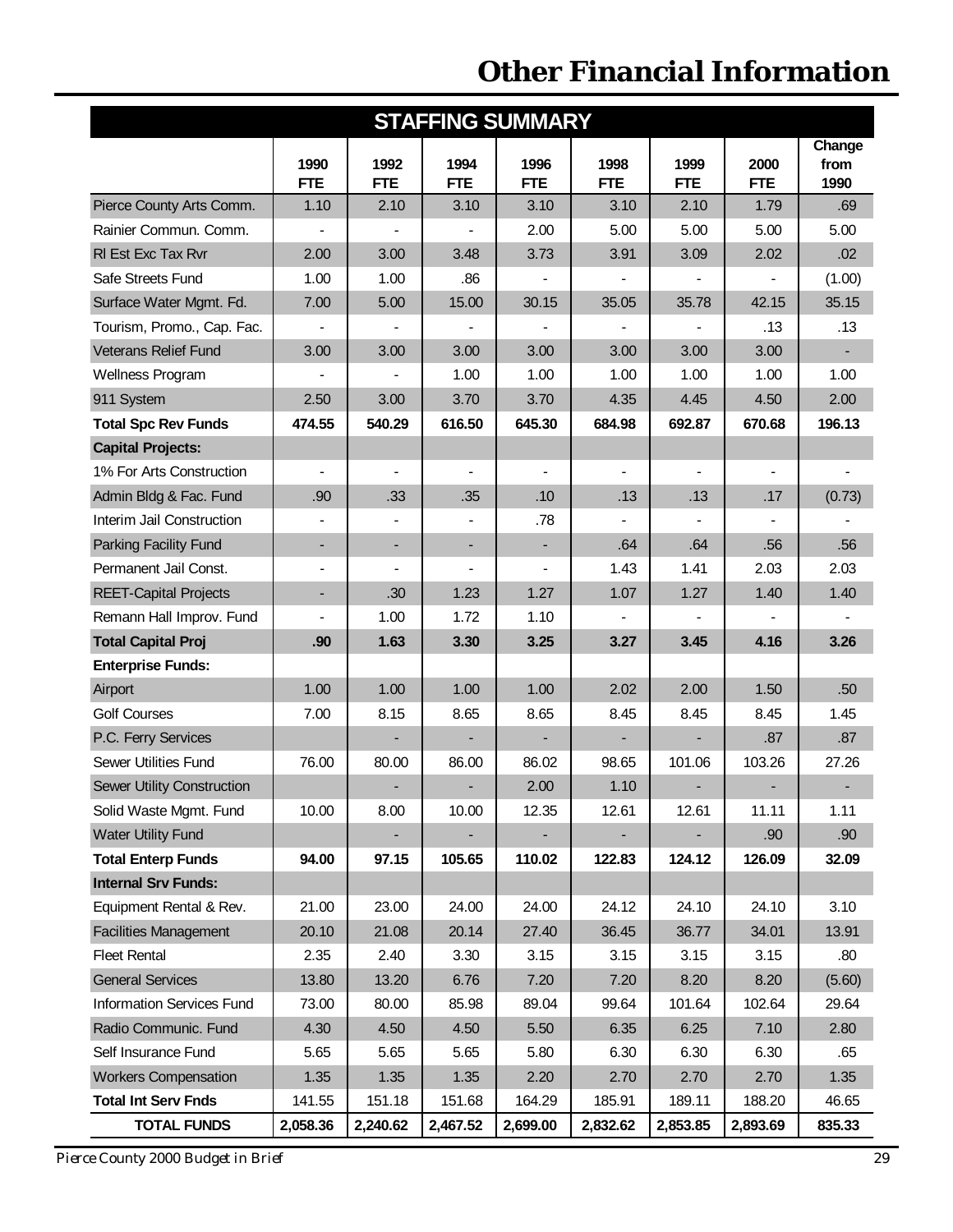| <b>STAFFING SUMMARY</b>          |                          |                          |                          |                    |                    |                          |                    |                        |
|----------------------------------|--------------------------|--------------------------|--------------------------|--------------------|--------------------|--------------------------|--------------------|------------------------|
|                                  | 1990<br><b>FTE</b>       | 1992<br><b>FTE</b>       | 1994<br><b>FTE</b>       | 1996<br><b>FTE</b> | 1998<br><b>FTE</b> | 1999<br><b>FTE</b>       | 2000<br><b>FTE</b> | Change<br>from<br>1990 |
| Pierce County Arts Comm.         | 1.10                     | 2.10                     | 3.10                     | 3.10               | 3.10               | 2.10                     | 1.79               | .69                    |
| Rainier Commun. Comm.            |                          |                          |                          | 2.00               | 5.00               | 5.00                     | 5.00               | 5.00                   |
| RI Est Exc Tax Rvr               | 2.00                     | 3.00                     | 3.48                     | 3.73               | 3.91               | 3.09                     | 2.02               | .02                    |
| Safe Streets Fund                | 1.00                     | 1.00                     | .86                      |                    |                    |                          |                    | (1.00)                 |
| Surface Water Mgmt. Fd.          | 7.00                     | 5.00                     | 15.00                    | 30.15              | 35.05              | 35.78                    | 42.15              | 35.15                  |
| Tourism, Promo., Cap. Fac.       | $\blacksquare$           |                          |                          |                    |                    |                          | .13                | .13                    |
| <b>Veterans Relief Fund</b>      | 3.00                     | 3.00                     | 3.00                     | 3.00               | 3.00               | 3.00                     | 3.00               |                        |
| Wellness Program                 |                          |                          | 1.00                     | 1.00               | 1.00               | 1.00                     | 1.00               | 1.00                   |
| 911 System                       | 2.50                     | 3.00                     | 3.70                     | 3.70               | 4.35               | 4.45                     | 4.50               | 2.00                   |
| <b>Total Spc Rev Funds</b>       | 474.55                   | 540.29                   | 616.50                   | 645.30             | 684.98             | 692.87                   | 670.68             | 196.13                 |
| <b>Capital Projects:</b>         |                          |                          |                          |                    |                    |                          |                    |                        |
| 1% For Arts Construction         | $\blacksquare$           | $\overline{\phantom{a}}$ | $\blacksquare$           | $\blacksquare$     | $\blacksquare$     | $\blacksquare$           | $\blacksquare$     | $\blacksquare$         |
| Admin Bldg & Fac. Fund           | .90                      | .33                      | .35                      | .10                | .13                | .13                      | .17                | (0.73)                 |
| Interim Jail Construction        | $\blacksquare$           |                          |                          | .78                |                    |                          |                    |                        |
| Parking Facility Fund            | ٠                        | $\overline{\phantom{a}}$ | $\overline{\phantom{a}}$ | ٠                  | .64                | .64                      | .56                | .56                    |
| Permanent Jail Const.            | $\blacksquare$           |                          |                          |                    | 1.43               | 1.41                     | 2.03               | 2.03                   |
| <b>REET-Capital Projects</b>     | $\overline{\phantom{a}}$ | .30                      | 1.23                     | 1.27               | 1.07               | 1.27                     | 1.40               | 1.40                   |
| Remann Hall Improv. Fund         |                          | 1.00                     | 1.72                     | 1.10               |                    |                          |                    |                        |
| <b>Total Capital Proj</b>        | .90                      | 1.63                     | 3.30                     | 3.25               | 3.27               | 3.45                     | 4.16               | 3.26                   |
| <b>Enterprise Funds:</b>         |                          |                          |                          |                    |                    |                          |                    |                        |
| Airport                          | 1.00                     | 1.00                     | 1.00                     | 1.00               | 2.02               | 2.00                     | 1.50               | .50                    |
| <b>Golf Courses</b>              | 7.00                     | 8.15                     | 8.65                     | 8.65               | 8.45               | 8.45                     | 8.45               | 1.45                   |
| P.C. Ferry Services              |                          |                          |                          |                    |                    | $\overline{\phantom{a}}$ | .87                | .87                    |
| Sewer Utilities Fund             | 76.00                    | 80.00                    | 86.00                    | 86.02              | 98.65              | 101.06                   | 103.26             | 27.26                  |
| Sewer Utility Construction       |                          | ۰.                       |                          | 2.00               | 1.10               | ۰                        |                    |                        |
| Solid Waste Mgmt. Fund           | 10.00                    | 8.00                     | 10.00                    | 12.35              | 12.61              | 12.61                    | 11.11              | 1.11                   |
| <b>Water Utility Fund</b>        |                          |                          |                          |                    |                    |                          | .90                | .90                    |
| <b>Total Enterp Funds</b>        | 94.00                    | 97.15                    | 105.65                   | 110.02             | 122.83             | 124.12                   | 126.09             | 32.09                  |
| <b>Internal Srv Funds:</b>       |                          |                          |                          |                    |                    |                          |                    |                        |
| Equipment Rental & Rev.          | 21.00                    | 23.00                    | 24.00                    | 24.00              | 24.12              | 24.10                    | 24.10              | 3.10                   |
| <b>Facilities Management</b>     | 20.10                    | 21.08                    | 20.14                    | 27.40              | 36.45              | 36.77                    | 34.01              | 13.91                  |
| <b>Fleet Rental</b>              | 2.35                     | 2.40                     | 3.30                     | 3.15               | 3.15               | 3.15                     | 3.15               | .80                    |
| <b>General Services</b>          | 13.80                    | 13.20                    | 6.76                     | 7.20               | 7.20               | 8.20                     | 8.20               | (5.60)                 |
| <b>Information Services Fund</b> | 73.00                    | 80.00                    | 85.98                    | 89.04              | 99.64              | 101.64                   | 102.64             | 29.64                  |
| Radio Communic. Fund             | 4.30                     | 4.50                     | 4.50                     | 5.50               | 6.35               | 6.25                     | 7.10               | 2.80                   |
| Self Insurance Fund              | 5.65                     | 5.65                     | 5.65                     | 5.80               | 6.30               | 6.30                     | 6.30               | .65                    |
| <b>Workers Compensation</b>      | 1.35                     | 1.35                     | 1.35                     | 2.20               | 2.70               | 2.70                     | 2.70               | 1.35                   |
| <b>Total Int Serv Fnds</b>       | 141.55                   | 151.18                   | 151.68                   | 164.29             | 185.91             | 189.11                   | 188.20             | 46.65                  |
| <b>TOTAL FUNDS</b>               | 2,058.36                 | 2,240.62                 | 2,467.52                 | 2,699.00           | 2,832.62           | 2,853.85                 | 2,893.69           | 835.33                 |

*Pierce County 2000 Budget in Brief 29*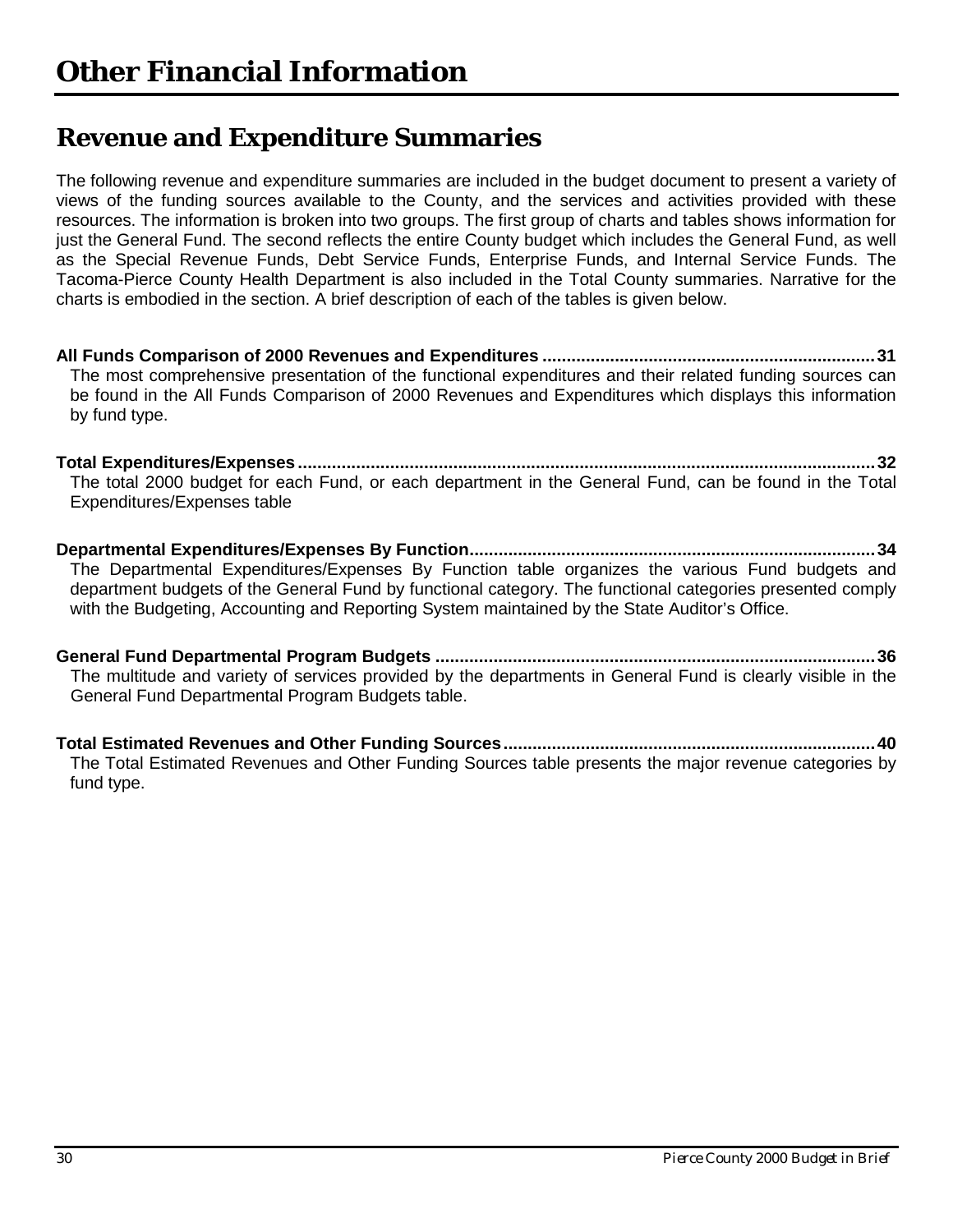### <span id="page-31-0"></span>**Revenue and Expenditure Summaries**

The following revenue and expenditure summaries are included in the budget document to present a variety of views of the funding sources available to the County, and the services and activities provided with these resources. The information is broken into two groups. The first group of charts and tables shows information for just the General Fund. The second reflects the entire County budget which includes the General Fund, as well as the Special Revenue Funds, Debt Service Funds, Enterprise Funds, and Internal Service Funds. The Tacoma-Pierce County Health Department is also included in the Total County summaries. Narrative for the charts is embodied in the section. A brief description of each of the tables is given below.

**All Funds Comparison of 2000 Revenues and Expenditures .....................................................................31** The most comprehensive presentation of the functional expenditures and their related funding sources can be found in the All Funds Comparison of 2000 Revenues and Expenditures which displays this information by fund type.

**Total Expenditures/Expenses .......................................................................................................................32** The total 2000 budget for each Fund, or each department in the General Fund, can be found in the Total Expenditures/Expenses table

**Departmental Expenditures/Expenses By Function....................................................................................34** The Departmental Expenditures/Expenses By Function table organizes the various Fund budgets and department budgets of the General Fund by functional category. The functional categories presented comply with the Budgeting, Accounting and Reporting System maintained by the State Auditor's Office.

**General Fund Departmental Program Budgets ...........................................................................................36** The multitude and variety of services provided by the departments in General Fund is clearly visible in the General Fund Departmental Program Budgets table.

**Total Estimated Revenues and Other Funding Sources.............................................................................40** The Total Estimated Revenues and Other Funding Sources table presents the major revenue categories by fund type.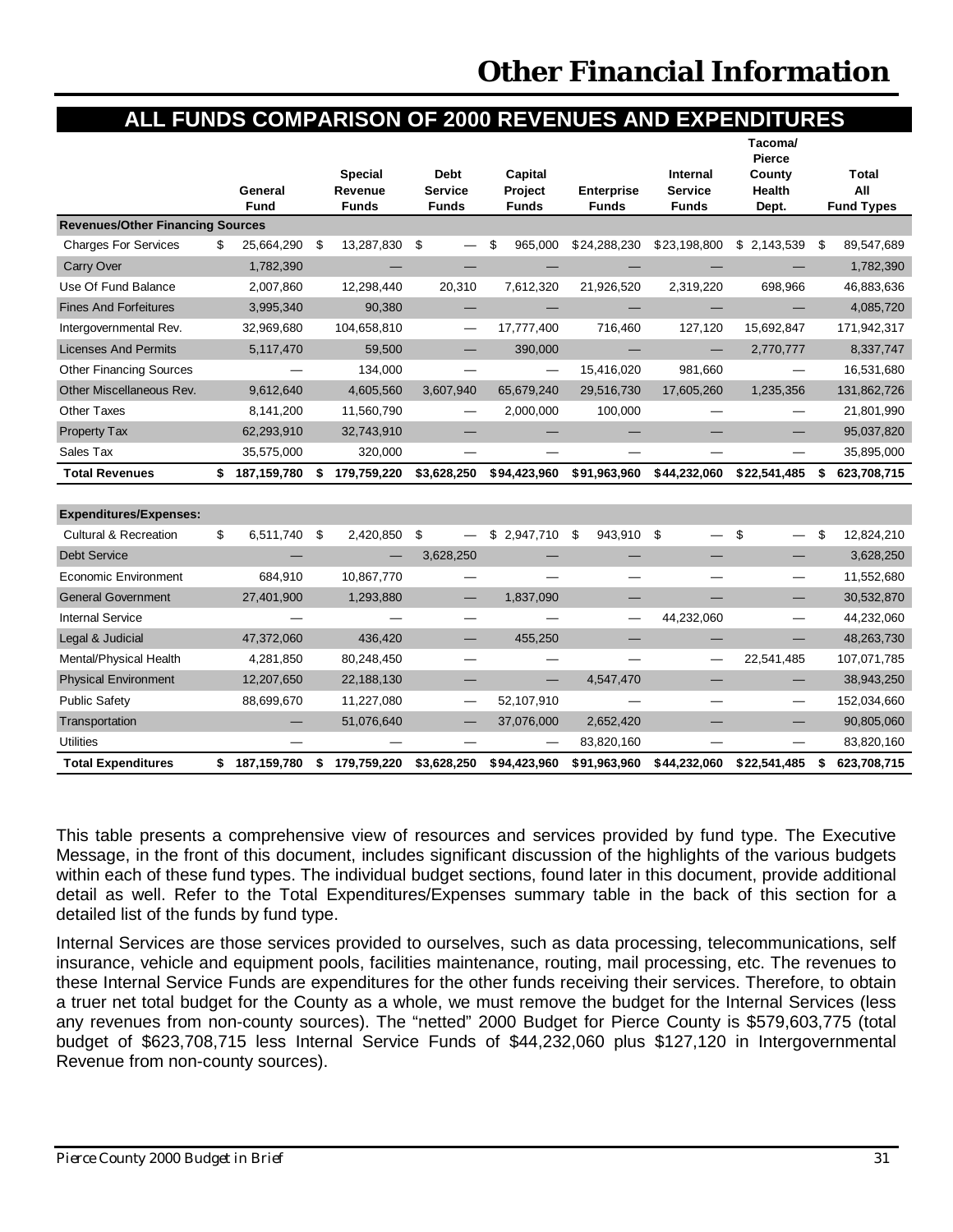### **ALL FUNDS COMPARISON OF 2000 REVENUES AND EXPENDITURES**

<span id="page-32-0"></span>

|                                         |                     |                           |                               |                    |                   |                                   | Tacoma/<br><b>Pierce</b> |                     |
|-----------------------------------------|---------------------|---------------------------|-------------------------------|--------------------|-------------------|-----------------------------------|--------------------------|---------------------|
|                                         | General             | <b>Special</b><br>Revenue | <b>Debt</b><br><b>Service</b> | Capital<br>Project | <b>Enterprise</b> | <b>Internal</b><br><b>Service</b> | County<br>Health         | <b>Total</b><br>All |
|                                         | <b>Fund</b>         | <b>Funds</b>              | <b>Funds</b>                  | <b>Funds</b>       | <b>Funds</b>      | <b>Funds</b>                      | Dept.                    | <b>Fund Types</b>   |
| <b>Revenues/Other Financing Sources</b> |                     |                           |                               |                    |                   |                                   |                          |                     |
| <b>Charges For Services</b>             | \$<br>25,664,290    | \$<br>13,287,830          | \$                            | \$<br>965,000      | \$24,288,230      | \$23,198,800                      | \$2,143,539              | \$<br>89,547,689    |
| <b>Carry Over</b>                       | 1,782,390           |                           |                               |                    |                   |                                   |                          | 1,782,390           |
| Use Of Fund Balance                     | 2,007,860           | 12,298,440                | 20,310                        | 7,612,320          | 21,926,520        | 2,319,220                         | 698,966                  | 46,883,636          |
| <b>Fines And Forfeitures</b>            | 3,995,340           | 90,380                    |                               |                    |                   |                                   |                          | 4,085,720           |
| Intergovernmental Rev.                  | 32,969,680          | 104,658,810               | —                             | 17,777,400         | 716,460           | 127,120                           | 15,692,847               | 171,942,317         |
| <b>Licenses And Permits</b>             | 5,117,470           | 59,500                    |                               | 390,000            |                   |                                   | 2,770,777                | 8,337,747           |
| <b>Other Financing Sources</b>          |                     | 134,000                   |                               |                    | 15,416,020        | 981,660                           |                          | 16,531,680          |
| Other Miscellaneous Rev.                | 9,612,640           | 4,605,560                 | 3,607,940                     | 65,679,240         | 29,516,730        | 17,605,260                        | 1,235,356                | 131,862,726         |
| Other Taxes                             | 8,141,200           | 11,560,790                | $\overline{\phantom{0}}$      | 2,000,000          | 100,000           |                                   |                          | 21,801,990          |
| <b>Property Tax</b>                     | 62,293,910          | 32,743,910                |                               |                    |                   |                                   |                          | 95,037,820          |
| Sales Tax                               | 35,575,000          | 320,000                   |                               |                    |                   |                                   |                          | 35,895,000          |
| <b>Total Revenues</b>                   | \$<br>187,159,780   | \$<br>179,759,220         | \$3,628,250                   | \$94,423,960       | \$91,963,960      | \$44,232,060                      | \$22,541,485             | \$<br>623,708,715   |
|                                         |                     |                           |                               |                    |                   |                                   |                          |                     |
| <b>Expenditures/Expenses:</b>           |                     |                           |                               |                    |                   |                                   |                          |                     |
| <b>Cultural &amp; Recreation</b>        | \$<br>6,511,740     | \$<br>2,420,850           | \$                            | \$2,947,710        | 943,910<br>\$     | -\$                               | \$                       | \$<br>12,824,210    |
| <b>Debt Service</b>                     |                     |                           | 3,628,250                     |                    |                   |                                   |                          | 3,628,250           |
| <b>Economic Environment</b>             | 684,910             | 10,867,770                |                               |                    |                   |                                   |                          | 11,552,680          |
| <b>General Government</b>               | 27,401,900          | 1,293,880                 | $\overline{\phantom{0}}$      | 1,837,090          |                   |                                   |                          | 30,532,870          |
| <b>Internal Service</b>                 |                     |                           |                               |                    |                   | 44,232,060                        |                          | 44,232,060          |
| Legal & Judicial                        | 47,372,060          | 436,420                   | —                             | 455,250            |                   |                                   |                          | 48,263,730          |
| Mental/Physical Health                  | 4,281,850           | 80,248,450                | —                             |                    | —                 |                                   | 22,541,485               | 107,071,785         |
| <b>Physical Environment</b>             | 12,207,650          | 22,188,130                | —                             |                    | 4,547,470         | —                                 |                          | 38,943,250          |
| <b>Public Safety</b>                    | 88,699,670          | 11,227,080                | $\overline{\phantom{0}}$      | 52,107,910         |                   |                                   |                          | 152,034,660         |
| Transportation                          |                     | 51,076,640                | $\overline{\phantom{0}}$      | 37,076,000         | 2,652,420         |                                   |                          | 90,805,060          |
| <b>Utilities</b>                        |                     |                           |                               |                    | 83,820,160        |                                   |                          | 83,820,160          |
| <b>Total Expenditures</b>               | \$<br>187, 159, 780 | \$<br>179,759,220         | \$3,628,250                   | \$94,423,960       | \$91,963,960      | \$44,232,060                      | \$22,541,485             | \$<br>623,708,715   |

This table presents a comprehensive view of resources and services provided by fund type. The Executive Message, in the front of this document, includes significant discussion of the highlights of the various budgets within each of these fund types. The individual budget sections, found later in this document, provide additional detail as well. Refer to the Total Expenditures/Expenses summary table in the back of this section for a detailed list of the funds by fund type.

Internal Services are those services provided to ourselves, such as data processing, telecommunications, self insurance, vehicle and equipment pools, facilities maintenance, routing, mail processing, etc. The revenues to these Internal Service Funds are expenditures for the other funds receiving their services. Therefore, to obtain a truer net total budget for the County as a whole, we must remove the budget for the Internal Services (less any revenues from non-county sources). The "netted" 2000 Budget for Pierce County is \$579,603,775 (total budget of \$623,708,715 less Internal Service Funds of \$44,232,060 plus \$127,120 in Intergovernmental Revenue from non-county sources).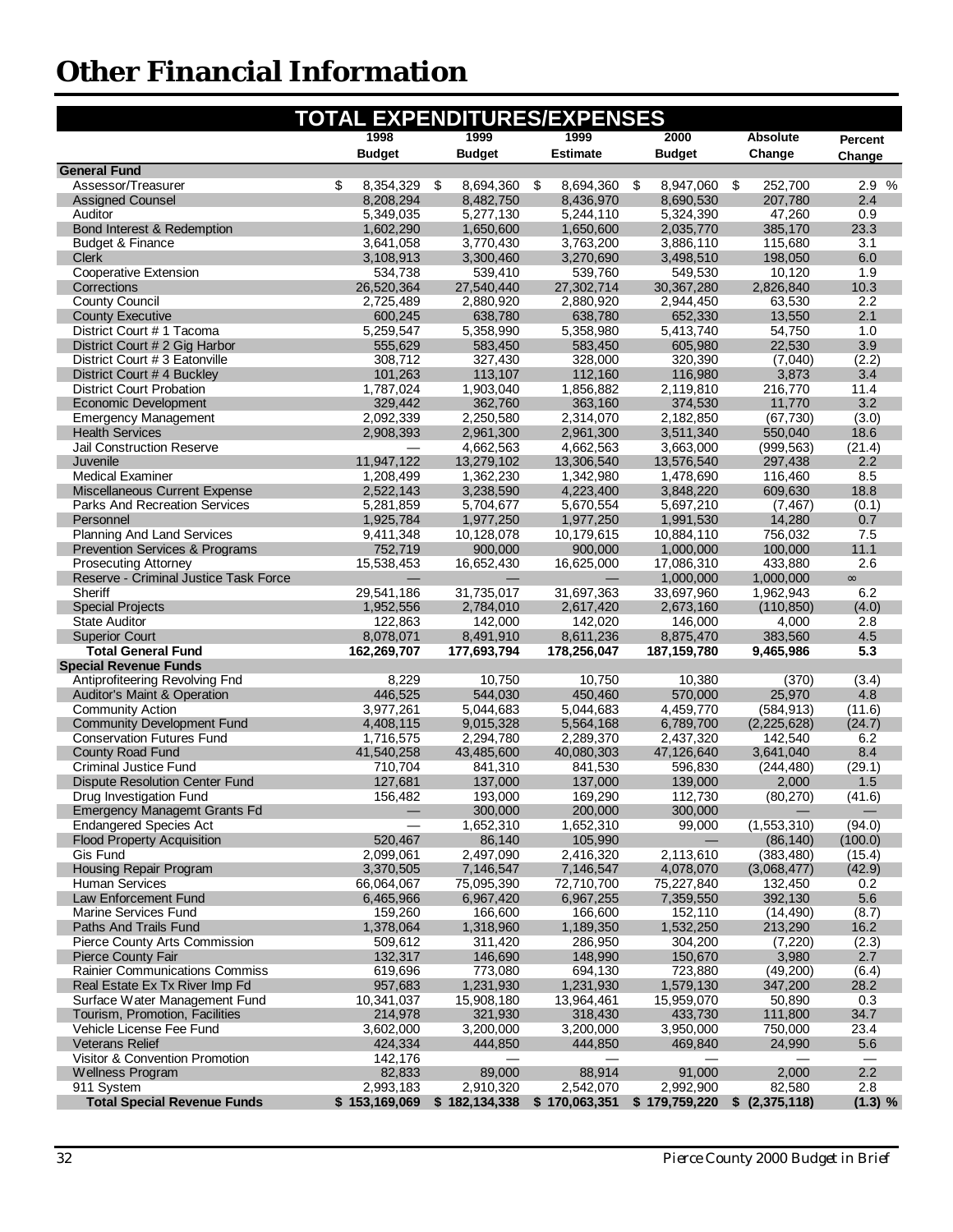<span id="page-33-0"></span>

|                                                                                | <b>TOTAL EXPENDITURES/EXPENSES</b> |                         |                         |                         |                     |               |
|--------------------------------------------------------------------------------|------------------------------------|-------------------------|-------------------------|-------------------------|---------------------|---------------|
|                                                                                | 1998                               | 1999                    | 1999                    | 2000                    | Absolute            | Percent       |
|                                                                                | <b>Budget</b>                      | <b>Budget</b>           | <b>Estimate</b>         | <b>Budget</b>           | Change              | Change        |
| <b>General Fund</b>                                                            |                                    |                         |                         |                         |                     |               |
| Assessor/Treasurer                                                             | \$<br>8,354,329                    | - \$<br>8,694,360       | \$<br>8,694,360         | \$<br>8,947,060         | \$<br>252,700       | 2.9 %         |
| <b>Assigned Counsel</b>                                                        | 8,208,294                          | 8,482,750               | 8,436,970               | 8,690,530               | 207,780             | 2.4           |
| Auditor                                                                        | 5,349,035                          | 5,277,130               | 5,244,110               | 5,324,390               | 47,260              | 0.9           |
| Bond Interest & Redemption                                                     | 1,602,290                          | 1,650,600               | 1,650,600               | 2,035,770               | 385,170             | 23.3          |
| <b>Budget &amp; Finance</b>                                                    | 3,641,058                          | 3,770,430               | 3,763,200               | 3,886,110               | 115,680             | 3.1           |
| <b>Clerk</b>                                                                   | 3,108,913                          | 3,300,460               | 3,270,690               | 3,498,510               | 198,050             | 6.0           |
| Cooperative Extension<br>Corrections                                           | 534,738                            | 539,410                 | 539,760                 | 549,530                 | 10,120              | 1.9<br>10.3   |
| <b>County Council</b>                                                          | 26,520,364<br>2,725,489            | 27,540,440<br>2,880,920 | 27,302,714<br>2,880,920 | 30,367,280<br>2,944,450 | 2,826,840<br>63,530 | 2.2           |
| <b>County Executive</b>                                                        | 600,245                            | 638,780                 | 638,780                 | 652,330                 | 13,550              | 2.1           |
| District Court # 1 Tacoma                                                      | 5,259,547                          | 5,358,990               | 5,358,980               | 5,413,740               | 54,750              | 1.0           |
| District Court # 2 Gig Harbor                                                  | 555,629                            | 583,450                 | 583,450                 | 605,980                 | 22,530              | 3.9           |
| District Court # 3 Eatonville                                                  | 308,712                            | 327,430                 | 328,000                 | 320,390                 | (7,040)             | (2.2)         |
| District Court #4 Buckley                                                      | 101,263                            | 113,107                 | 112,160                 | 116,980                 | 3,873               | 3.4           |
| <b>District Court Probation</b>                                                | 1,787,024                          | 1,903,040               | 1,856,882               | 2,119,810               | 216,770             | 11.4          |
| <b>Economic Development</b>                                                    | 329,442                            | 362,760                 | 363,160                 | 374,530                 | 11,770              | 3.2           |
| <b>Emergency Management</b>                                                    | 2,092,339                          | 2,250,580               | 2,314,070               | 2,182,850               | (67, 730)           | (3.0)         |
| <b>Health Services</b>                                                         | 2,908,393                          | 2,961,300               | 2,961,300               | 3,511,340               | 550,040             | 18.6          |
| <b>Jail Construction Reserve</b>                                               |                                    | 4,662,563               | 4,662,563               | 3,663,000               | (999, 563)          | (21.4)        |
| Juvenile                                                                       | 11,947,122                         | 13,279,102              | 13,306,540              | 13,576,540              | 297,438             | 2.2           |
| <b>Medical Examiner</b>                                                        | 1,208,499                          | 1,362,230               | 1,342,980               | 1,478,690               | 116,460             | 8.5           |
| Miscellaneous Current Expense                                                  | 2,522,143                          | 3,238,590               | 4,223,400               | 3,848,220               | 609,630             | 18.8          |
| <b>Parks And Recreation Services</b>                                           | 5,281,859                          | 5,704,677               | 5,670,554               | 5,697,210               | (7, 467)            | (0.1)         |
| Personnel                                                                      | 1,925,784                          | 1,977,250               | 1,977,250               | 1,991,530               | 14,280              | 0.7           |
| <b>Planning And Land Services</b><br><b>Prevention Services &amp; Programs</b> | 9,411,348<br>752,719               | 10,128,078              | 10,179,615              | 10,884,110              | 756,032             | 7.5<br>11.1   |
| <b>Prosecuting Attorney</b>                                                    | 15,538,453                         | 900,000<br>16,652,430   | 900,000<br>16,625,000   | 1,000,000<br>17,086,310 | 100,000<br>433,880  | 2.6           |
| Reserve - Criminal Justice Task Force                                          |                                    |                         |                         | 1,000,000               | 1,000,000           | $\infty$      |
| Sheriff                                                                        | 29,541,186                         | 31,735,017              | 31,697,363              | 33,697,960              | 1,962,943           | 6.2           |
| <b>Special Projects</b>                                                        | 1,952,556                          | 2,784,010               | 2,617,420               | 2,673,160               | (110, 850)          | (4.0)         |
| <b>State Auditor</b>                                                           | 122,863                            | 142,000                 | 142,020                 | 146,000                 | 4,000               | 2.8           |
| <b>Superior Court</b>                                                          | 8,078,071                          | 8,491,910               | 8,611,236               | 8,875,470               | 383,560             | 4.5           |
| <b>Total General Fund</b>                                                      | 162,269,707                        | 177,693,794             | 178,256,047             | 187, 159, 780           | 9,465,986           | 5.3           |
| <b>Special Revenue Funds</b>                                                   |                                    |                         |                         |                         |                     |               |
| Antiprofiteering Revolving Fnd                                                 | 8,229                              | 10,750                  | 10,750                  | 10,380                  | (370)               | (3.4)         |
| <b>Auditor's Maint &amp; Operation</b>                                         | 446,525                            | 544,030                 | 450,460                 | 570,000                 | 25,970              | 4.8           |
| <b>Community Action</b>                                                        | 3,977,261                          | 5,044,683               | 5,044,683               | 4,459,770               | (584, 913)          | (11.6)        |
| <b>Community Development Fund</b>                                              | 4,408,115                          | 9,015,328               | 5,564,168               | 6,789,700               | (2, 225, 628)       | (24.7)        |
| <b>Conservation Futures Fund</b>                                               | 1,716,575                          | 2,294,780               | 2,289,370               | 2,437,320               | 142,540             | 6.2           |
| County Road Fund                                                               | 41,540,258                         | 43,485,600              | 40,080,303              | 47,126,640              | 3,641,040           | 8.4           |
| <b>Criminal Justice Fund</b>                                                   | 710,704                            | 841,310                 | 841,530                 | 596,830                 | (244, 480)          | (29.1)        |
| <b>Dispute Resolution Center Fund</b><br>Drug Investigation Fund               | 127,681                            | 137,000<br>193,000      | 137,000<br>169,290      | 139,000<br>112,730      | 2,000<br>(80, 270)  | 1.5<br>(41.6) |
| <b>Emergency Managemt Grants Fd</b>                                            | 156,482                            | 300,000                 | 200,000                 | 300,000                 |                     |               |
| <b>Endangered Species Act</b>                                                  |                                    | 1,652,310               | 1,652,310               | 99,000                  | (1,553,310)         | (94.0)        |
| <b>Flood Property Acquisition</b>                                              | 520,467                            | 86,140                  | 105,990                 |                         | (86, 140)           | (100.0)       |
| Gis Fund                                                                       | 2,099,061                          | 2,497,090               | 2,416,320               | 2,113,610               | (383, 480)          | (15.4)        |
| Housing Repair Program                                                         | 3,370,505                          | 7,146,547               | 7,146,547               | 4,078,070               | (3,068,477)         | (42.9)        |
| <b>Human Services</b>                                                          | 66,064,067                         | 75,095,390              | 72,710,700              | 75,227,840              | 132,450             | 0.2           |
| Law Enforcement Fund                                                           | 6,465,966                          | 6,967,420               | 6,967,255               | 7,359,550               | 392,130             | 5.6           |
| Marine Services Fund                                                           | 159,260                            | 166,600                 | 166,600                 | 152,110                 | (14, 490)           | (8.7)         |
| Paths And Trails Fund                                                          | 1,378,064                          | 1,318,960               | 1,189,350               | 1,532,250               | 213,290             | 16.2          |
| Pierce County Arts Commission                                                  | 509,612                            | 311,420                 | 286,950                 | 304,200                 | (7, 220)            | (2.3)         |
| <b>Pierce County Fair</b>                                                      | 132,317                            | 146,690                 | 148,990                 | 150,670                 | 3,980               | 2.7           |
| <b>Rainier Communications Commiss</b>                                          | 619,696                            | 773.080                 | 694,130                 | 723,880                 | (49, 200)           | (6.4)         |
| Real Estate Ex Tx River Imp Fd                                                 | 957,683                            | 1,231,930               | 1,231,930               | 1,579,130               | 347,200             | 28.2          |
| Surface Water Management Fund                                                  | 10,341,037                         | 15,908,180              | 13,964,461              | 15,959,070              | 50,890              | 0.3           |
| Tourism, Promotion, Facilities                                                 | 214,978                            | 321,930                 | 318,430                 | 433,730                 | 111,800             | 34.7          |
| Vehicle License Fee Fund<br><b>Veterans Relief</b>                             | 3,602,000<br>424,334               | 3,200,000<br>444,850    | 3,200,000<br>444,850    | 3,950,000<br>469,840    | 750,000<br>24,990   | 23.4<br>5.6   |
| Visitor & Convention Promotion                                                 | 142,176                            |                         |                         |                         |                     |               |
| <b>Wellness Program</b>                                                        | 82,833                             | 89,000                  | 88,914                  | 91,000                  | 2,000               | 2.2           |
| 911 System                                                                     | 2,993,183                          | 2,910,320               | 2,542,070               | 2,992,900               | 82,580              | 2.8           |
| <b>Total Special Revenue Funds</b>                                             | \$153,169,069                      | \$182,134,338           | \$170,063,351           | \$179,759,220           | \$(2,375,118)       | (1.3) %       |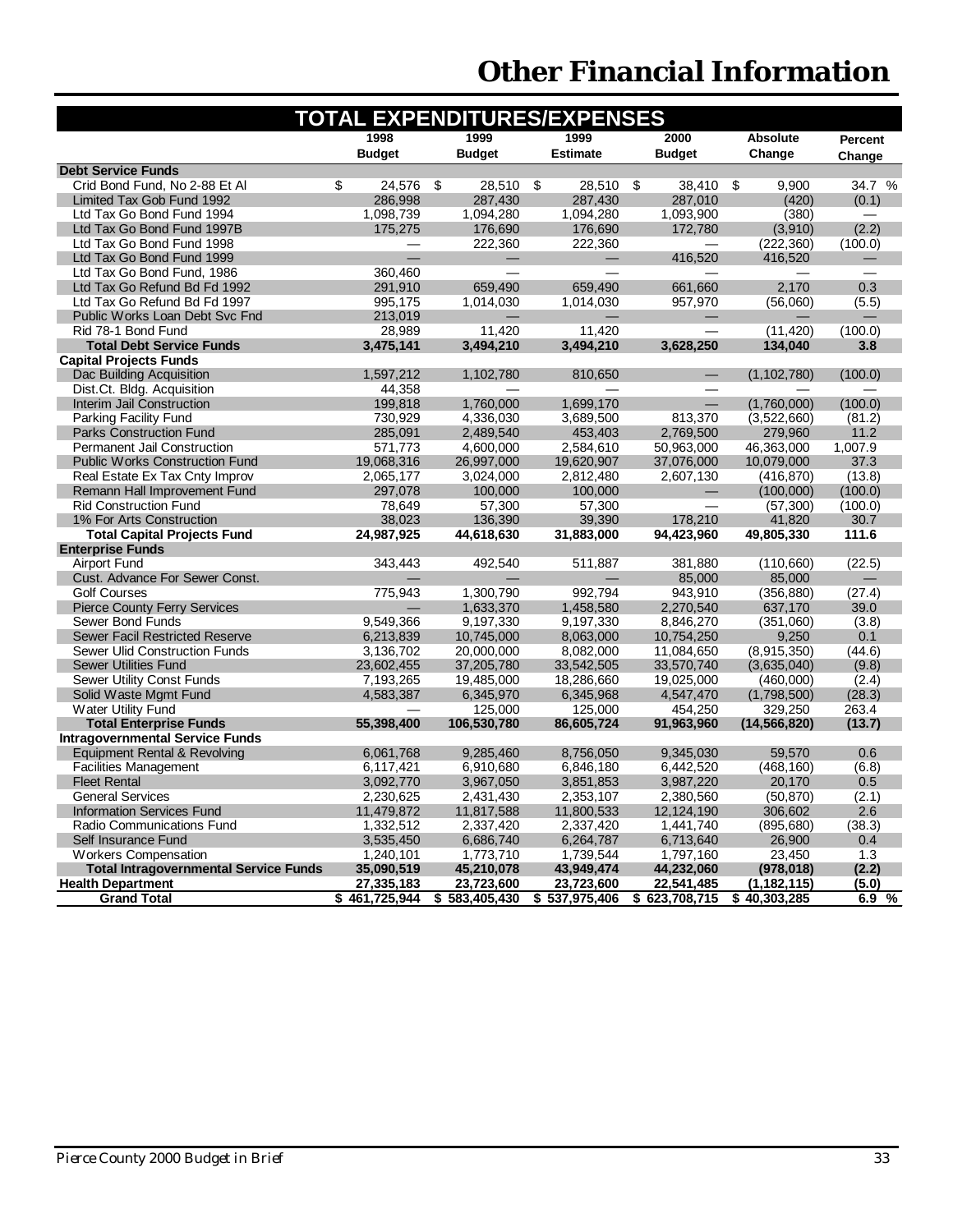| <b>TOTAL EXPENDITURES/EXPENSES</b>           |               |                   |                 |               |                 |         |  |  |
|----------------------------------------------|---------------|-------------------|-----------------|---------------|-----------------|---------|--|--|
|                                              | 1998          | 1999              | 1999            | 2000          | <b>Absolute</b> | Percent |  |  |
|                                              | <b>Budget</b> | <b>Budget</b>     | <b>Estimate</b> | <b>Budget</b> | Change          | Change  |  |  |
| <b>Debt Service Funds</b>                    |               |                   |                 |               |                 |         |  |  |
| Crid Bond Fund, No 2-88 Et Al                | \$<br>24,576  | \$<br>28,510      | -\$<br>28,510   | \$<br>38,410  | \$<br>9,900     | 34.7 %  |  |  |
| Limited Tax Gob Fund 1992                    | 286,998       | 287,430           | 287,430         | 287,010       | (420)           | (0.1)   |  |  |
| Ltd Tax Go Bond Fund 1994                    | 1,098,739     | 1,094,280         | 1,094,280       | 1,093,900     | (380)           |         |  |  |
| Ltd Tax Go Bond Fund 1997B                   | 175.275       | 176,690           | 176,690         | 172.780       | (3,910)         | (2.2)   |  |  |
| Ltd Tax Go Bond Fund 1998                    |               | 222,360           | 222,360         |               | (222, 360)      | (100.0) |  |  |
| Ltd Tax Go Bond Fund 1999                    |               |                   |                 | 416,520       | 416,520         |         |  |  |
| Ltd Tax Go Bond Fund, 1986                   | 360,460       |                   |                 |               |                 |         |  |  |
| Ltd Tax Go Refund Bd Fd 1992                 | 291,910       | 659.490           | 659,490         | 661,660       | 2,170           | 0.3     |  |  |
| Ltd Tax Go Refund Bd Fd 1997                 | 995.175       | 1,014,030         | 1.014.030       | 957,970       | (56,060)        | (5.5)   |  |  |
| Public Works Loan Debt Svc Fnd               | 213,019       |                   |                 |               |                 |         |  |  |
| Rid 78-1 Bond Fund                           | 28,989        | 11.420            | 11.420          |               | (11, 420)       | (100.0) |  |  |
| <b>Total Debt Service Funds</b>              | 3,475,141     | 3,494,210         | 3,494,210       | 3,628,250     | 134,040         | 3.8     |  |  |
| <b>Capital Projects Funds</b>                |               |                   |                 |               |                 |         |  |  |
| Dac Building Acquisition                     | 1,597,212     | 1,102,780         | 810,650         |               | (1, 102, 780)   | (100.0) |  |  |
| Dist.Ct. Bldg. Acquisition                   | 44,358        |                   |                 |               |                 |         |  |  |
| Interim Jail Construction                    | 199,818       | 1,760,000         | 1,699,170       |               | (1,760,000)     | (100.0) |  |  |
| Parking Facility Fund                        | 730,929       | 4,336,030         | 3,689,500       | 813,370       | (3,522,660)     | (81.2)  |  |  |
| <b>Parks Construction Fund</b>               | 285,091       | 2,489,540         | 453,403         | 2,769,500     | 279,960         | 11.2    |  |  |
| <b>Permanent Jail Construction</b>           | 571,773       | 4,600,000         | 2,584,610       | 50,963,000    | 46,363,000      | 1,007.9 |  |  |
| <b>Public Works Construction Fund</b>        | 19,068,316    | 26,997,000        | 19,620,907      | 37,076,000    | 10,079,000      | 37.3    |  |  |
| Real Estate Ex Tax Cnty Improv               | 2,065,177     | 3,024,000         | 2,812,480       | 2,607,130     | (416, 870)      | (13.8)  |  |  |
| Remann Hall Improvement Fund                 | 297,078       | 100,000           | 100,000         |               | (100,000)       | (100.0) |  |  |
| <b>Rid Construction Fund</b>                 | 78,649        | 57,300            | 57,300          |               | (57, 300)       | (100.0) |  |  |
| 1% For Arts Construction                     | 38,023        | 136,390           | 39,390          | 178,210       | 41,820          | 30.7    |  |  |
| <b>Total Capital Projects Fund</b>           | 24,987,925    | 44,618,630        | 31,883,000      | 94,423,960    | 49,805,330      | 111.6   |  |  |
| <b>Enterprise Funds</b>                      |               |                   |                 |               |                 |         |  |  |
| <b>Airport Fund</b>                          | 343,443       | 492,540           | 511,887         | 381,880       | (110,660)       | (22.5)  |  |  |
| Cust. Advance For Sewer Const.               |               |                   |                 | 85,000        | 85,000          |         |  |  |
| <b>Golf Courses</b>                          | 775,943       | 1,300,790         | 992,794         | 943,910       | (356, 880)      | (27.4)  |  |  |
| <b>Pierce County Ferry Services</b>          |               | 1,633,370         | 1,458,580       | 2,270,540     | 637,170         | 39.0    |  |  |
| Sewer Bond Funds                             | 9,549,366     | 9,197,330         | 9,197,330       | 8,846,270     | (351,060)       | (3.8)   |  |  |
| <b>Sewer Facil Restricted Reserve</b>        | 6,213,839     | 10,745,000        | 8,063,000       | 10,754,250    | 9,250           | 0.1     |  |  |
| <b>Sewer Ulid Construction Funds</b>         | 3,136,702     | 20.000.000        | 8.082.000       | 11,084,650    | (8,915,350)     | (44.6)  |  |  |
| <b>Sewer Utilities Fund</b>                  | 23,602,455    | 37,205,780        | 33,542,505      | 33,570,740    | (3,635,040)     | (9.8)   |  |  |
| Sewer Utility Const Funds                    | 7,193,265     | 19,485,000        | 18,286,660      | 19,025,000    | (460,000)       | (2.4)   |  |  |
| Solid Waste Mgmt Fund                        | 4,583,387     | 6,345,970         | 6,345,968       | 4,547,470     | (1,798,500)     | (28.3)  |  |  |
| Water Utility Fund                           |               | 125,000           | 125,000         | 454,250       | 329,250         | 263.4   |  |  |
| <b>Total Enterprise Funds</b>                | 55,398,400    | 106,530,780       | 86,605,724      | 91,963,960    | (14, 566, 820)  | (13.7)  |  |  |
| <b>Intragovernmental Service Funds</b>       |               |                   |                 |               |                 |         |  |  |
| <b>Equipment Rental &amp; Revolving</b>      | 6,061,768     | 9,285,460         | 8,756,050       | 9,345,030     | 59,570          | 0.6     |  |  |
| <b>Facilities Management</b>                 | 6,117,421     | 6,910,680         | 6,846,180       | 6,442,520     | (468, 160)      | (6.8)   |  |  |
| <b>Fleet Rental</b>                          | 3,092,770     | 3,967,050         | 3,851,853       | 3,987,220     | 20,170          | 0.5     |  |  |
| <b>General Services</b>                      | 2,230,625     | 2,431,430         | 2,353,107       | 2,380,560     | (50, 870)       | (2.1)   |  |  |
| <b>Information Services Fund</b>             | 11,479,872    | 11,817,588        | 11,800,533      | 12,124,190    | 306,602         | 2.6     |  |  |
| <b>Radio Communications Fund</b>             | 1,332,512     | 2,337,420         | 2,337,420       | 1,441,740     | (895, 680)      | (38.3)  |  |  |
| Self Insurance Fund                          | 3,535,450     | 6,686,740         | 6,264,787       | 6,713,640     | 26,900          | 0.4     |  |  |
| <b>Workers Compensation</b>                  | 1,240,101     | 1,773,710         | 1,739,544       | 1,797,160     | 23,450          | 1.3     |  |  |
| <b>Total Intragovernmental Service Funds</b> | 35,090,519    | 45,210,078        | 43,949,474      | 44,232,060    | (978, 018)      | (2.2)   |  |  |
| <b>Health Department</b>                     | 27,335,183    | 23,723,600        | 23,723,600      | 22,541,485    | (1, 182, 115)   | (5.0)   |  |  |
| <b>Grand Total</b>                           | \$461,725,944 | \$<br>583,405,430 | \$537,975,406   | \$623,708,715 | \$40,303,285    | 6.9%    |  |  |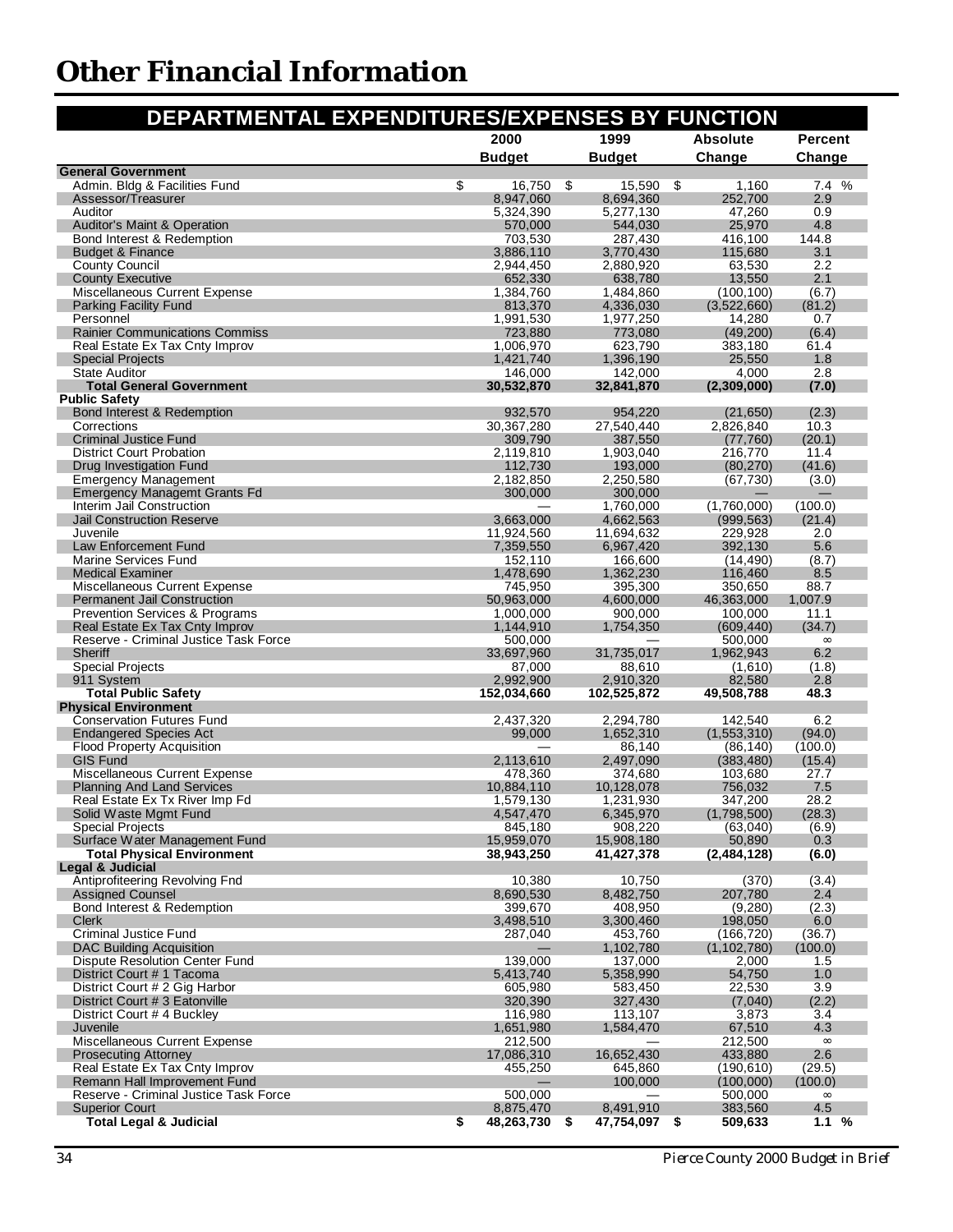<span id="page-35-0"></span>

| DEPARTMENTAL EXPENDITURES/EXPENSES BY FUNCTION                     |                           |                           |                        |                 |
|--------------------------------------------------------------------|---------------------------|---------------------------|------------------------|-----------------|
|                                                                    | 2000                      | 1999                      | <b>Absolute</b>        | <b>Percent</b>  |
|                                                                    | <b>Budget</b>             | <b>Budget</b>             | Change                 | Change          |
| <b>General Government</b>                                          |                           |                           |                        |                 |
| Admin. Bldg & Facilities Fund<br>Assessor/Treasurer                | \$<br>16,750<br>8,947,060 | \$<br>15,590<br>8,694,360 | \$<br>1,160<br>252,700 | 7.4 %<br>2.9    |
| Auditor                                                            | 5,324,390                 | 5,277,130                 | 47,260                 | 0.9             |
| <b>Auditor's Maint &amp; Operation</b>                             | 570,000                   | 544,030                   | 25,970                 | 4.8             |
| Bond Interest & Redemption                                         | 703,530                   | 287,430                   | 416,100                | 144.8           |
| <b>Budget &amp; Finance</b>                                        | 3,886,110                 | 3,770,430                 | 115,680                | 3.1             |
| <b>County Council</b>                                              | 2,944,450                 | 2,880,920                 | 63,530                 | 2.2             |
| <b>County Executive</b>                                            | 652.330                   | 638,780                   | 13,550                 | 2.1             |
| Miscellaneous Current Expense                                      | 1,384,760<br>813.370      | 1,484,860                 | (100, 100)             | (6.7)           |
| <b>Parking Facility Fund</b><br>Personnel                          | 1,991,530                 | 4,336,030<br>1,977,250    | (3,522,660)<br>14,280  | (81.2)<br>0.7   |
| <b>Rainier Communications Commiss</b>                              | 723,880                   | 773,080                   | (49, 200)              | (6.4)           |
| Real Estate Ex Tax Cnty Improv                                     | 1,006,970                 | 623,790                   | 383,180                | 61.4            |
| <b>Special Projects</b>                                            | 1,421,740                 | 1,396,190                 | 25,550                 | 1.8             |
| <b>State Auditor</b>                                               | 146,000                   | 142,000                   | 4,000                  | 2.8             |
| <b>Total General Government</b>                                    | 30,532,870                | 32,841,870                | (2,309,000)            | (7.0)           |
| <b>Public Safety</b>                                               |                           |                           |                        |                 |
| Bond Interest & Redemption<br>Corrections                          | 932,570<br>30,367,280     | 954,220<br>27,540,440     | (21, 650)<br>2,826,840 | (2.3)<br>10.3   |
| <b>Criminal Justice Fund</b>                                       | 309,790                   | 387,550                   | (77,760)               | (20.1)          |
| <b>District Court Probation</b>                                    | 2,119,810                 | 1,903,040                 | 216,770                | 11.4            |
| Drug Investigation Fund                                            | 112,730                   | 193,000                   | (80, 270)              | (41.6)          |
| <b>Emergency Management</b>                                        | 2,182,850                 | 2,250,580                 | (67, 730)              | (3.0)           |
| <b>Emergency Managemt Grants Fd</b>                                | 300,000                   | 300.000                   |                        |                 |
| Interim Jail Construction                                          |                           | 1,760,000                 | (1,760,000)            | (100.0)         |
| <b>Jail Construction Reserve</b>                                   | 3,663,000                 | 4,662,563                 | (999, 563)             | (21.4)          |
| Juvenile<br>Law Enforcement Fund                                   | 11,924,560<br>7,359,550   | 11,694,632<br>6,967,420   | 229,928<br>392,130     | 2.0<br>5.6      |
| Marine Services Fund                                               | 152,110                   | 166,600                   | (14, 490)              | (8.7)           |
| <b>Medical Examiner</b>                                            | 1,478,690                 | 1,362,230                 | 116,460                | 8.5             |
| Miscellaneous Current Expense                                      | 745,950                   | 395,300                   | 350,650                | 88.7            |
| <b>Permanent Jail Construction</b>                                 | 50,963,000                | 4,600,000                 | 46,363,000             | 1,007.9         |
| <b>Prevention Services &amp; Programs</b>                          | 1,000,000                 | 900,000                   | 100,000                | 11.1            |
| Real Estate Ex Tax Cnty Improv                                     | 1,144,910                 | 1,754,350                 | (609, 440)             | (34.7)          |
| Reserve - Criminal Justice Task Force                              | 500,000                   |                           | 500,000                | $\infty$        |
| Sheriff<br><b>Special Projects</b>                                 | 33,697,960<br>87,000      | 31,735,017<br>88,610      | 1,962,943<br>(1,610)   | 6.2<br>(1.8)    |
| 911 System                                                         | 2,992,900                 | 2,910,320                 | 82,580                 | 2.8             |
| <b>Total Public Safety</b>                                         | 152,034,660               | 102,525,872               | 49,508,788             | 48.3            |
| <b>Physical Environment</b>                                        |                           |                           |                        |                 |
| <b>Conservation Futures Fund</b>                                   | 2,437,320                 | 2,294,780                 | 142,540                | 6.2             |
| <b>Endangered Species Act</b>                                      | 99,000                    | 1,652,310                 | (1,553,310)            | (94.0)          |
| <b>Flood Property Acquisition</b>                                  |                           | 86,140                    | (86, 140)              | (100.0)         |
| <b>GIS Fund</b>                                                    | 2,113,610                 | 2,497,090                 | (383, 480)             | (15.4)          |
| Miscellaneous Current Expense<br><b>Planning And Land Services</b> | 478,360<br>10.884.110     | 374,680<br>10,128,078     | 103,680<br>756.032     | 27.7<br>7.5     |
| Real Estate Ex Tx River Imp Fd                                     | 1.579.130                 | 1.231.930                 | 347.200                | 28.2            |
| Solid Waste Mgmt Fund                                              | 4,547,470                 | 6,345,970                 | (1,798,500)            | (28.3)          |
| <b>Special Projects</b>                                            | 845,180                   | 908,220                   | (63,040)               | (6.9)           |
| Surface Water Management Fund                                      | 15,959,070                | 15,908,180                | 50,890                 | 0.3             |
| <b>Total Physical Environment</b>                                  | 38,943,250                | 41,427,378                | (2,484,128)            | (6.0)           |
| Legal & Judicial                                                   |                           |                           |                        |                 |
| Antiprofiteering Revolving Fnd                                     | 10,380                    | 10,750                    | (370)<br>207,780       | (3.4)           |
| <b>Assigned Counsel</b><br>Bond Interest & Redemption              | 8,690,530<br>399,670      | 8,482,750<br>408,950      | (9,280)                | 2.4<br>(2.3)    |
| <b>Clerk</b>                                                       | 3,498,510                 | 3,300,460                 | 198,050                | 6.0             |
| <b>Criminal Justice Fund</b>                                       | 287,040                   | 453,760                   | (166, 720)             | (36.7)          |
| <b>DAC Building Acquisition</b>                                    |                           | 1,102,780                 | (1, 102, 780)          | (100.0)         |
| <b>Dispute Resolution Center Fund</b>                              | 139,000                   | 137,000                   | 2,000                  | 1.5             |
| District Court # 1 Tacoma                                          | 5,413,740                 | 5,358,990                 | 54,750                 | 1.0             |
| District Court # 2 Gig Harbor                                      | 605,980                   | 583,450                   | 22,530                 | 3.9             |
| District Court # 3 Eatonville                                      | 320,390                   | 327,430                   | (7,040)                | (2.2)           |
| District Court #4 Buckley                                          | 116,980                   | 113,107                   | 3,873<br>67,510        | 3.4             |
| Juvenile<br>Miscellaneous Current Expense                          | 1,651,980<br>212,500      | 1,584,470                 | 212,500                | 4.3<br>$\infty$ |
| <b>Prosecuting Attorney</b>                                        | 17,086,310                | 16,652,430                | 433,880                | 2.6             |
| Real Estate Ex Tax Cnty Improv                                     | 455,250                   | 645,860                   | (190, 610)             | (29.5)          |
| Remann Hall Improvement Fund                                       |                           | 100,000                   | (100,000)              | (100.0)         |
| Reserve - Criminal Justice Task Force                              | 500,000                   |                           | 500,000                | $\infty$        |
| <b>Superior Court</b>                                              | 8,875,470                 | 8,491,910                 | 383,560                | 4.5             |
| <b>Total Legal &amp; Judicial</b>                                  | \$<br>48,263,730          | 47,754,097<br>\$          | 509,633<br>\$          | 1.1 %           |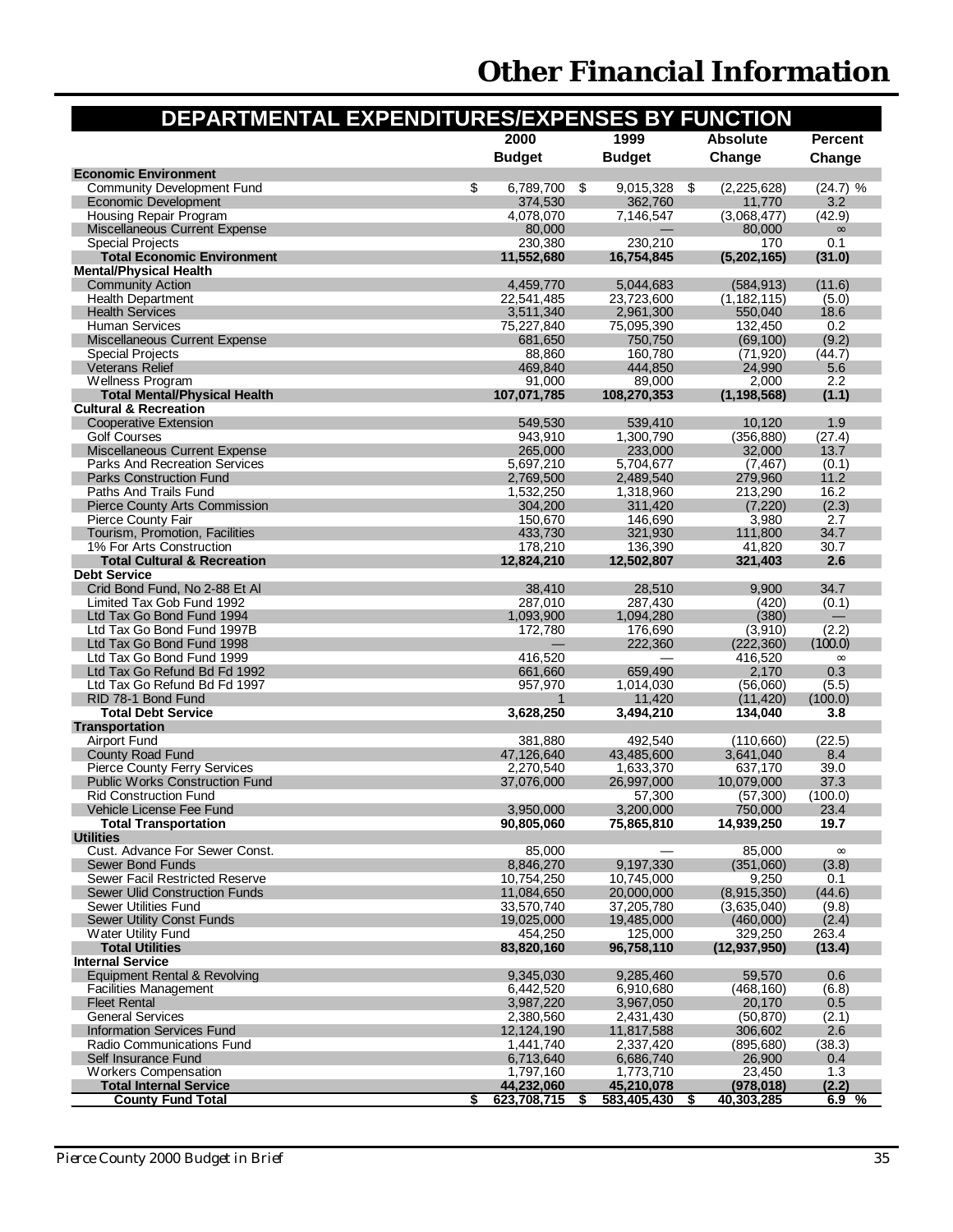|                                                                              | DEPARTMENTAL EXPENDITURES/EXPENSES BY FUNCTION |                         |                        |                   |
|------------------------------------------------------------------------------|------------------------------------------------|-------------------------|------------------------|-------------------|
|                                                                              | 2000                                           | 1999                    | <b>Absolute</b>        | <b>Percent</b>    |
|                                                                              | <b>Budget</b>                                  | <b>Budget</b>           | Change                 | Change            |
| <b>Economic Environment</b>                                                  |                                                |                         |                        |                   |
| <b>Community Development Fund</b>                                            | \$<br>6,789,700                                | \$<br>9,015,328         | \$<br>(2,225,628)      | (24.7) %          |
| <b>Economic Development</b><br><b>Housing Repair Program</b>                 | 374,530<br>4,078,070                           | 362.760<br>7,146,547    | 11,770<br>(3,068,477)  | 3.2<br>(42.9)     |
| <b>Miscellaneous Current Expense</b>                                         | 80,000                                         |                         | 80,000                 | $\infty$          |
| <b>Special Projects</b>                                                      | 230,380                                        | 230,210                 | 170                    | 0.1               |
| <b>Total Economic Environment</b>                                            | 11,552,680                                     | 16.754.845              | (5,202,165)            | (31.0)            |
| <b>Mental/Physical Health</b><br><b>Community Action</b>                     | 4,459,770                                      | 5,044,683               | (584, 913)             | (11.6)            |
| <b>Health Department</b>                                                     | 22,541,485                                     | 23,723,600              | (1, 182, 115)          | (5.0)             |
| <b>Health Services</b>                                                       | 3,511,340                                      | 2,961,300               | 550,040                | 18.6              |
| <b>Human Services</b>                                                        | 75,227,840                                     | 75,095,390              | 132,450                | 0.2               |
| <b>Miscellaneous Current Expense</b><br><b>Special Projects</b>              | 681,650<br>88,860                              | 750,750<br>160,780      | (69, 100)<br>(71, 920) | (9.2)<br>(44.7)   |
| <b>Veterans Relief</b>                                                       | 469,840                                        | 444,850                 | 24,990                 | 5.6               |
| Wellness Program                                                             | 91,000                                         | 89,000                  | 2,000                  | 2.2               |
| <b>Total Mental/Physical Health</b>                                          | 107,071,785                                    | 108,270,353             | (1, 198, 568)          | (1.1)             |
| <b>Cultural &amp; Recreation</b><br><b>Cooperative Extension</b>             | 549,530                                        | 539,410                 | 10,120                 | 1.9               |
| <b>Golf Courses</b>                                                          | 943,910                                        | 1,300,790               | (356, 880)             | (27.4)            |
| Miscellaneous Current Expense                                                | 265,000                                        | 233,000                 | 32,000                 | 13.7              |
| Parks And Recreation Services                                                | 5,697,210                                      | 5,704,677               | (7, 467)               | (0.1)             |
| <b>Parks Construction Fund</b><br>Paths And Trails Fund                      | 2,769,500<br>1,532,250                         | 2,489,540               | 279,960                | 11.2<br>16.2      |
| <b>Pierce County Arts Commission</b>                                         | 304,200                                        | 1,318,960<br>311,420    | 213,290<br>(7, 220)    | (2.3)             |
| Pierce County Fair                                                           | 150,670                                        | 146,690                 | 3,980                  | 2.7               |
| Tourism, Promotion, Facilities                                               | 433,730                                        | 321,930                 | 111,800                | 34.7              |
| 1% For Arts Construction                                                     | 178.210                                        | 136,390                 | 41,820                 | 30.7              |
| <b>Total Cultural &amp; Recreation</b><br><b>Debt Service</b>                | 12,824,210                                     | 12,502,807              | 321,403                | 2.6               |
| Crid Bond Fund, No 2-88 Et Al                                                | 38,410                                         | 28,510                  | 9,900                  | 34.7              |
| Limited Tax Gob Fund 1992                                                    | 287,010                                        | 287,430                 | (420)                  | (0.1)             |
| Ltd Tax Go Bond Fund 1994                                                    | 1,093,900                                      | 1,094,280               | (380)                  |                   |
| Ltd Tax Go Bond Fund 1997B<br>Ltd Tax Go Bond Fund 1998                      | 172,780                                        | 176,690<br>222,360      | (3,910)<br>(222, 360)  | (2.2)<br>(100.0)  |
| Ltd Tax Go Bond Fund 1999                                                    | 416,520                                        |                         | 416,520                | $\infty$          |
| Ltd Tax Go Refund Bd Fd 1992                                                 | 661,660                                        | 659,490                 | 2,170                  | 0.3               |
| Ltd Tax Go Refund Bd Fd 1997                                                 | 957,970                                        | 1,014,030               | (56,060)               | (5.5)             |
| RID 78-1 Bond Fund<br><b>Total Debt Service</b>                              | 3,628,250                                      | 11,420<br>3,494,210     | (11, 420)<br>134,040   | (100.0)<br>3.8    |
| <b>Transportation</b>                                                        |                                                |                         |                        |                   |
| <b>Airport Fund</b>                                                          | 381,880                                        | 492,540                 | (110,660)              | (22.5)            |
| <b>County Road Fund</b>                                                      | 47,126,640                                     | 43,485,600              | 3,641,040              | 8.4               |
| <b>Pierce County Ferry Services</b><br><b>Public Works Construction Fund</b> | 2,270,540<br>37,076,000                        | 1,633,370<br>26,997,000 | 637,170<br>10,079,000  | 39.0<br>37.3      |
| <b>Rid Construction Fund</b>                                                 |                                                | 57,300                  | (57,300)               | (100.0)           |
| Vehicle License Fee Fund                                                     | 3,950,000                                      | 3,200,000               | 750,000                | 23.4              |
| <b>Total Transportation</b>                                                  | 90.805.060                                     | 75,865,810              | 14,939,250             | 19.7              |
| <b>Utilities</b><br>Cust. Advance For Sewer Const.                           |                                                |                         | 85,000                 |                   |
| <b>Sewer Bond Funds</b>                                                      | 85,000<br>8,846,270                            | 9,197,330               | (351,060)              | $\infty$<br>(3.8) |
| Sewer Facil Restricted Reserve                                               | 10,754,250                                     | 10,745,000              | 9,250                  | 0.1               |
| <b>Sewer Ulid Construction Funds</b>                                         | 11,084,650                                     | 20,000,000              | (8,915,350)            | (44.6)            |
| Sewer Utilities Fund                                                         | 33,570,740                                     | 37,205,780              | (3,635,040)            | (9.8)             |
| <b>Sewer Utility Const Funds</b><br><b>Water Utility Fund</b>                | 19,025,000<br>454,250                          | 19,485,000<br>125,000   | (460,000)<br>329,250   | (2.4)<br>263.4    |
| <b>Total Utilities</b>                                                       | 83,820,160                                     | 96,758,110              | (12, 937, 950)         | (13.4)            |
| <b>Internal Service</b>                                                      |                                                |                         |                        |                   |
| Equipment Rental & Revolving                                                 | 9.345.030                                      | 9,285,460               | 59,570                 | 0.6               |
| <b>Facilities Management</b><br><b>Fleet Rental</b>                          | 6,442,520<br>3,987,220                         | 6.910.680<br>3,967,050  | (468, 160)<br>20,170   | (6.8)<br>0.5      |
| <b>General Services</b>                                                      | 2,380,560                                      | 2,431,430               | (50, 870)              | (2.1)             |
| <b>Information Services Fund</b>                                             | 12,124,190                                     | 11,817,588              | 306,602                | 2.6               |
| Radio Communications Fund                                                    | 1,441,740                                      | 2,337,420               | (895, 680)             | (38.3)            |
| Self Insurance Fund<br><b>Workers Compensation</b>                           | 6,713,640<br>1,797,160                         | 6,686,740<br>1,773,710  | 26,900<br>23,450       | 0.4<br>1.3        |
| <b>Total Internal Service</b>                                                | 44,232,060                                     | 45,210,078              | (978, 018)             | (2.2)             |
| <b>County Fund Total</b>                                                     | \$<br>623,708,715                              | 583,405,430<br>S        | 40,303,285<br>\$       | 6.9%              |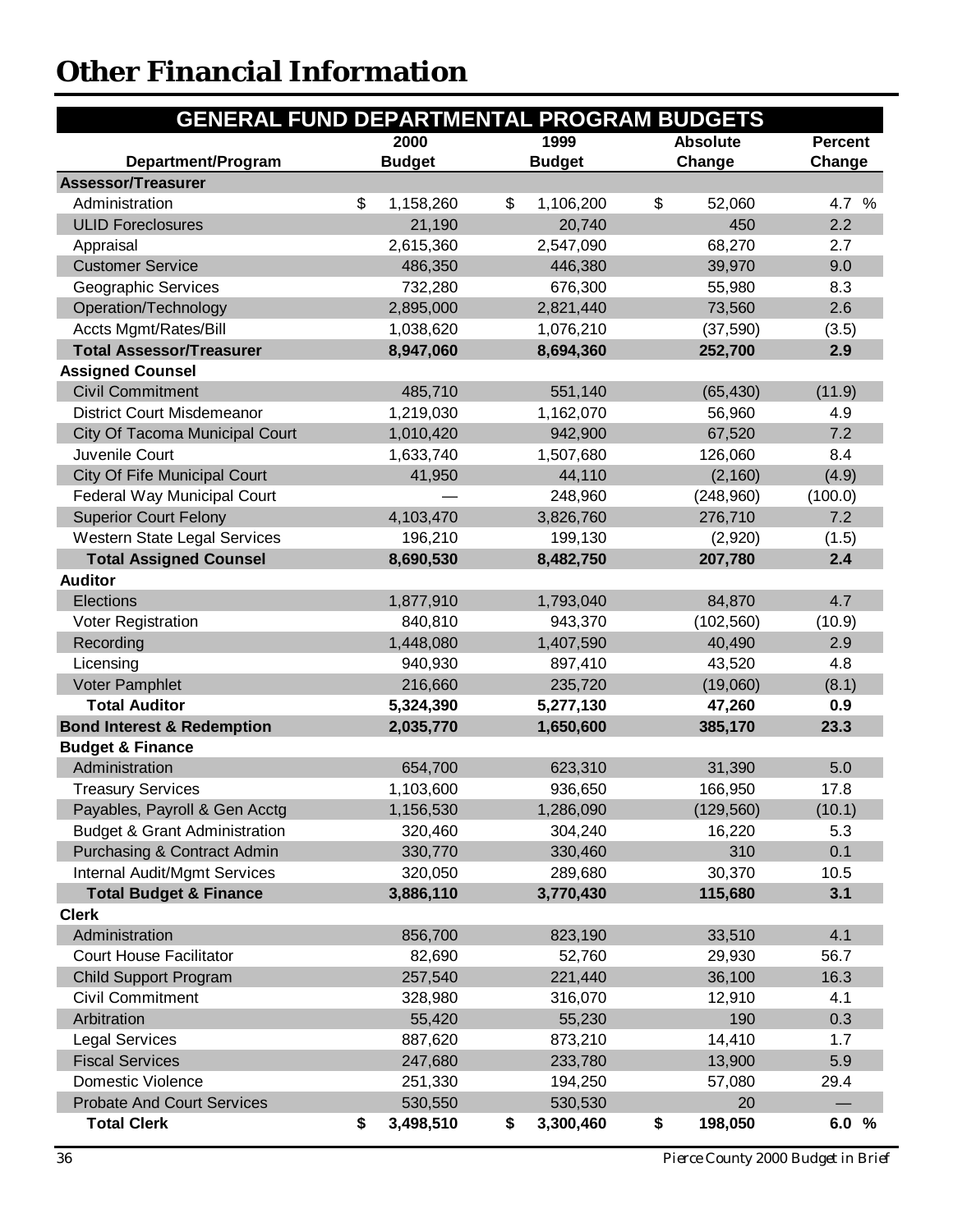<span id="page-37-0"></span>

| <b>GENERAL FUND DEPARTMENTAL PROGRAM BUDGETS</b> |                 |                 |                 |                |
|--------------------------------------------------|-----------------|-----------------|-----------------|----------------|
|                                                  | 2000            | 1999            | <b>Absolute</b> | <b>Percent</b> |
| Department/Program                               | <b>Budget</b>   | <b>Budget</b>   | Change          | Change         |
| <b>Assessor/Treasurer</b>                        |                 |                 |                 |                |
| Administration                                   | \$<br>1,158,260 | \$<br>1,106,200 | \$<br>52,060    | 4.7 %          |
| <b>ULID Foreclosures</b>                         | 21,190          | 20,740          | 450             | 2.2            |
| Appraisal                                        | 2,615,360       | 2,547,090       | 68,270          | 2.7            |
| <b>Customer Service</b>                          | 486,350         | 446,380         | 39,970          | 9.0            |
| Geographic Services                              | 732,280         | 676,300         | 55,980          | 8.3            |
| Operation/Technology                             | 2,895,000       | 2,821,440       | 73,560          | 2.6            |
| <b>Accts Mgmt/Rates/Bill</b>                     | 1,038,620       | 1,076,210       | (37, 590)       | (3.5)          |
| <b>Total Assessor/Treasurer</b>                  | 8,947,060       | 8,694,360       | 252,700         | 2.9            |
| <b>Assigned Counsel</b>                          |                 |                 |                 |                |
| <b>Civil Commitment</b>                          | 485,710         | 551,140         | (65, 430)       | (11.9)         |
| <b>District Court Misdemeanor</b>                | 1,219,030       | 1,162,070       | 56,960          | 4.9            |
| City Of Tacoma Municipal Court                   | 1,010,420       | 942,900         | 67,520          | 7.2            |
| Juvenile Court                                   | 1,633,740       | 1,507,680       | 126,060         | 8.4            |
| City Of Fife Municipal Court                     | 41,950          | 44,110          | (2, 160)        | (4.9)          |
| Federal Way Municipal Court                      |                 | 248,960         | (248,960)       | (100.0)        |
| <b>Superior Court Felony</b>                     | 4,103,470       | 3,826,760       | 276,710         | 7.2            |
| <b>Western State Legal Services</b>              | 196,210         | 199,130         | (2,920)         | (1.5)          |
| <b>Total Assigned Counsel</b>                    | 8,690,530       | 8,482,750       | 207,780         | 2.4            |
| <b>Auditor</b>                                   |                 |                 |                 |                |
| Elections                                        | 1,877,910       | 1,793,040       | 84,870          | 4.7            |
| Voter Registration                               | 840,810         | 943,370         | (102, 560)      | (10.9)         |
| Recording                                        | 1,448,080       | 1,407,590       | 40,490          | 2.9            |
| Licensing                                        | 940,930         | 897,410         | 43,520          | 4.8            |
| <b>Voter Pamphlet</b>                            | 216,660         | 235,720         | (19,060)        | (8.1)          |
| <b>Total Auditor</b>                             | 5,324,390       | 5,277,130       | 47,260          | 0.9            |
| <b>Bond Interest &amp; Redemption</b>            | 2,035,770       | 1,650,600       | 385,170         | 23.3           |
| <b>Budget &amp; Finance</b>                      |                 |                 |                 |                |
| Administration                                   | 654,700         | 623,310         | 31,390          | 5.0            |
| <b>Treasury Services</b>                         | 1,103,600       | 936,650         | 166,950         | 17.8           |
| Payables, Payroll & Gen Acctg                    | 1,156,530       | 1,286,090       | (129, 560)      | (10.1)         |
| <b>Budget &amp; Grant Administration</b>         | 320,460         | 304,240         | 16,220          | 5.3            |
| Purchasing & Contract Admin                      | 330,770         | 330,460         | 310             | 0.1            |
| <b>Internal Audit/Mgmt Services</b>              | 320,050         | 289,680         | 30,370          | 10.5           |
| <b>Total Budget &amp; Finance</b>                | 3,886,110       | 3,770,430       | 115,680         | 3.1            |
| <b>Clerk</b>                                     |                 |                 |                 |                |
| Administration                                   | 856,700         | 823,190         | 33,510          | 4.1            |
| <b>Court House Facilitator</b>                   | 82,690          | 52,760          | 29,930          | 56.7           |
| <b>Child Support Program</b>                     | 257,540         | 221,440         | 36,100          | 16.3           |
| <b>Civil Commitment</b>                          | 328,980         | 316,070         | 12,910          | 4.1            |
| Arbitration                                      | 55,420          | 55,230          | 190             | 0.3            |
| <b>Legal Services</b>                            | 887,620         | 873,210         | 14,410          | 1.7            |
| <b>Fiscal Services</b>                           | 247,680         | 233,780         | 13,900          | 5.9            |
| <b>Domestic Violence</b>                         | 251,330         | 194,250         | 57,080          | 29.4           |
| <b>Probate And Court Services</b>                | 530,550         | 530,530         | 20              |                |
| <b>Total Clerk</b>                               | \$<br>3,498,510 | 3,300,460<br>\$ | \$<br>198,050   | 6.0%           |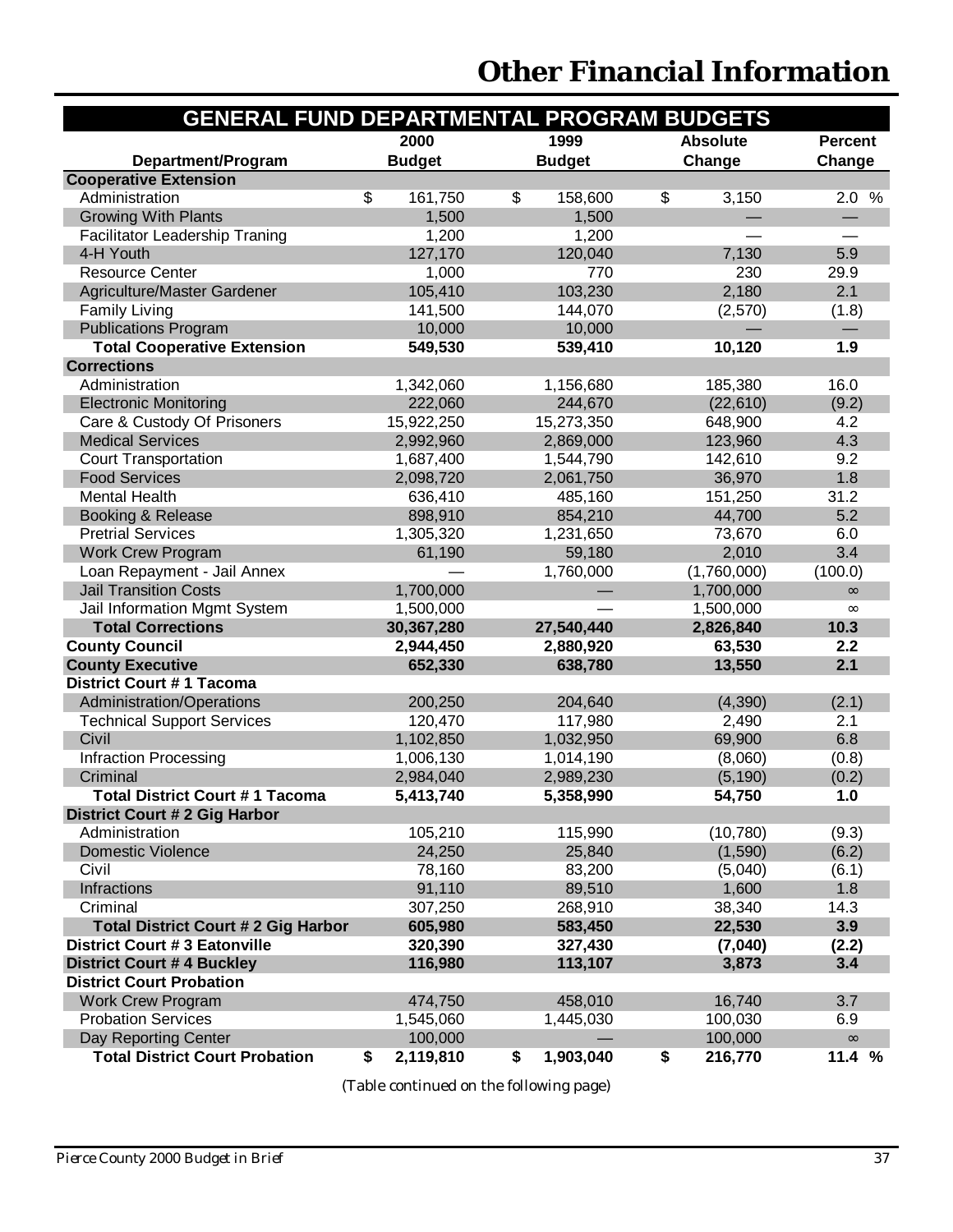| <b>GENERAL FUND DEPARTMENTAL PROGRAM BUDGETS</b> |                 |                 |                 |                |
|--------------------------------------------------|-----------------|-----------------|-----------------|----------------|
|                                                  | 2000            | 1999            | <b>Absolute</b> | <b>Percent</b> |
| Department/Program                               | <b>Budget</b>   | <b>Budget</b>   | Change          | Change         |
| <b>Cooperative Extension</b>                     |                 |                 |                 |                |
| Administration                                   | \$<br>161,750   | \$<br>158,600   | \$<br>3,150     | 2.0%           |
| <b>Growing With Plants</b>                       | 1,500           | 1,500           |                 |                |
| <b>Facilitator Leadership Traning</b>            | 1,200           | 1,200           |                 |                |
| 4-H Youth                                        | 127,170         | 120,040         | 7,130           | 5.9            |
| <b>Resource Center</b>                           | 1,000           | 770             | 230             | 29.9           |
| Agriculture/Master Gardener                      | 105,410         | 103,230         | 2,180           | 2.1            |
| <b>Family Living</b>                             | 141,500         | 144,070         | (2,570)         | (1.8)          |
| <b>Publications Program</b>                      | 10,000          | 10,000          |                 |                |
| <b>Total Cooperative Extension</b>               | 549,530         | 539,410         | 10,120          | 1.9            |
| <b>Corrections</b>                               |                 |                 |                 |                |
| Administration                                   | 1,342,060       | 1,156,680       | 185,380         | 16.0           |
| <b>Electronic Monitoring</b>                     | 222,060         | 244,670         | (22,610)        | (9.2)          |
| Care & Custody Of Prisoners                      | 15,922,250      | 15,273,350      | 648,900         | 4.2            |
| <b>Medical Services</b>                          | 2,992,960       | 2,869,000       | 123,960         | 4.3            |
| <b>Court Transportation</b>                      | 1,687,400       | 1,544,790       | 142,610         | 9.2            |
| <b>Food Services</b>                             | 2,098,720       | 2,061,750       | 36,970          | 1.8            |
| <b>Mental Health</b>                             | 636,410         | 485,160         | 151,250         | 31.2           |
| Booking & Release                                | 898,910         | 854,210         | 44,700          | 5.2            |
| <b>Pretrial Services</b>                         | 1,305,320       | 1,231,650       | 73,670          | 6.0            |
| <b>Work Crew Program</b>                         | 61,190          | 59,180          | 2,010           | 3.4            |
| Loan Repayment - Jail Annex                      |                 | 1,760,000       | (1,760,000)     | (100.0)        |
| <b>Jail Transition Costs</b>                     | 1,700,000       |                 | 1,700,000       | $\infty$       |
| Jail Information Mgmt System                     | 1,500,000       |                 | 1,500,000       | $\infty$       |
| <b>Total Corrections</b>                         | 30,367,280      | 27,540,440      | 2,826,840       | 10.3           |
| <b>County Council</b>                            | 2,944,450       | 2,880,920       | 63,530          | 2.2            |
| <b>County Executive</b>                          | 652,330         | 638,780         | 13,550          | 2.1            |
| <b>District Court #1 Tacoma</b>                  |                 |                 |                 |                |
| Administration/Operations                        | 200,250         | 204,640         | (4, 390)        | (2.1)          |
| <b>Technical Support Services</b>                | 120,470         | 117,980         | 2,490           | 2.1            |
| Civil                                            | 1,102,850       | 1,032,950       | 69,900          | 6.8            |
| Infraction Processing                            | 1,006,130       | 1,014,190       | (8,060)         | (0.8)          |
| Criminal                                         | 2,984,040       | 2,989,230       | (5, 190)        | (0.2)          |
| <b>Total District Court #1 Tacoma</b>            | 5,413,740       | 5,358,990       | 54,750          | 1.0            |
| <b>District Court # 2 Gig Harbor</b>             |                 |                 |                 |                |
| Administration                                   | 105,210         | 115,990         | (10, 780)       | (9.3)          |
| <b>Domestic Violence</b>                         | 24,250          | 25,840          | (1,590)         | (6.2)          |
| Civil                                            | 78,160          | 83,200          | (5,040)         | (6.1)          |
| Infractions                                      | 91,110          | 89,510          | 1,600           | 1.8            |
| Criminal                                         | 307,250         | 268,910         | 38,340          | 14.3           |
| <b>Total District Court # 2 Gig Harbor</b>       | 605,980         | 583,450         | 22,530          | 3.9            |
| <b>District Court #3 Eatonville</b>              | 320,390         | 327,430         | (7,040)         | (2.2)          |
| <b>District Court #4 Buckley</b>                 | 116,980         | 113,107         | 3,873           | 3.4            |
| <b>District Court Probation</b>                  |                 |                 |                 |                |
| <b>Work Crew Program</b>                         | 474,750         | 458,010         | 16,740          | 3.7            |
| <b>Probation Services</b>                        | 1,545,060       | 1,445,030       | 100,030         | 6.9            |
| Day Reporting Center                             | 100,000         |                 | 100,000         | $\infty$       |
| <b>Total District Court Probation</b>            | 2,119,810<br>\$ | \$<br>1,903,040 | 216,770<br>\$   | 11.4 %         |

(Table continued on the following page)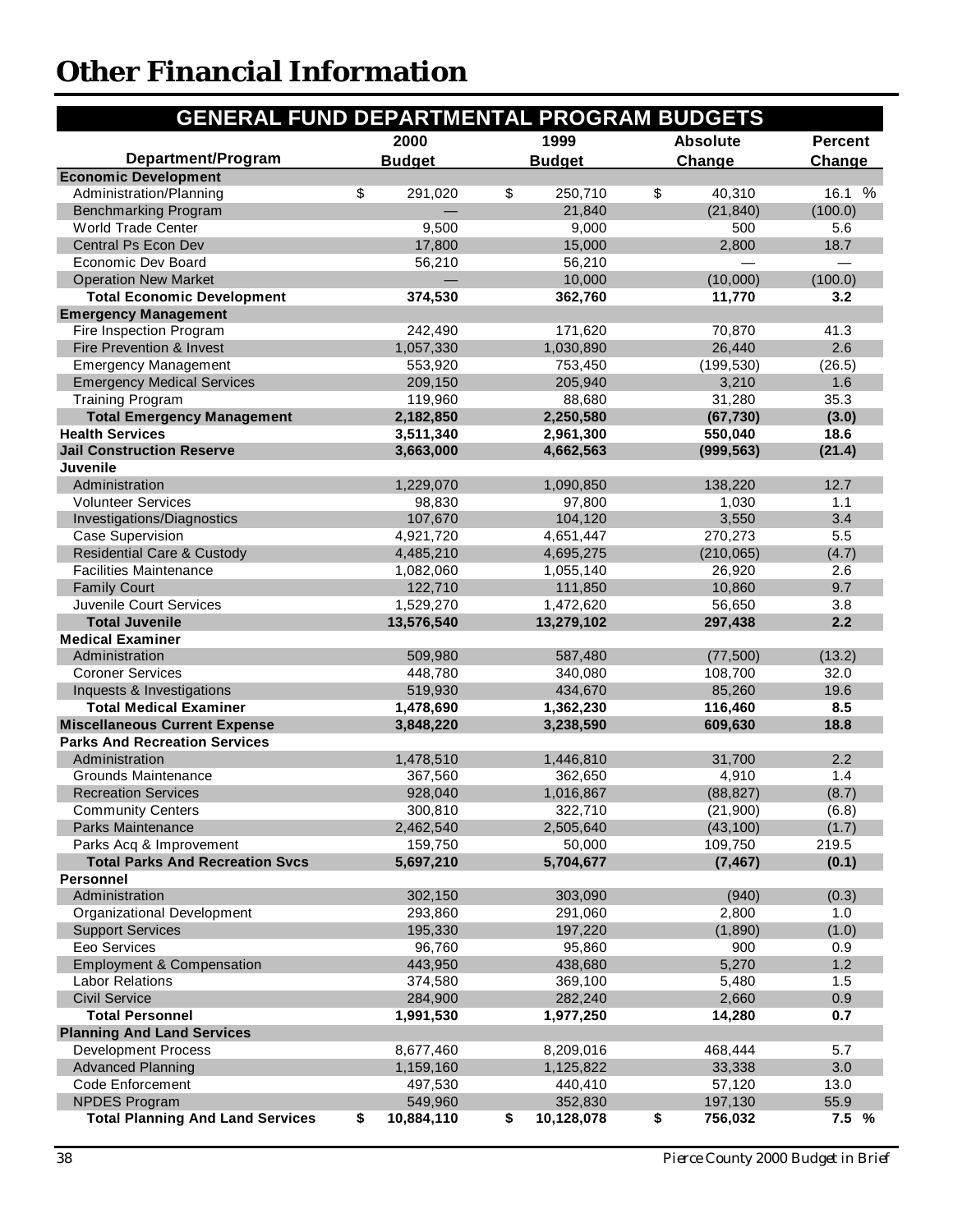| <b>GENERAL FUND DEPARTMENTAL PROGRAM BUDGETS</b> |                  |                  |                 |                |
|--------------------------------------------------|------------------|------------------|-----------------|----------------|
|                                                  | 2000             | 1999             | <b>Absolute</b> | <b>Percent</b> |
| Department/Program                               | <b>Budget</b>    | <b>Budget</b>    | Change          | Change         |
| <b>Economic Development</b>                      |                  |                  |                 |                |
| Administration/Planning                          | \$<br>291,020    | \$<br>250,710    | \$<br>40,310    | %<br>16.1      |
| <b>Benchmarking Program</b>                      |                  | 21,840           | (21, 840)       | (100.0)        |
| <b>World Trade Center</b>                        | 9,500            | 9,000            | 500             | 5.6            |
| Central Ps Econ Dev                              | 17,800           | 15,000           | 2,800           | 18.7           |
| Economic Dev Board                               | 56,210           | 56,210           |                 |                |
| <b>Operation New Market</b>                      | $\equiv$         | 10,000           | (10,000)        | (100.0)        |
| <b>Total Economic Development</b>                | 374,530          | 362,760          | 11,770          | 3.2            |
| <b>Emergency Management</b>                      |                  |                  |                 |                |
| Fire Inspection Program                          | 242,490          | 171,620          | 70,870          | 41.3           |
| Fire Prevention & Invest                         | 1,057,330        | 1,030,890        | 26,440          | 2.6            |
| <b>Emergency Management</b>                      | 553,920          | 753,450          | (199, 530)      | (26.5)         |
| <b>Emergency Medical Services</b>                | 209,150          | 205,940          | 3,210           | 1.6            |
| <b>Training Program</b>                          | 119,960          | 88,680           | 31,280          | 35.3           |
| <b>Total Emergency Management</b>                | 2,182,850        | 2,250,580        | (67, 730)       | (3.0)          |
| <b>Health Services</b>                           | 3,511,340        | 2,961,300        | 550,040         | 18.6           |
| <b>Jail Construction Reserve</b>                 | 3,663,000        | 4,662,563        | (999, 563)      | (21.4)         |
| <b>Juvenile</b>                                  |                  |                  |                 |                |
| Administration                                   | 1,229,070        | 1,090,850        | 138,220         | 12.7           |
| <b>Volunteer Services</b>                        | 98,830           | 97,800           | 1,030           | 1.1            |
| Investigations/Diagnostics                       | 107,670          | 104,120          | 3,550           | 3.4            |
| <b>Case Supervision</b>                          | 4,921,720        | 4,651,447        | 270,273         | 5.5            |
| <b>Residential Care &amp; Custody</b>            | 4,485,210        | 4,695,275        | (210, 065)      | (4.7)          |
| <b>Facilities Maintenance</b>                    | 1,082,060        | 1,055,140        | 26,920          | 2.6            |
| <b>Family Court</b>                              | 122,710          | 111,850          | 10,860          | 9.7            |
| Juvenile Court Services                          | 1,529,270        | 1,472,620        | 56,650          | 3.8            |
| <b>Total Juvenile</b>                            | 13,576,540       | 13,279,102       | 297,438         | 2.2            |
| <b>Medical Examiner</b>                          |                  |                  |                 |                |
| Administration                                   | 509,980          | 587,480          | (77,500)        | (13.2)         |
| <b>Coroner Services</b>                          | 448,780          | 340,080          | 108,700         | 32.0           |
| Inquests & Investigations                        | 519,930          | 434,670          | 85,260          | 19.6           |
| <b>Total Medical Examiner</b>                    | 1,478,690        | 1,362,230        | 116,460         | 8.5            |
| <b>Miscellaneous Current Expense</b>             | 3,848,220        | 3,238,590        | 609,630         | 18.8           |
| <b>Parks And Recreation Services</b>             |                  |                  |                 |                |
| Administration                                   | 1,478,510        | 1,446,810        | 31,700          | 2.2            |
| Grounds Maintenance                              | 367,560          | 362,650          | 4,910           | 1.4            |
| <b>Recreation Services</b>                       | 928,040          | 1,016,867        | (88, 827)       | (8.7)          |
| <b>Community Centers</b>                         | 300,810          | 322,710          | (21,900)        | (6.8)          |
| <b>Parks Maintenance</b>                         | 2,462,540        | 2,505,640        | (43, 100)       | (1.7)          |
| Parks Acq & Improvement                          | 159,750          | 50,000           | 109,750         | 219.5          |
| <b>Total Parks And Recreation Svcs</b>           | 5,697,210        | 5,704,677        | (7, 467)        | (0.1)          |
| <b>Personnel</b>                                 |                  |                  |                 |                |
| Administration                                   | 302,150          | 303,090          | (940)           | (0.3)          |
| Organizational Development                       | 293,860          | 291,060          | 2,800           | 1.0            |
| <b>Support Services</b>                          | 195,330          | 197,220          | (1,890)         | (1.0)          |
| Eeo Services                                     | 96,760           | 95,860           | 900             | 0.9            |
| <b>Employment &amp; Compensation</b>             | 443,950          | 438,680          | 5,270           | 1.2            |
| <b>Labor Relations</b>                           | 374,580          | 369,100          | 5,480           | 1.5            |
| <b>Civil Service</b>                             | 284,900          | 282,240          | 2,660           | 0.9            |
| <b>Total Personnel</b>                           | 1,991,530        | 1,977,250        | 14,280          | 0.7            |
| <b>Planning And Land Services</b>                |                  |                  |                 |                |
| <b>Development Process</b>                       | 8,677,460        | 8,209,016        | 468,444         | 5.7            |
| <b>Advanced Planning</b>                         | 1,159,160        | 1,125,822        | 33,338          | 3.0            |
| Code Enforcement                                 | 497,530          | 440,410          | 57,120          | 13.0           |
| <b>NPDES Program</b>                             | 549,960          | 352,830          | 197,130         | 55.9           |
| <b>Total Planning And Land Services</b>          | \$<br>10,884,110 | \$<br>10,128,078 | \$<br>756,032   | 7.5 %          |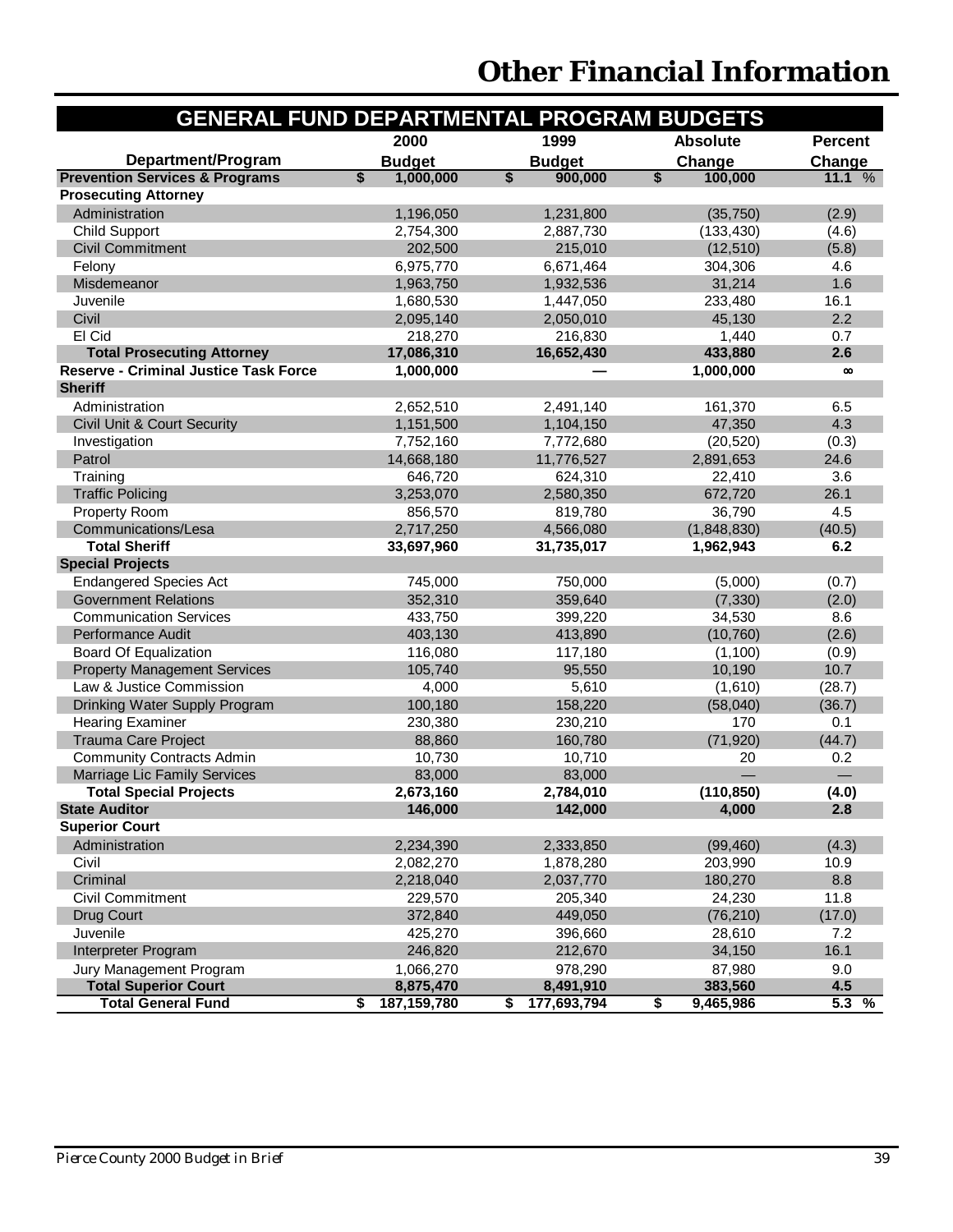| <b>GENERAL FUND DEPARTMENTAL PROGRAM BUDGETS</b> |                                      |                   |                 |                    |
|--------------------------------------------------|--------------------------------------|-------------------|-----------------|--------------------|
|                                                  | 2000                                 | 1999              | <b>Absolute</b> | <b>Percent</b>     |
| Department/Program                               | <b>Budget</b>                        | <b>Budget</b>     | Change          | Change             |
| <b>Prevention Services &amp; Programs</b>        | $\overline{\textbf{S}}$<br>1,000,000 | \$<br>900,000     | \$<br>100,000   | 11.1 $%$           |
| <b>Prosecuting Attorney</b>                      |                                      |                   |                 |                    |
| Administration                                   | 1,196,050                            | 1,231,800         | (35, 750)       | (2.9)              |
| <b>Child Support</b>                             | 2,754,300                            | 2,887,730         | (133, 430)      | (4.6)              |
| <b>Civil Commitment</b>                          | 202,500                              | 215,010           | (12, 510)       | (5.8)              |
| Felony                                           | 6,975,770                            | 6,671,464         | 304,306         | 4.6                |
| Misdemeanor                                      | 1,963,750                            | 1,932,536         | 31,214          | 1.6                |
| Juvenile                                         | 1,680,530                            | 1,447,050         | 233,480         | 16.1               |
| Civil                                            | 2,095,140                            | 2,050,010         | 45,130          | 2.2                |
| El Cid                                           | 218,270                              | 216,830           | 1,440           | 0.7                |
| <b>Total Prosecuting Attorney</b>                | 17,086,310                           | 16,652,430        | 433,880         | 2.6                |
| <b>Reserve - Criminal Justice Task Force</b>     | 1,000,000                            |                   | 1,000,000       | $\infty$           |
| <b>Sheriff</b>                                   |                                      |                   |                 |                    |
| Administration                                   | 2,652,510                            | 2,491,140         | 161,370         | 6.5                |
| Civil Unit & Court Security                      | 1,151,500                            | 1,104,150         | 47,350          | 4.3                |
| Investigation                                    | 7,752,160                            | 7,772,680         | (20, 520)       | (0.3)              |
| Patrol                                           | 14,668,180                           | 11,776,527        | 2,891,653       | 24.6               |
| Training                                         | 646,720                              | 624,310           | 22,410          | 3.6                |
| <b>Traffic Policing</b>                          | 3,253,070                            | 2,580,350         | 672,720         | 26.1               |
| Property Room                                    | 856,570                              | 819,780           | 36,790          | 4.5                |
| Communications/Lesa                              | 2,717,250                            | 4,566,080         | (1,848,830)     | (40.5)             |
| <b>Total Sheriff</b>                             | 33,697,960                           | 31,735,017        | 1,962,943       | 6.2                |
| <b>Special Projects</b>                          |                                      |                   |                 |                    |
| <b>Endangered Species Act</b>                    | 745,000                              | 750,000           | (5,000)         | (0.7)              |
| <b>Government Relations</b>                      | 352,310                              | 359,640           | (7, 330)        | (2.0)              |
| <b>Communication Services</b>                    | 433,750                              | 399,220           | 34,530          | 8.6                |
| <b>Performance Audit</b>                         | 403,130                              | 413,890           | (10, 760)       | (2.6)              |
| <b>Board Of Equalization</b>                     | 116,080                              | 117,180           | (1, 100)        | (0.9)              |
| <b>Property Management Services</b>              | 105,740                              | 95,550            | 10,190          | 10.7               |
| Law & Justice Commission                         | 4,000                                | 5,610             | (1,610)         | (28.7)             |
| Drinking Water Supply Program                    | 100,180                              | 158,220           | (58,040)        | (36.7)             |
| <b>Hearing Examiner</b>                          | 230,380                              | 230,210           | 170             | 0.1                |
| Trauma Care Project                              | 88,860                               | 160,780           | (71, 920)       | (44.7)             |
| <b>Community Contracts Admin</b>                 | 10,730                               | 10,710            | 20              | 0.2                |
| Marriage Lic Family Services                     | 83,000                               | 83,000            |                 |                    |
| <b>Total Special Projects</b>                    | 2,673,160                            | 2,784,010         | (110, 850)      | (4.0)              |
| <b>State Auditor</b>                             | 146,000                              | 142,000           | 4,000           | 2.8                |
| <b>Superior Court</b>                            |                                      |                   |                 |                    |
| Administration                                   | 2,234,390                            | 2,333,850         | (99, 460)       | (4.3)              |
| Civil                                            | 2,082,270                            | 1,878,280         | 203,990         | 10.9               |
| Criminal                                         | 2,218,040                            | 2,037,770         | 180,270         | 8.8                |
| <b>Civil Commitment</b>                          | 229,570                              | 205,340           | 24,230          | 11.8               |
| Drug Court                                       | 372,840                              | 449,050           | (76, 210)       | (17.0)             |
| Juvenile                                         | 425,270                              | 396,660           | 28,610          | 7.2                |
| Interpreter Program                              | 246,820                              | 212,670           | 34,150          | 16.1               |
| Jury Management Program                          | 1,066,270                            | 978,290           | 87,980          | 9.0                |
| <b>Total Superior Court</b>                      | 8,875,470                            | 8,491,910         | 383,560         | 4.5                |
| <b>Total General Fund</b>                        | 187,159,780<br>\$                    | \$<br>177,693,794 | \$<br>9,465,986 | $5.\overline{3\%}$ |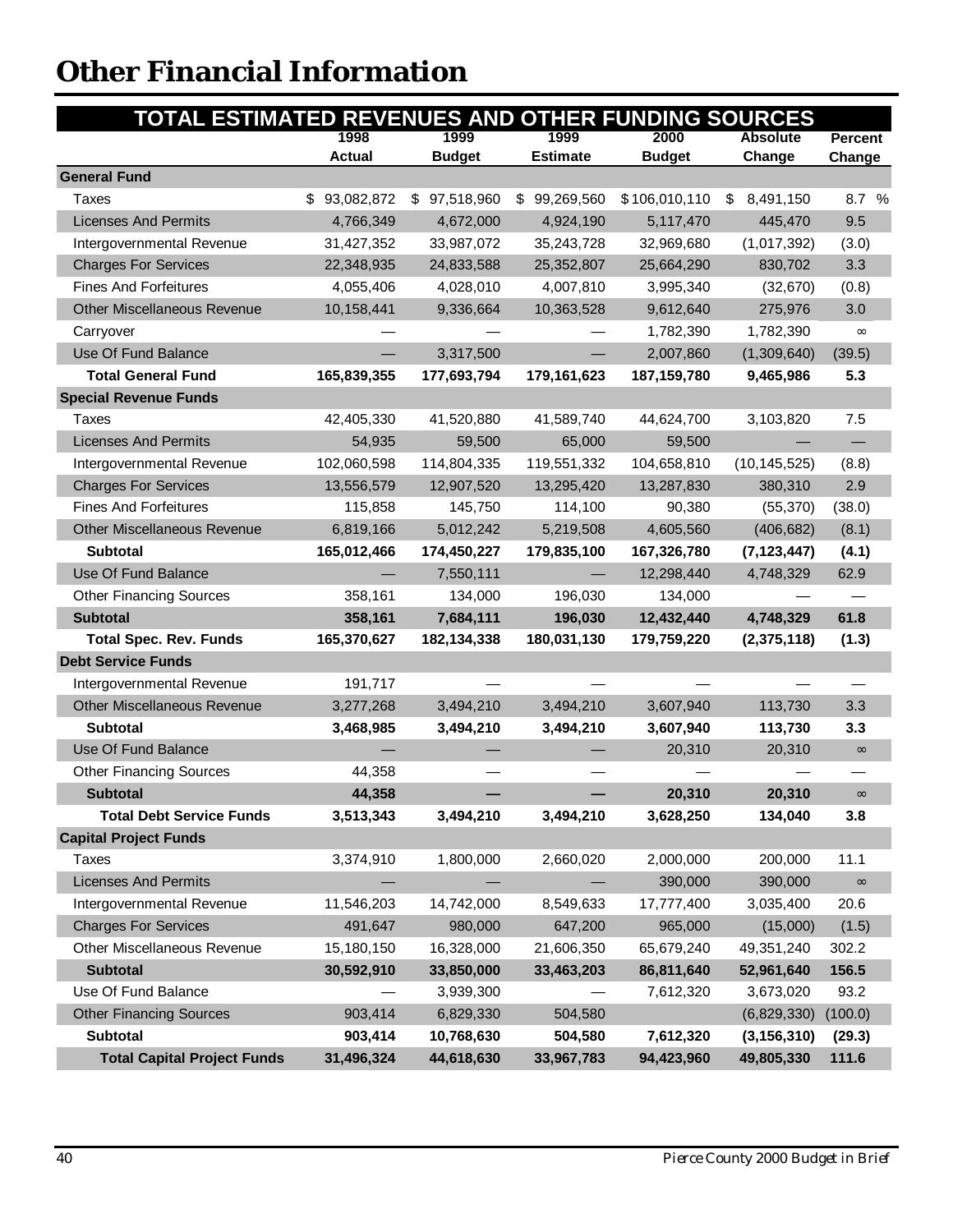| TOTAL ESTIMATED REVENUES AND OTHER FUNDING SOURCES |               |               |                  |               |                 |                |
|----------------------------------------------------|---------------|---------------|------------------|---------------|-----------------|----------------|
|                                                    | 1998          | 1999          | 1999             | 2000          | <b>Absolute</b> | <b>Percent</b> |
|                                                    | <b>Actual</b> | <b>Budget</b> | <b>Estimate</b>  | <b>Budget</b> | Change          | Change         |
| <b>General Fund</b>                                |               |               |                  |               |                 |                |
| Taxes                                              | 93,082,872    | \$97,518,960  | 99,269,560<br>S. | \$106,010,110 | 8,491,150<br>S. | 8.7 %          |
| <b>Licenses And Permits</b>                        | 4,766,349     | 4,672,000     | 4,924,190        | 5,117,470     | 445,470         | 9.5            |
| Intergovernmental Revenue                          | 31,427,352    | 33,987,072    | 35,243,728       | 32,969,680    | (1,017,392)     | (3.0)          |
| <b>Charges For Services</b>                        | 22,348,935    | 24,833,588    | 25,352,807       | 25,664,290    | 830,702         | 3.3            |
| <b>Fines And Forfeitures</b>                       | 4,055,406     | 4,028,010     | 4,007,810        | 3,995,340     | (32, 670)       | (0.8)          |
| <b>Other Miscellaneous Revenue</b>                 | 10,158,441    | 9,336,664     | 10,363,528       | 9,612,640     | 275,976         | 3.0            |
| Carryover                                          |               |               |                  | 1,782,390     | 1,782,390       | $\infty$       |
| Use Of Fund Balance                                |               | 3,317,500     |                  | 2,007,860     | (1,309,640)     | (39.5)         |
| <b>Total General Fund</b>                          | 165,839,355   | 177,693,794   | 179,161,623      | 187, 159, 780 | 9,465,986       | 5.3            |
| <b>Special Revenue Funds</b>                       |               |               |                  |               |                 |                |
| Taxes                                              | 42,405,330    | 41,520,880    | 41,589,740       | 44,624,700    | 3,103,820       | 7.5            |
| <b>Licenses And Permits</b>                        | 54,935        | 59,500        | 65,000           | 59,500        |                 |                |
| Intergovernmental Revenue                          | 102,060,598   | 114,804,335   | 119,551,332      | 104,658,810   | (10, 145, 525)  | (8.8)          |
| <b>Charges For Services</b>                        | 13,556,579    | 12,907,520    | 13,295,420       | 13,287,830    | 380,310         | 2.9            |
| <b>Fines And Forfeitures</b>                       | 115,858       | 145,750       | 114,100          | 90,380        | (55, 370)       | (38.0)         |
| Other Miscellaneous Revenue                        | 6,819,166     | 5,012,242     | 5,219,508        | 4,605,560     | (406, 682)      | (8.1)          |
| <b>Subtotal</b>                                    | 165,012,466   | 174,450,227   | 179,835,100      | 167,326,780   | (7, 123, 447)   | (4.1)          |
| Use Of Fund Balance                                |               | 7,550,111     |                  | 12,298,440    | 4,748,329       | 62.9           |
| <b>Other Financing Sources</b>                     | 358,161       | 134,000       | 196,030          | 134,000       |                 |                |
| <b>Subtotal</b>                                    | 358,161       | 7,684,111     | 196,030          | 12,432,440    | 4,748,329       | 61.8           |
| <b>Total Spec. Rev. Funds</b>                      | 165,370,627   | 182,134,338   | 180,031,130      | 179,759,220   | (2,375,118)     | (1.3)          |
| <b>Debt Service Funds</b>                          |               |               |                  |               |                 |                |
| Intergovernmental Revenue                          | 191,717       |               |                  |               |                 |                |
| Other Miscellaneous Revenue                        | 3,277,268     | 3,494,210     | 3,494,210        | 3,607,940     | 113,730         | 3.3            |
| <b>Subtotal</b>                                    | 3,468,985     | 3,494,210     | 3,494,210        | 3,607,940     | 113,730         | 3.3            |
| Use Of Fund Balance                                |               |               |                  | 20,310        | 20,310          | $\infty$       |
| <b>Other Financing Sources</b>                     | 44,358        |               |                  |               |                 |                |
| <b>Subtotal</b>                                    | 44,358        |               |                  | 20,310        | 20,310          | $\infty$       |
| <b>Total Debt Service Funds</b>                    | 3,513,343     | 3,494,210     | 3,494,210        | 3,628,250     | 134,040         | 3.8            |
| <b>Capital Project Funds</b>                       |               |               |                  |               |                 |                |
| Taxes                                              | 3,374,910     | 1,800,000     | 2,660,020        | 2,000,000     | 200,000         | 11.1           |
| <b>Licenses And Permits</b>                        |               |               |                  | 390,000       | 390,000         | $\infty$       |
| Intergovernmental Revenue                          | 11,546,203    | 14,742,000    | 8,549,633        | 17,777,400    | 3,035,400       | 20.6           |
| <b>Charges For Services</b>                        | 491,647       | 980,000       | 647,200          | 965,000       | (15,000)        | (1.5)          |
| Other Miscellaneous Revenue                        | 15,180,150    | 16,328,000    | 21,606,350       | 65,679,240    | 49,351,240      | 302.2          |
| <b>Subtotal</b>                                    | 30,592,910    | 33,850,000    | 33,463,203       | 86,811,640    | 52,961,640      | 156.5          |
| Use Of Fund Balance                                |               | 3,939,300     |                  | 7,612,320     | 3,673,020       | 93.2           |
| <b>Other Financing Sources</b>                     | 903,414       | 6,829,330     | 504,580          |               | (6,829,330)     | (100.0)        |
| Subtotal                                           | 903,414       | 10,768,630    | 504,580          | 7,612,320     | (3, 156, 310)   | (29.3)         |
| <b>Total Capital Project Funds</b>                 | 31,496,324    | 44,618,630    | 33,967,783       | 94,423,960    | 49,805,330      | 111.6          |